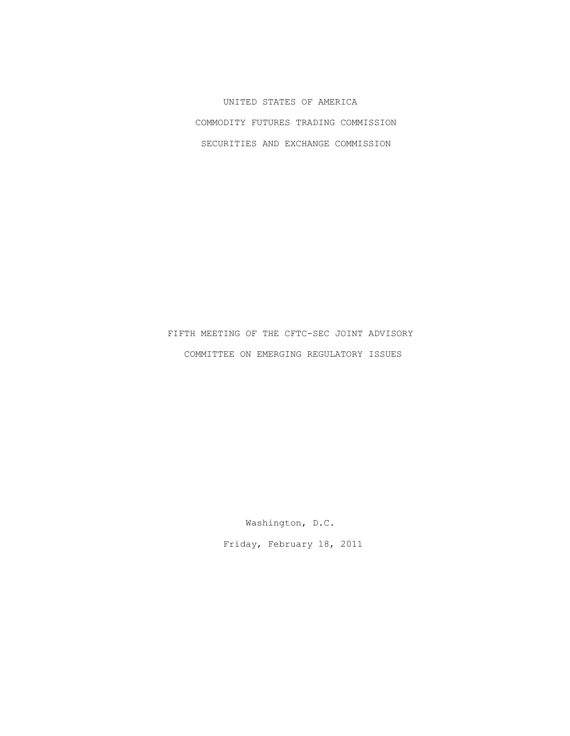UNITED STATES OF AMERICA COMMODITY FUTURES TRADING COMMISSION SECURITIES AND EXCHANGE COMMISSION

 FIFTH MEETING OF THE CFTC-SEC JOINT ADVISORY COMMITTEE ON EMERGING REGULATORY ISSUES

> Washington, D.C. Friday, February 18, 2011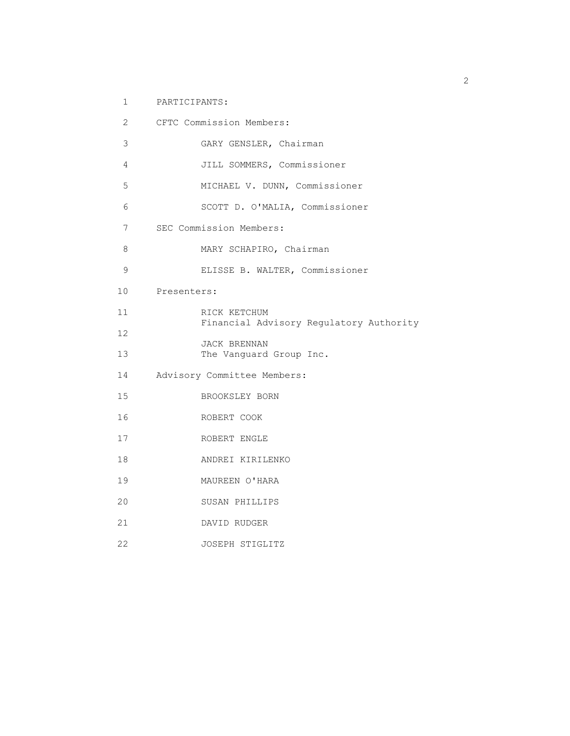1 PARTICIPANTS:

| $\overline{2}$  | CFTC Commission Members:                |
|-----------------|-----------------------------------------|
| 3               | GARY GENSLER, Chairman                  |
| 4               | JILL SOMMERS, Commissioner              |
| 5               | MICHAEL V. DUNN, Commissioner           |
| 6               | SCOTT D. O'MALIA, Commissioner          |
| 7               | SEC Commission Members:                 |
| 8               | MARY SCHAPIRO, Chairman                 |
| 9               | ELISSE B. WALTER, Commissioner          |
|                 | 10 Presenters:                          |
| 11              | RICK KETCHUM                            |
| 12              | Financial Advisory Regulatory Authority |
| 13 <sup>°</sup> | JACK BRENNAN<br>The Vanguard Group Inc. |
| 14              | Advisory Committee Members:             |
| 15 <sub>1</sub> | BROOKSLEY BORN                          |
| 16              | ROBERT COOK                             |
| 17              | ROBERT ENGLE                            |
| 18              | ANDREI KIRILENKO                        |
| 19              | MAUREEN O'HARA                          |
| 20              | SUSAN PHILLIPS                          |
| 21              | DAVID RUDGER                            |
| 22              | JOSEPH STIGLITZ                         |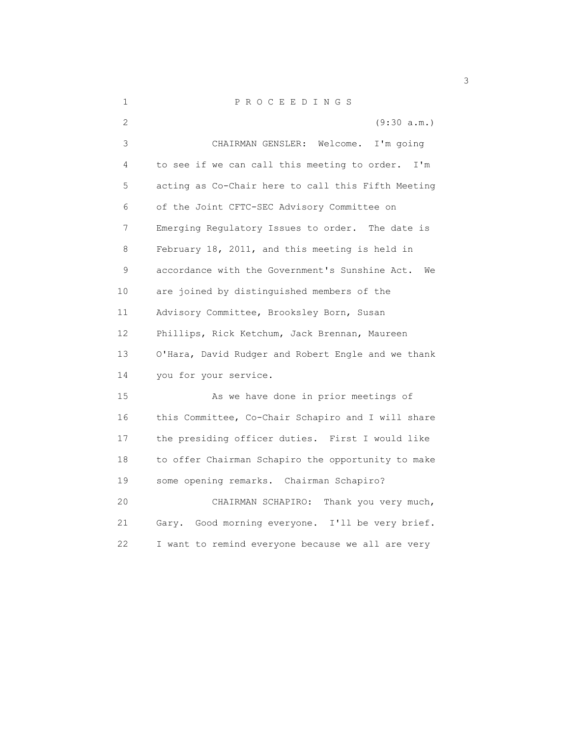| $\mathbf 1$       | P R O C E E D I N G S                                |
|-------------------|------------------------------------------------------|
| 2                 | (9:30 a.m.)                                          |
| 3                 | CHAIRMAN GENSLER:<br>Welcome.<br>I'm going           |
| 4                 | to see if we can call this meeting to order.<br>I'm  |
| 5                 | acting as Co-Chair here to call this Fifth Meeting   |
| 6                 | of the Joint CFTC-SEC Advisory Committee on          |
| 7                 | Emerging Regulatory Issues to order. The date is     |
| 8                 | February 18, 2011, and this meeting is held in       |
| 9                 | accordance with the Government's Sunshine Act.<br>We |
| 10                | are joined by distinguished members of the           |
| 11                | Advisory Committee, Brooksley Born, Susan            |
| $12 \overline{ }$ | Phillips, Rick Ketchum, Jack Brennan, Maureen        |
| 13                | O'Hara, David Rudger and Robert Engle and we thank   |
| 14                | you for your service.                                |
| 15                | As we have done in prior meetings of                 |
| 16                | this Committee, Co-Chair Schapiro and I will share   |
| 17                | the presiding officer duties. First I would like     |
| 18                | to offer Chairman Schapiro the opportunity to make   |
| 19                | some opening remarks. Chairman Schapiro?             |
| 20                | CHAIRMAN SCHAPIRO:<br>Thank you very much,           |
| 21                | Gary. Good morning everyone. I'll be very brief.     |
| 22                | I want to remind everyone because we all are very    |

 $\sim$  3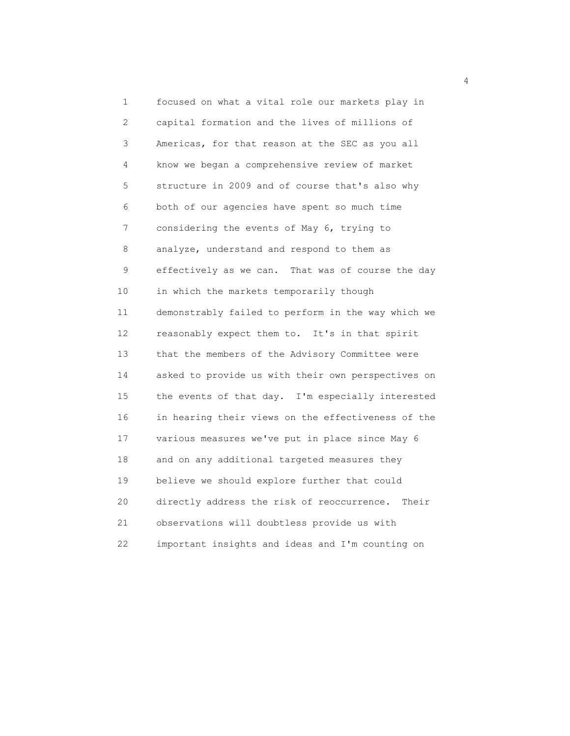1 focused on what a vital role our markets play in 2 capital formation and the lives of millions of 3 Americas, for that reason at the SEC as you all 4 know we began a comprehensive review of market 5 structure in 2009 and of course that's also why 6 both of our agencies have spent so much time 7 considering the events of May 6, trying to 8 analyze, understand and respond to them as 9 effectively as we can. That was of course the day 10 in which the markets temporarily though 11 demonstrably failed to perform in the way which we 12 reasonably expect them to. It's in that spirit 13 that the members of the Advisory Committee were 14 asked to provide us with their own perspectives on 15 the events of that day. I'm especially interested 16 in hearing their views on the effectiveness of the 17 various measures we've put in place since May 6 18 and on any additional targeted measures they 19 believe we should explore further that could 20 directly address the risk of reoccurrence. Their 21 observations will doubtless provide us with 22 important insights and ideas and I'm counting on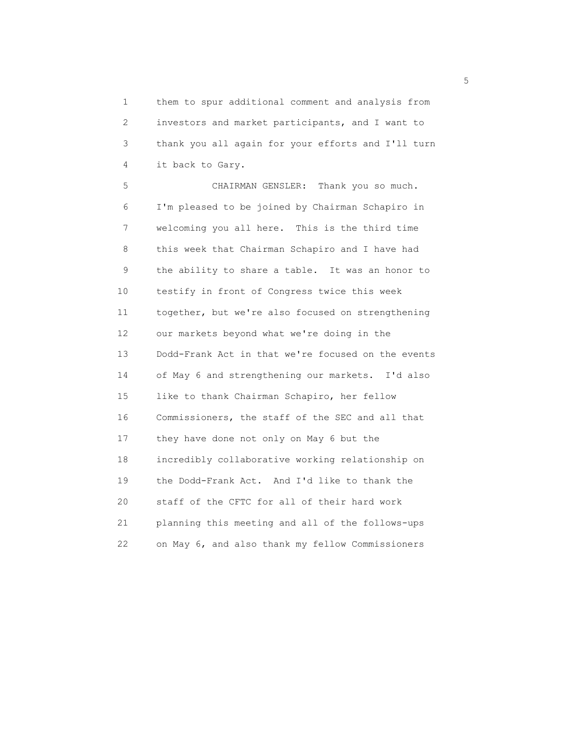1 them to spur additional comment and analysis from 2 investors and market participants, and I want to 3 thank you all again for your efforts and I'll turn 4 it back to Gary.

 5 CHAIRMAN GENSLER: Thank you so much. 6 I'm pleased to be joined by Chairman Schapiro in 7 welcoming you all here. This is the third time 8 this week that Chairman Schapiro and I have had 9 the ability to share a table. It was an honor to 10 testify in front of Congress twice this week 11 together, but we're also focused on strengthening 12 our markets beyond what we're doing in the 13 Dodd-Frank Act in that we're focused on the events 14 of May 6 and strengthening our markets. I'd also 15 like to thank Chairman Schapiro, her fellow 16 Commissioners, the staff of the SEC and all that 17 they have done not only on May 6 but the 18 incredibly collaborative working relationship on 19 the Dodd-Frank Act. And I'd like to thank the 20 staff of the CFTC for all of their hard work 21 planning this meeting and all of the follows-ups 22 on May 6, and also thank my fellow Commissioners

<u>5</u>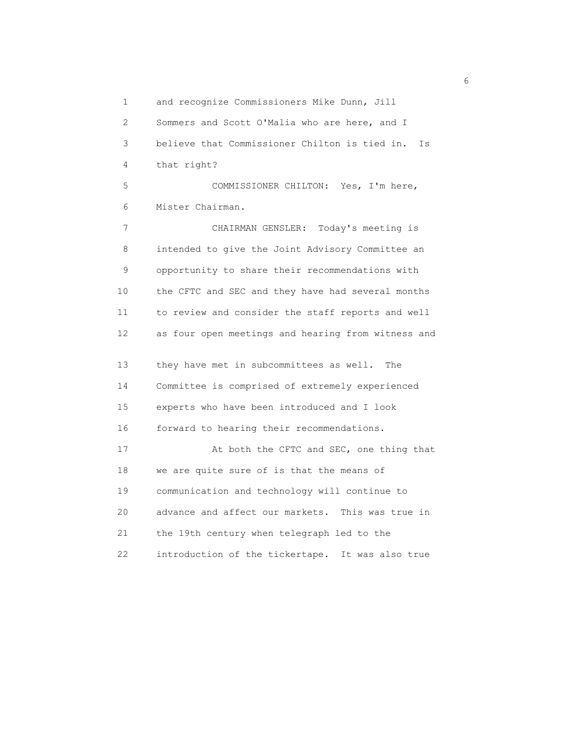1 and recognize Commissioners Mike Dunn, Jill

 2 Sommers and Scott O'Malia who are here, and I 3 believe that Commissioner Chilton is tied in. Is 4 that right?

 5 COMMISSIONER CHILTON: Yes, I'm here, 6 Mister Chairman.

 7 CHAIRMAN GENSLER: Today's meeting is 8 intended to give the Joint Advisory Committee an 9 opportunity to share their recommendations with 10 the CFTC and SEC and they have had several months 11 to review and consider the staff reports and well 12 as four open meetings and hearing from witness and

 13 they have met in subcommittees as well. The 14 Committee is comprised of extremely experienced 15 experts who have been introduced and I look 16 forward to hearing their recommendations. 17 At both the CFTC and SEC, one thing that 18 we are quite sure of is that the means of 19 communication and technology will continue to 20 advance and affect our markets. This was true in 21 the 19th century when telegraph led to the 22 introduction of the tickertape. It was also true

 $\sim$  6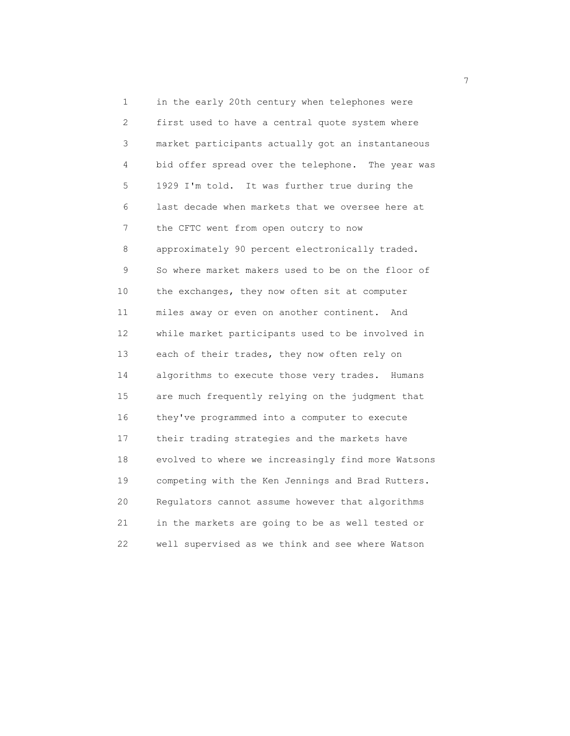1 in the early 20th century when telephones were 2 first used to have a central quote system where 3 market participants actually got an instantaneous 4 bid offer spread over the telephone. The year was 5 1929 I'm told. It was further true during the 6 last decade when markets that we oversee here at 7 the CFTC went from open outcry to now 8 approximately 90 percent electronically traded. 9 So where market makers used to be on the floor of 10 the exchanges, they now often sit at computer 11 miles away or even on another continent. And 12 while market participants used to be involved in 13 each of their trades, they now often rely on 14 algorithms to execute those very trades. Humans 15 are much frequently relying on the judgment that 16 they've programmed into a computer to execute 17 their trading strategies and the markets have 18 evolved to where we increasingly find more Watsons 19 competing with the Ken Jennings and Brad Rutters. 20 Regulators cannot assume however that algorithms 21 in the markets are going to be as well tested or 22 well supervised as we think and see where Watson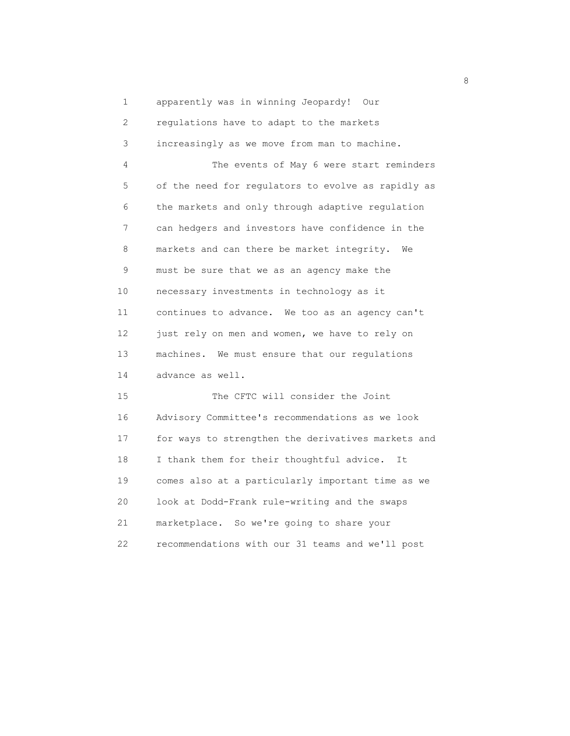1 apparently was in winning Jeopardy! Our 2 regulations have to adapt to the markets 3 increasingly as we move from man to machine. 4 The events of May 6 were start reminders 5 of the need for regulators to evolve as rapidly as 6 the markets and only through adaptive regulation 7 can hedgers and investors have confidence in the 8 markets and can there be market integrity. We 9 must be sure that we as an agency make the 10 necessary investments in technology as it 11 continues to advance. We too as an agency can't 12 just rely on men and women, we have to rely on 13 machines. We must ensure that our regulations 14 advance as well. 15 The CFTC will consider the Joint

 16 Advisory Committee's recommendations as we look 17 for ways to strengthen the derivatives markets and 18 I thank them for their thoughtful advice. It 19 comes also at a particularly important time as we 20 look at Dodd-Frank rule-writing and the swaps 21 marketplace. So we're going to share your 22 recommendations with our 31 teams and we'll post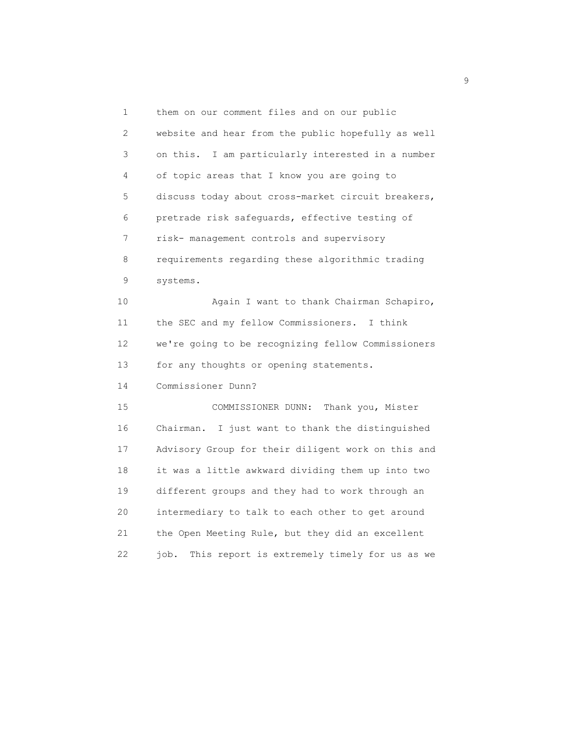1 them on our comment files and on our public 2 website and hear from the public hopefully as well 3 on this. I am particularly interested in a number 4 of topic areas that I know you are going to 5 discuss today about cross-market circuit breakers, 6 pretrade risk safeguards, effective testing of 7 risk- management controls and supervisory 8 requirements regarding these algorithmic trading 9 systems. 10 Again I want to thank Chairman Schapiro, 11 the SEC and my fellow Commissioners. I think 12 we're going to be recognizing fellow Commissioners 13 for any thoughts or opening statements. 14 Commissioner Dunn? 15 COMMISSIONER DUNN: Thank you, Mister 16 Chairman. I just want to thank the distinguished 17 Advisory Group for their diligent work on this and 18 it was a little awkward dividing them up into two 19 different groups and they had to work through an 20 intermediary to talk to each other to get around 21 the Open Meeting Rule, but they did an excellent 22 job. This report is extremely timely for us as we

en de la construcción de la construcción de la construcción de la construcción de la construcción de la constr<br>1990 - En el construcción de la construcción de la construcción de la construcción de la construcción de la co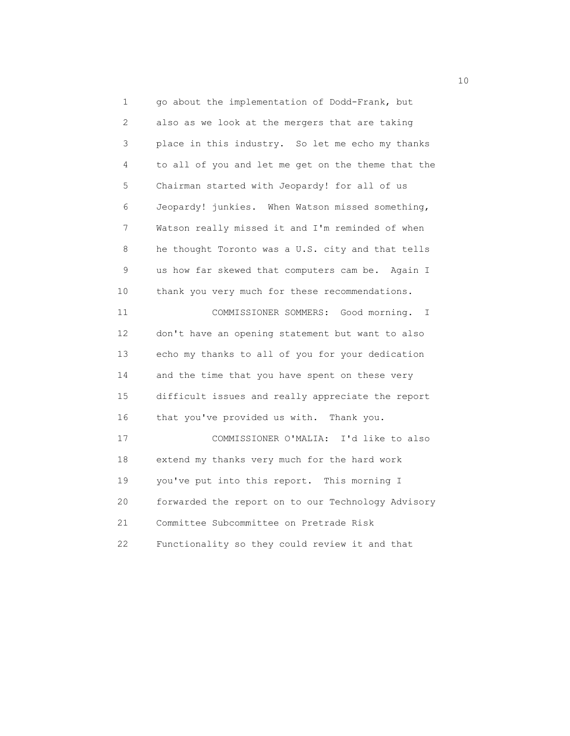1 go about the implementation of Dodd-Frank, but 2 also as we look at the mergers that are taking 3 place in this industry. So let me echo my thanks 4 to all of you and let me get on the theme that the 5 Chairman started with Jeopardy! for all of us 6 Jeopardy! junkies. When Watson missed something, 7 Watson really missed it and I'm reminded of when 8 he thought Toronto was a U.S. city and that tells 9 us how far skewed that computers cam be. Again I 10 thank you very much for these recommendations. 11 COMMISSIONER SOMMERS: Good morning. I 12 don't have an opening statement but want to also 13 echo my thanks to all of you for your dedication 14 and the time that you have spent on these very 15 difficult issues and really appreciate the report 16 that you've provided us with. Thank you. 17 COMMISSIONER O'MALIA: I'd like to also 18 extend my thanks very much for the hard work 19 you've put into this report. This morning I 20 forwarded the report on to our Technology Advisory 21 Committee Subcommittee on Pretrade Risk 22 Functionality so they could review it and that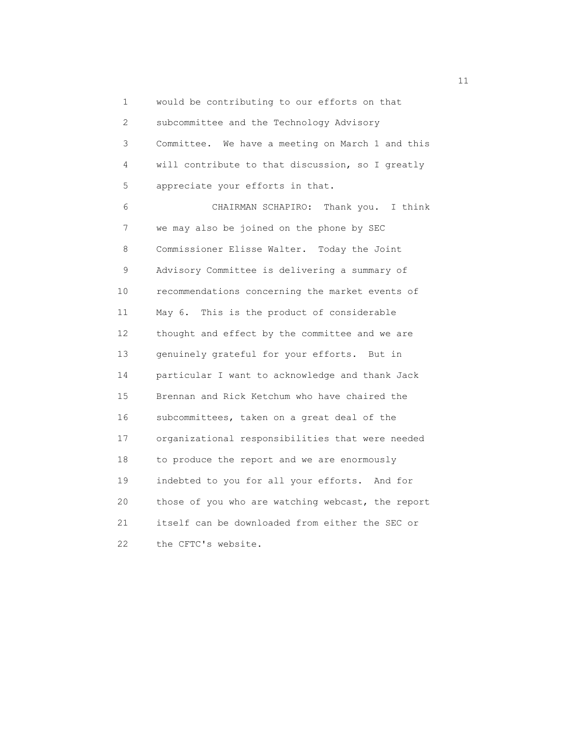1 would be contributing to our efforts on that 2 subcommittee and the Technology Advisory 3 Committee. We have a meeting on March 1 and this 4 will contribute to that discussion, so I greatly 5 appreciate your efforts in that. 6 CHAIRMAN SCHAPIRO: Thank you. I think 7 we may also be joined on the phone by SEC 8 Commissioner Elisse Walter. Today the Joint 9 Advisory Committee is delivering a summary of 10 recommendations concerning the market events of 11 May 6. This is the product of considerable 12 thought and effect by the committee and we are 13 genuinely grateful for your efforts. But in 14 particular I want to acknowledge and thank Jack 15 Brennan and Rick Ketchum who have chaired the 16 subcommittees, taken on a great deal of the 17 organizational responsibilities that were needed 18 to produce the report and we are enormously 19 indebted to you for all your efforts. And for 20 those of you who are watching webcast, the report 21 itself can be downloaded from either the SEC or 22 the CFTC's website.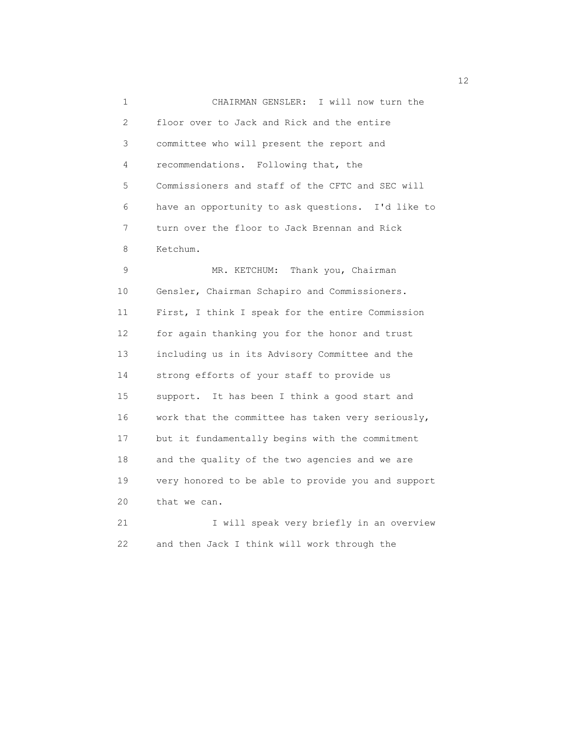1 CHAIRMAN GENSLER: I will now turn the 2 floor over to Jack and Rick and the entire 3 committee who will present the report and 4 recommendations. Following that, the 5 Commissioners and staff of the CFTC and SEC will 6 have an opportunity to ask questions. I'd like to 7 turn over the floor to Jack Brennan and Rick 8 Ketchum. 9 MR. KETCHUM: Thank you, Chairman

 10 Gensler, Chairman Schapiro and Commissioners. 11 First, I think I speak for the entire Commission 12 for again thanking you for the honor and trust 13 including us in its Advisory Committee and the 14 strong efforts of your staff to provide us 15 support. It has been I think a good start and 16 work that the committee has taken very seriously, 17 but it fundamentally begins with the commitment 18 and the quality of the two agencies and we are 19 very honored to be able to provide you and support 20 that we can.

21 I will speak very briefly in an overview 22 and then Jack I think will work through the

12<br>12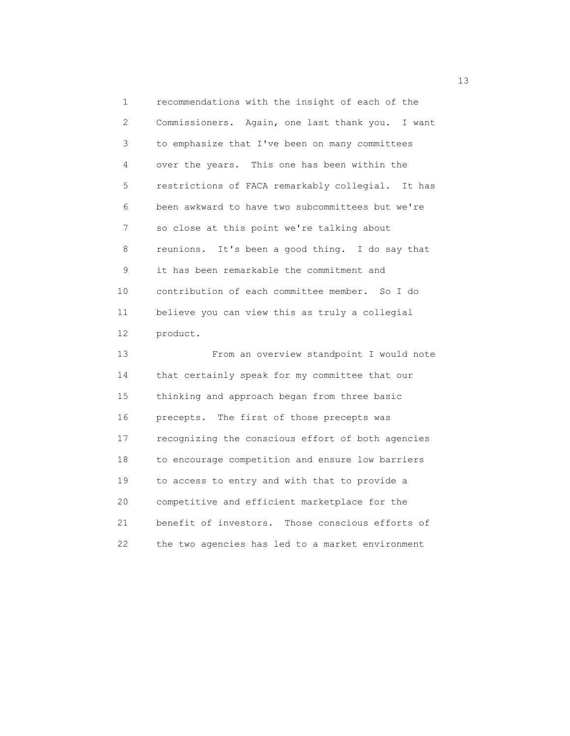1 recommendations with the insight of each of the 2 Commissioners. Again, one last thank you. I want 3 to emphasize that I've been on many committees 4 over the years. This one has been within the 5 restrictions of FACA remarkably collegial. It has 6 been awkward to have two subcommittees but we're 7 so close at this point we're talking about 8 reunions. It's been a good thing. I do say that 9 it has been remarkable the commitment and 10 contribution of each committee member. So I do 11 believe you can view this as truly a collegial 12 product.

 13 From an overview standpoint I would note 14 that certainly speak for my committee that our 15 thinking and approach began from three basic 16 precepts. The first of those precepts was 17 recognizing the conscious effort of both agencies 18 to encourage competition and ensure low barriers 19 to access to entry and with that to provide a 20 competitive and efficient marketplace for the 21 benefit of investors. Those conscious efforts of 22 the two agencies has led to a market environment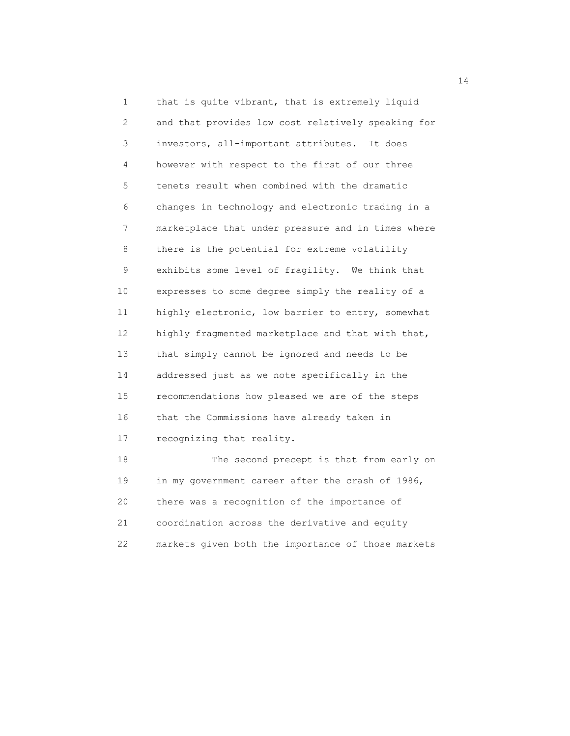1 that is quite vibrant, that is extremely liquid 2 and that provides low cost relatively speaking for 3 investors, all-important attributes. It does 4 however with respect to the first of our three 5 tenets result when combined with the dramatic 6 changes in technology and electronic trading in a 7 marketplace that under pressure and in times where 8 there is the potential for extreme volatility 9 exhibits some level of fragility. We think that 10 expresses to some degree simply the reality of a 11 highly electronic, low barrier to entry, somewhat 12 highly fragmented marketplace and that with that, 13 that simply cannot be ignored and needs to be 14 addressed just as we note specifically in the 15 recommendations how pleased we are of the steps 16 that the Commissions have already taken in 17 recognizing that reality. 18 The second precept is that from early on 19 in my government career after the crash of 1986, 20 there was a recognition of the importance of

 21 coordination across the derivative and equity 22 markets given both the importance of those markets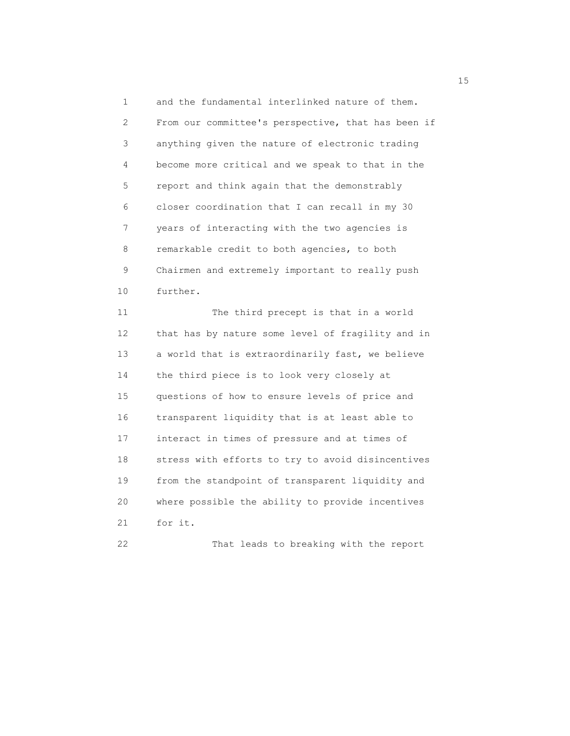1 and the fundamental interlinked nature of them. 2 From our committee's perspective, that has been if 3 anything given the nature of electronic trading 4 become more critical and we speak to that in the 5 report and think again that the demonstrably 6 closer coordination that I can recall in my 30 7 years of interacting with the two agencies is 8 remarkable credit to both agencies, to both 9 Chairmen and extremely important to really push 10 further. 11 The third precept is that in a world 12 that has by nature some level of fragility and in 13 a world that is extraordinarily fast, we believe 14 the third piece is to look very closely at 15 questions of how to ensure levels of price and 16 transparent liquidity that is at least able to 17 interact in times of pressure and at times of 18 stress with efforts to try to avoid disincentives 19 from the standpoint of transparent liquidity and 20 where possible the ability to provide incentives 21 for it.

22 That leads to breaking with the report

15 and 15 and 15 and 15 and 15 and 15 and 15 and 15 and 15 and 15 and 15 and 15 and 15 and 15 and 15 and 15 and 15 and 15 and 15 and 16 and 16 and 16 and 16 and 16 and 16 and 16 and 16 and 16 and 16 and 16 and 16 and 16 an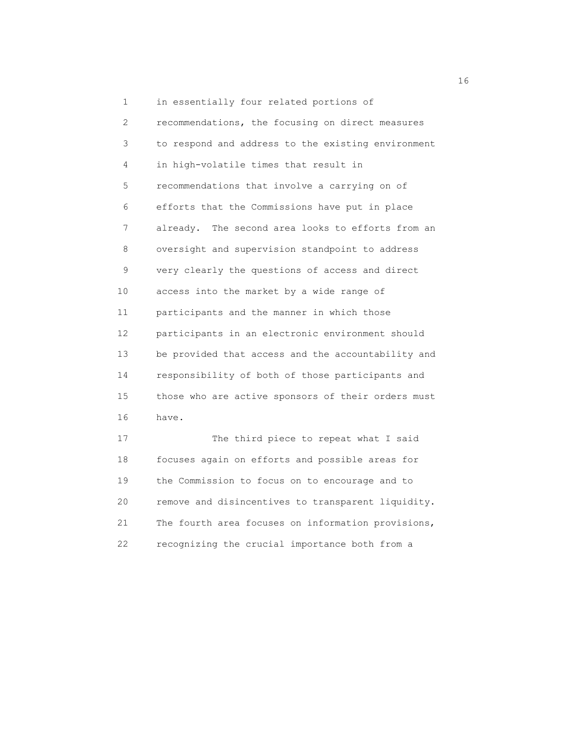1 in essentially four related portions of 2 recommendations, the focusing on direct measures 3 to respond and address to the existing environment 4 in high-volatile times that result in 5 recommendations that involve a carrying on of 6 efforts that the Commissions have put in place 7 already. The second area looks to efforts from an 8 oversight and supervision standpoint to address 9 very clearly the questions of access and direct 10 access into the market by a wide range of 11 participants and the manner in which those 12 participants in an electronic environment should 13 be provided that access and the accountability and 14 responsibility of both of those participants and 15 those who are active sponsors of their orders must 16 have. 17 The third piece to repeat what I said 18 focuses again on efforts and possible areas for

 19 the Commission to focus on to encourage and to 20 remove and disincentives to transparent liquidity. 21 The fourth area focuses on information provisions, 22 recognizing the crucial importance both from a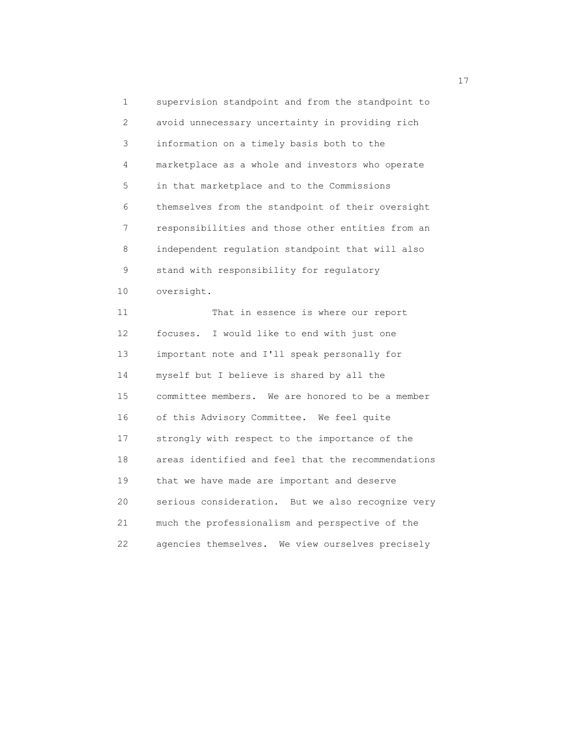1 supervision standpoint and from the standpoint to 2 avoid unnecessary uncertainty in providing rich 3 information on a timely basis both to the 4 marketplace as a whole and investors who operate 5 in that marketplace and to the Commissions 6 themselves from the standpoint of their oversight 7 responsibilities and those other entities from an 8 independent regulation standpoint that will also 9 stand with responsibility for regulatory 10 oversight. 11 That in essence is where our report 12 focuses. I would like to end with just one 13 important note and I'll speak personally for 14 myself but I believe is shared by all the 15 committee members. We are honored to be a member 16 of this Advisory Committee. We feel quite 17 strongly with respect to the importance of the 18 areas identified and feel that the recommendations 19 that we have made are important and deserve 20 serious consideration. But we also recognize very 21 much the professionalism and perspective of the 22 agencies themselves. We view ourselves precisely

17<sup>1</sup>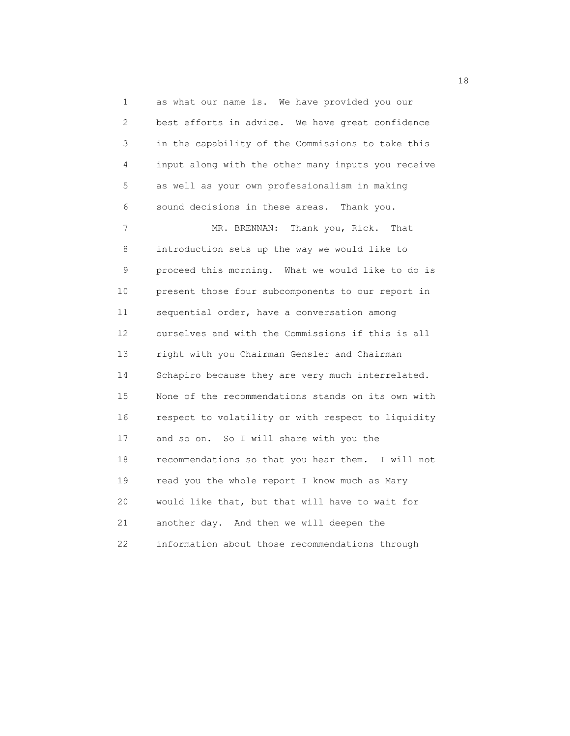1 as what our name is. We have provided you our 2 best efforts in advice. We have great confidence 3 in the capability of the Commissions to take this 4 input along with the other many inputs you receive 5 as well as your own professionalism in making 6 sound decisions in these areas. Thank you. 7 MR. BRENNAN: Thank you, Rick. That 8 introduction sets up the way we would like to 9 proceed this morning. What we would like to do is 10 present those four subcomponents to our report in 11 sequential order, have a conversation among 12 ourselves and with the Commissions if this is all 13 right with you Chairman Gensler and Chairman 14 Schapiro because they are very much interrelated. 15 None of the recommendations stands on its own with 16 respect to volatility or with respect to liquidity 17 and so on. So I will share with you the 18 recommendations so that you hear them. I will not 19 read you the whole report I know much as Mary 20 would like that, but that will have to wait for 21 another day. And then we will deepen the 22 information about those recommendations through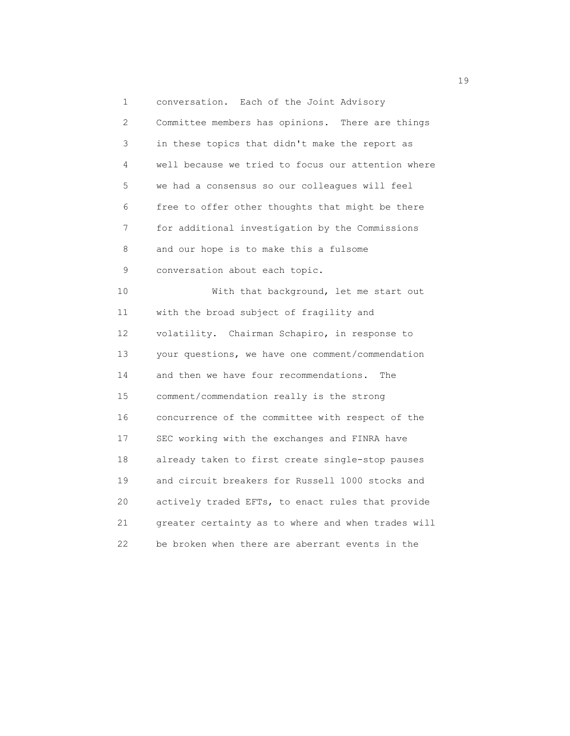1 conversation. Each of the Joint Advisory 2 Committee members has opinions. There are things 3 in these topics that didn't make the report as 4 well because we tried to focus our attention where 5 we had a consensus so our colleagues will feel 6 free to offer other thoughts that might be there 7 for additional investigation by the Commissions 8 and our hope is to make this a fulsome 9 conversation about each topic. 10 With that background, let me start out 11 with the broad subject of fragility and 12 volatility. Chairman Schapiro, in response to 13 your questions, we have one comment/commendation 14 and then we have four recommendations. The 15 comment/commendation really is the strong 16 concurrence of the committee with respect of the 17 SEC working with the exchanges and FINRA have 18 already taken to first create single-stop pauses 19 and circuit breakers for Russell 1000 stocks and 20 actively traded EFTs, to enact rules that provide 21 greater certainty as to where and when trades will 22 be broken when there are aberrant events in the

19 and 19 and 19 and 19 and 19 and 19 and 19 and 19 and 19 and 19 and 19 and 19 and 19 and 19 and 19 and 19 an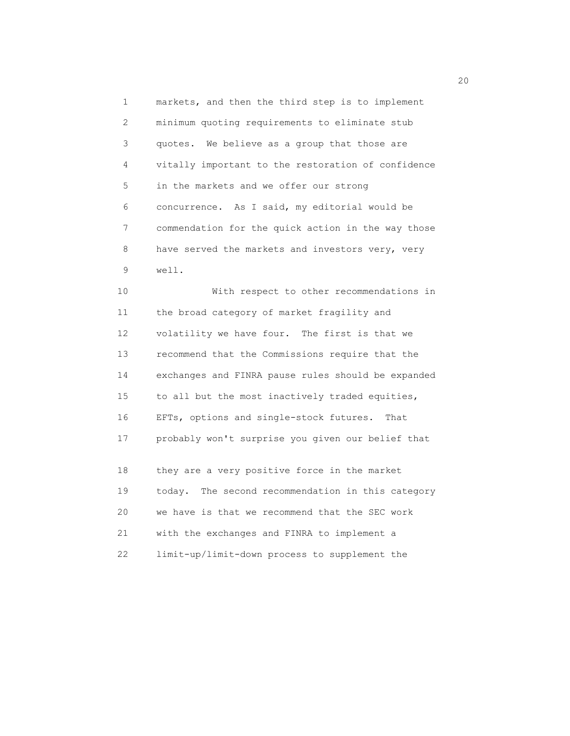1 markets, and then the third step is to implement 2 minimum quoting requirements to eliminate stub 3 quotes. We believe as a group that those are 4 vitally important to the restoration of confidence 5 in the markets and we offer our strong 6 concurrence. As I said, my editorial would be 7 commendation for the quick action in the way those 8 have served the markets and investors very, very 9 well.

 10 With respect to other recommendations in 11 the broad category of market fragility and 12 volatility we have four. The first is that we 13 recommend that the Commissions require that the 14 exchanges and FINRA pause rules should be expanded 15 to all but the most inactively traded equities, 16 EFTs, options and single-stock futures. That 17 probably won't surprise you given our belief that

 18 they are a very positive force in the market 19 today. The second recommendation in this category 20 we have is that we recommend that the SEC work 21 with the exchanges and FINRA to implement a 22 limit-up/limit-down process to supplement the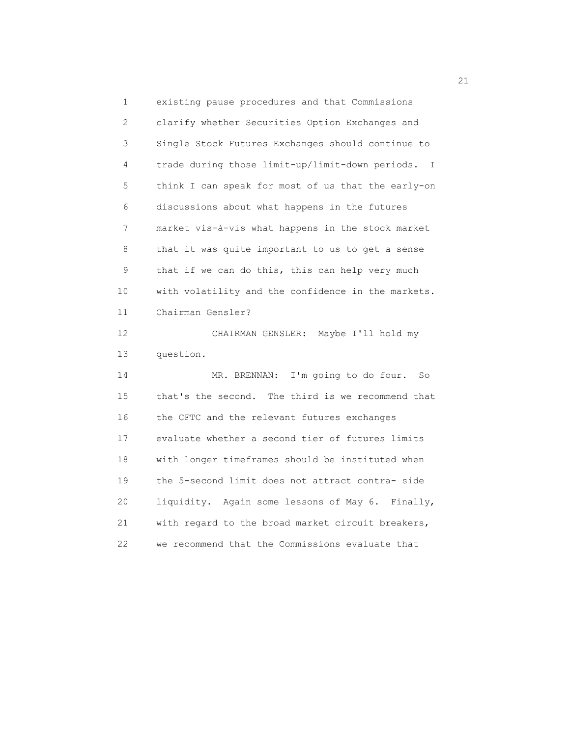1 existing pause procedures and that Commissions 2 clarify whether Securities Option Exchanges and 3 Single Stock Futures Exchanges should continue to 4 trade during those limit-up/limit-down periods. I 5 think I can speak for most of us that the early-on 6 discussions about what happens in the futures 7 market vis-à-vis what happens in the stock market 8 that it was quite important to us to get a sense 9 that if we can do this, this can help very much 10 with volatility and the confidence in the markets. 11 Chairman Gensler? 12 CHAIRMAN GENSLER: Maybe I'll hold my 13 question. 14 MR. BRENNAN: I'm going to do four. So 15 that's the second. The third is we recommend that 16 the CFTC and the relevant futures exchanges 17 evaluate whether a second tier of futures limits 18 with longer timeframes should be instituted when 19 the 5-second limit does not attract contra- side 20 liquidity. Again some lessons of May 6. Finally, 21 with regard to the broad market circuit breakers, 22 we recommend that the Commissions evaluate that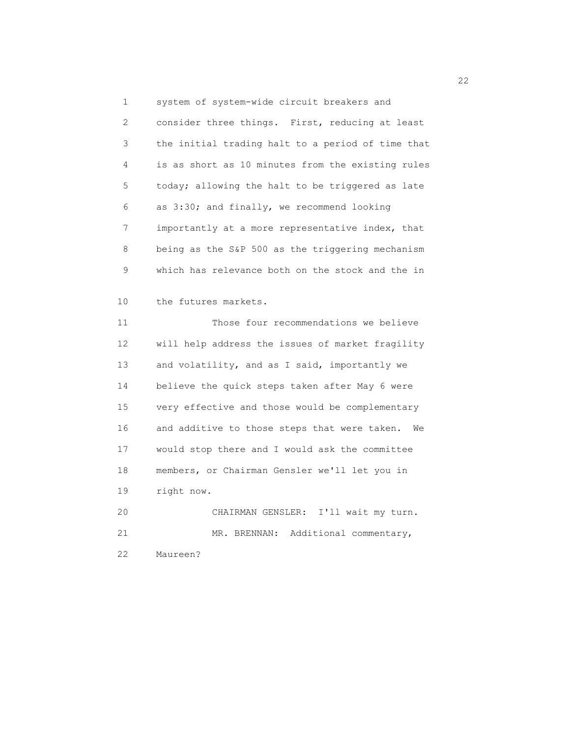1 system of system-wide circuit breakers and 2 consider three things. First, reducing at least 3 the initial trading halt to a period of time that 4 is as short as 10 minutes from the existing rules 5 today; allowing the halt to be triggered as late 6 as 3:30; and finally, we recommend looking 7 importantly at a more representative index, that 8 being as the S&P 500 as the triggering mechanism 9 which has relevance both on the stock and the in 10 the futures markets. 11 Those four recommendations we believe 12 will help address the issues of market fragility 13 and volatility, and as I said, importantly we 14 believe the quick steps taken after May 6 were 15 very effective and those would be complementary 16 and additive to those steps that were taken. We 17 would stop there and I would ask the committee 18 members, or Chairman Gensler we'll let you in 19 right now. 20 CHAIRMAN GENSLER: I'll wait my turn. 21 MR. BRENNAN: Additional commentary,

22 Maureen?

22<br>22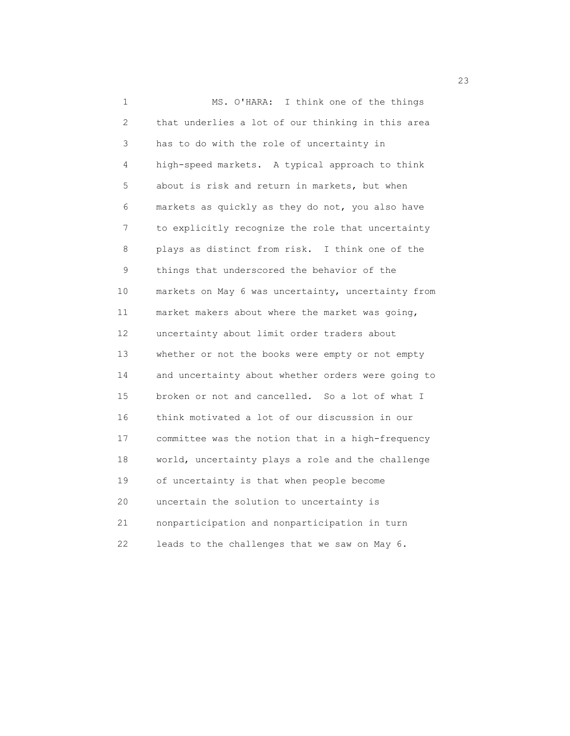1 MS. O'HARA: I think one of the things 2 that underlies a lot of our thinking in this area 3 has to do with the role of uncertainty in 4 high-speed markets. A typical approach to think 5 about is risk and return in markets, but when 6 markets as quickly as they do not, you also have 7 to explicitly recognize the role that uncertainty 8 plays as distinct from risk. I think one of the 9 things that underscored the behavior of the 10 markets on May 6 was uncertainty, uncertainty from 11 market makers about where the market was going, 12 uncertainty about limit order traders about 13 whether or not the books were empty or not empty 14 and uncertainty about whether orders were going to 15 broken or not and cancelled. So a lot of what I 16 think motivated a lot of our discussion in our 17 committee was the notion that in a high-frequency 18 world, uncertainty plays a role and the challenge 19 of uncertainty is that when people become 20 uncertain the solution to uncertainty is 21 nonparticipation and nonparticipation in turn 22 leads to the challenges that we saw on May 6.

23 and 23 and 23 and 23 and 23 and 23 and 23 and 23 and 23 and 23 and 23 and 23 and 23 and 23 and 23 and 23 and 24 and 25 and 26 and 26 and 26 and 26 and 26 and 26 and 26 and 26 and 26 and 26 and 26 and 26 and 26 and 26 an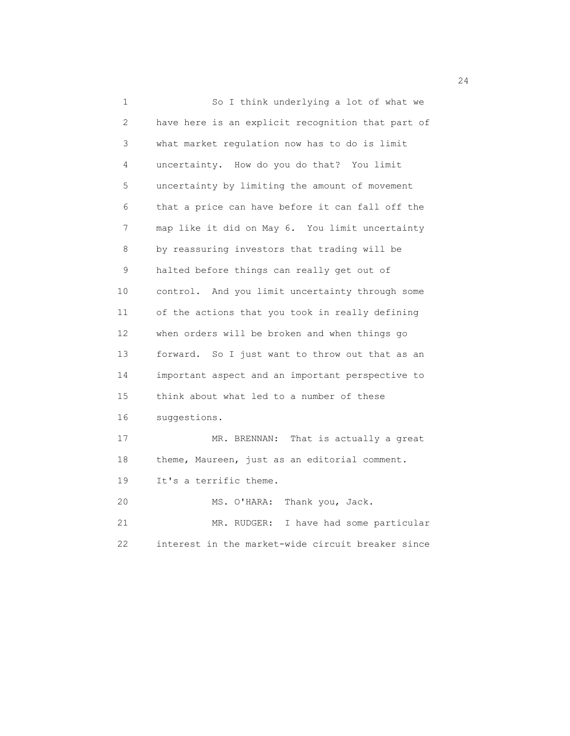1 So I think underlying a lot of what we 2 have here is an explicit recognition that part of 3 what market regulation now has to do is limit 4 uncertainty. How do you do that? You limit 5 uncertainty by limiting the amount of movement 6 that a price can have before it can fall off the 7 map like it did on May 6. You limit uncertainty 8 by reassuring investors that trading will be 9 halted before things can really get out of 10 control. And you limit uncertainty through some 11 of the actions that you took in really defining 12 when orders will be broken and when things go 13 forward. So I just want to throw out that as an 14 important aspect and an important perspective to 15 think about what led to a number of these 16 suggestions. 17 MR. BRENNAN: That is actually a great 18 theme, Maureen, just as an editorial comment. 19 It's a terrific theme. 20 MS. O'HARA: Thank you, Jack. 21 MR. RUDGER: I have had some particular 22 interest in the market-wide circuit breaker since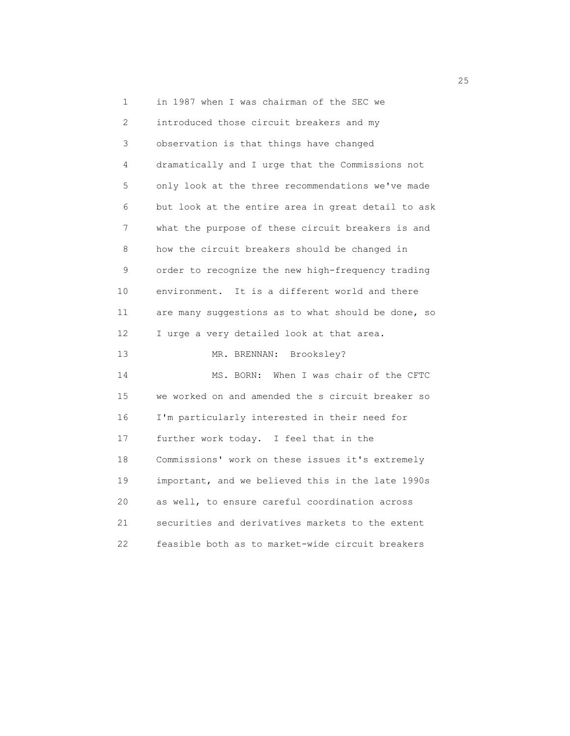1 in 1987 when I was chairman of the SEC we 2 introduced those circuit breakers and my 3 observation is that things have changed 4 dramatically and I urge that the Commissions not 5 only look at the three recommendations we've made 6 but look at the entire area in great detail to ask 7 what the purpose of these circuit breakers is and 8 how the circuit breakers should be changed in 9 order to recognize the new high-frequency trading 10 environment. It is a different world and there 11 are many suggestions as to what should be done, so 12 I urge a very detailed look at that area. 13 MR. BRENNAN: Brooksley? 14 MS. BORN: When I was chair of the CFTC 15 we worked on and amended the s circuit breaker so 16 I'm particularly interested in their need for 17 further work today. I feel that in the 18 Commissions' work on these issues it's extremely 19 important, and we believed this in the late 1990s 20 as well, to ensure careful coordination across 21 securities and derivatives markets to the extent 22 feasible both as to market-wide circuit breakers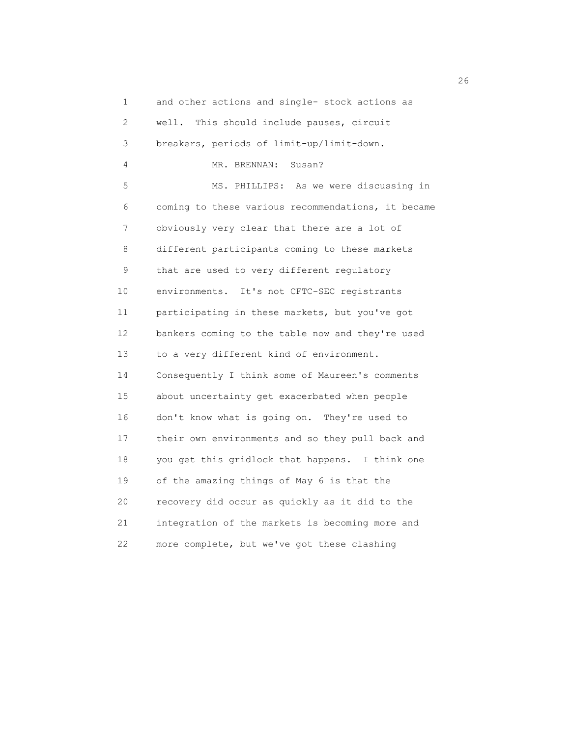1 and other actions and single- stock actions as 2 well. This should include pauses, circuit 3 breakers, periods of limit-up/limit-down. 4 MR. BRENNAN: Susan? 5 MS. PHILLIPS: As we were discussing in 6 coming to these various recommendations, it became 7 obviously very clear that there are a lot of 8 different participants coming to these markets 9 that are used to very different regulatory 10 environments. It's not CFTC-SEC registrants 11 participating in these markets, but you've got 12 bankers coming to the table now and they're used 13 to a very different kind of environment. 14 Consequently I think some of Maureen's comments 15 about uncertainty get exacerbated when people 16 don't know what is going on. They're used to 17 their own environments and so they pull back and 18 you get this gridlock that happens. I think one 19 of the amazing things of May 6 is that the 20 recovery did occur as quickly as it did to the 21 integration of the markets is becoming more and 22 more complete, but we've got these clashing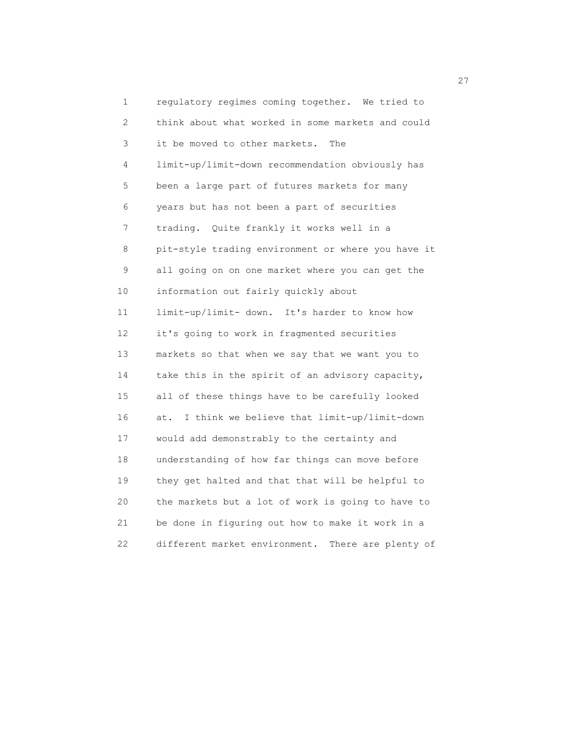1 regulatory regimes coming together. We tried to 2 think about what worked in some markets and could 3 it be moved to other markets. The 4 limit-up/limit-down recommendation obviously has 5 been a large part of futures markets for many 6 years but has not been a part of securities 7 trading. Quite frankly it works well in a 8 pit-style trading environment or where you have it 9 all going on on one market where you can get the 10 information out fairly quickly about 11 limit-up/limit- down. It's harder to know how 12 it's going to work in fragmented securities 13 markets so that when we say that we want you to 14 take this in the spirit of an advisory capacity, 15 all of these things have to be carefully looked 16 at. I think we believe that limit-up/limit-down 17 would add demonstrably to the certainty and 18 understanding of how far things can move before 19 they get halted and that that will be helpful to 20 the markets but a lot of work is going to have to 21 be done in figuring out how to make it work in a 22 different market environment. There are plenty of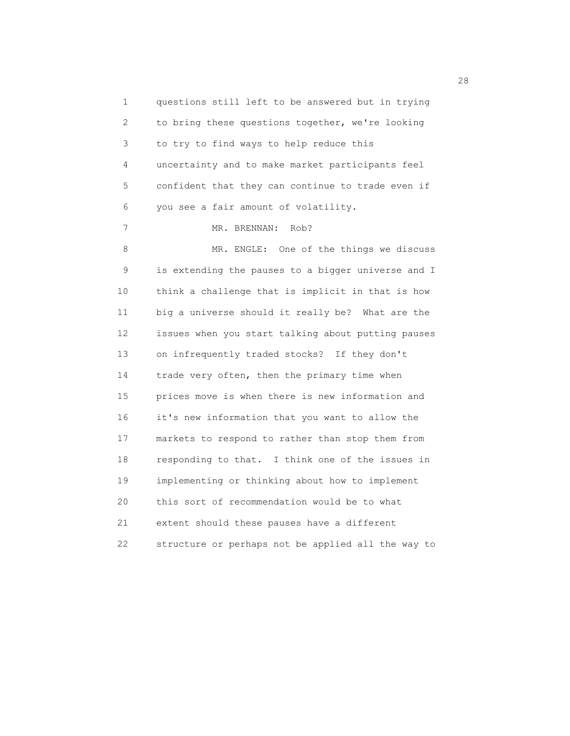1 questions still left to be answered but in trying 2 to bring these questions together, we're looking 3 to try to find ways to help reduce this 4 uncertainty and to make market participants feel 5 confident that they can continue to trade even if 6 you see a fair amount of volatility. 7 MR. BRENNAN: Rob? 8 MR. ENGLE: One of the things we discuss 9 is extending the pauses to a bigger universe and I 10 think a challenge that is implicit in that is how 11 big a universe should it really be? What are the 12 issues when you start talking about putting pauses 13 on infrequently traded stocks? If they don't 14 trade very often, then the primary time when 15 prices move is when there is new information and 16 it's new information that you want to allow the 17 markets to respond to rather than stop them from 18 responding to that. I think one of the issues in 19 implementing or thinking about how to implement 20 this sort of recommendation would be to what 21 extent should these pauses have a different 22 structure or perhaps not be applied all the way to

28 and 28 and 28 and 28 and 28 and 28 and 28 and 28 and 28 and 28 and 28 and 28 and 28 and 28 and 28 and 28 an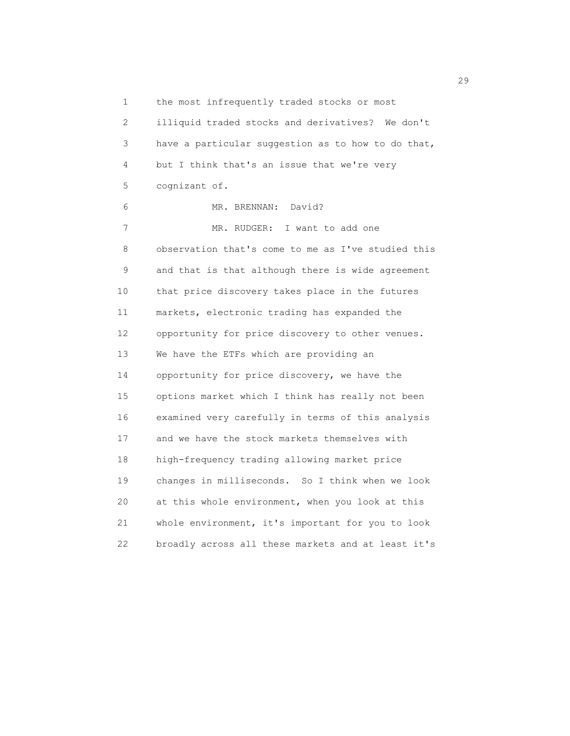1 the most infrequently traded stocks or most 2 illiquid traded stocks and derivatives? We don't 3 have a particular suggestion as to how to do that, 4 but I think that's an issue that we're very 5 cognizant of. 6 MR. BRENNAN: David? 7 MR. RUDGER: I want to add one 8 observation that's come to me as I've studied this 9 and that is that although there is wide agreement 10 that price discovery takes place in the futures 11 markets, electronic trading has expanded the 12 opportunity for price discovery to other venues. 13 We have the ETFs which are providing an 14 opportunity for price discovery, we have the 15 options market which I think has really not been 16 examined very carefully in terms of this analysis 17 and we have the stock markets themselves with 18 high-frequency trading allowing market price 19 changes in milliseconds. So I think when we look 20 at this whole environment, when you look at this 21 whole environment, it's important for you to look 22 broadly across all these markets and at least it's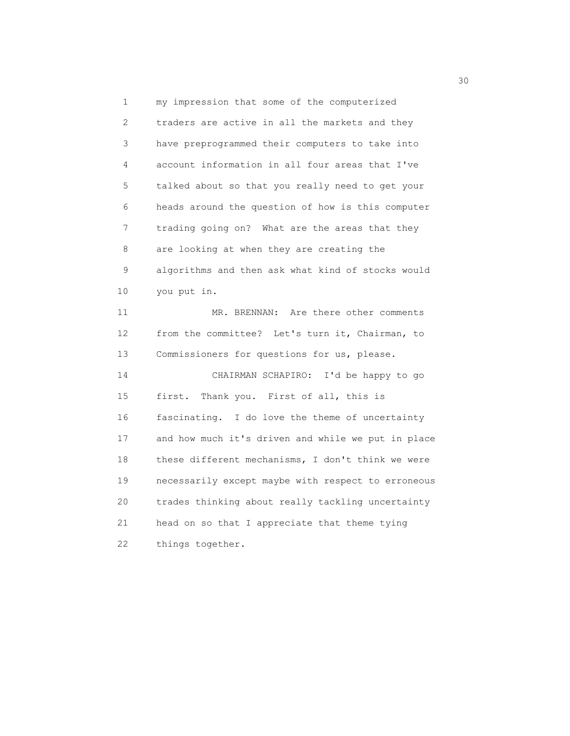1 my impression that some of the computerized 2 traders are active in all the markets and they 3 have preprogrammed their computers to take into 4 account information in all four areas that I've 5 talked about so that you really need to get your 6 heads around the question of how is this computer 7 trading going on? What are the areas that they 8 are looking at when they are creating the 9 algorithms and then ask what kind of stocks would 10 you put in. 11 MR. BRENNAN: Are there other comments 12 from the committee? Let's turn it, Chairman, to 13 Commissioners for questions for us, please. 14 CHAIRMAN SCHAPIRO: I'd be happy to go 15 first. Thank you. First of all, this is 16 fascinating. I do love the theme of uncertainty 17 and how much it's driven and while we put in place 18 these different mechanisms, I don't think we were 19 necessarily except maybe with respect to erroneous 20 trades thinking about really tackling uncertainty 21 head on so that I appreciate that theme tying 22 things together.

 $30<sup>o</sup>$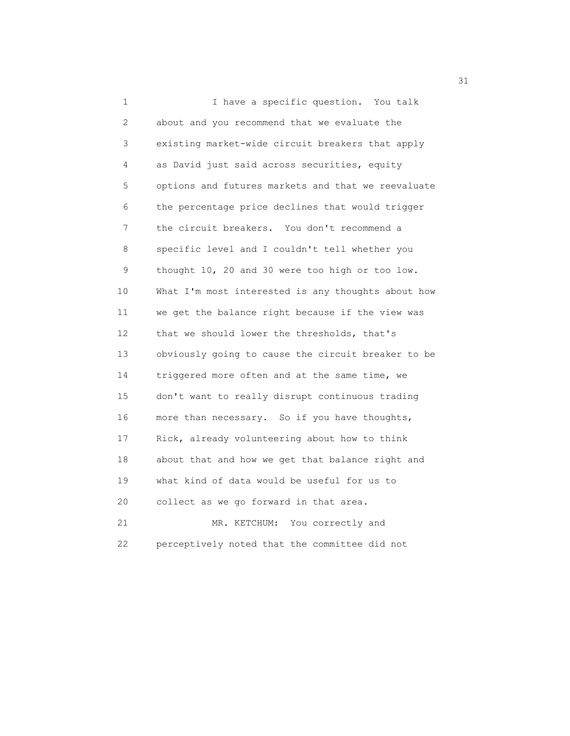1 I have a specific question. You talk 2 about and you recommend that we evaluate the 3 existing market-wide circuit breakers that apply 4 as David just said across securities, equity 5 options and futures markets and that we reevaluate 6 the percentage price declines that would trigger 7 the circuit breakers. You don't recommend a 8 specific level and I couldn't tell whether you 9 thought 10, 20 and 30 were too high or too low. 10 What I'm most interested is any thoughts about how 11 we get the balance right because if the view was 12 that we should lower the thresholds, that's 13 obviously going to cause the circuit breaker to be 14 triggered more often and at the same time, we 15 don't want to really disrupt continuous trading 16 more than necessary. So if you have thoughts, 17 Rick, already volunteering about how to think 18 about that and how we get that balance right and 19 what kind of data would be useful for us to 20 collect as we go forward in that area. 21 MR. KETCHUM: You correctly and

22 perceptively noted that the committee did not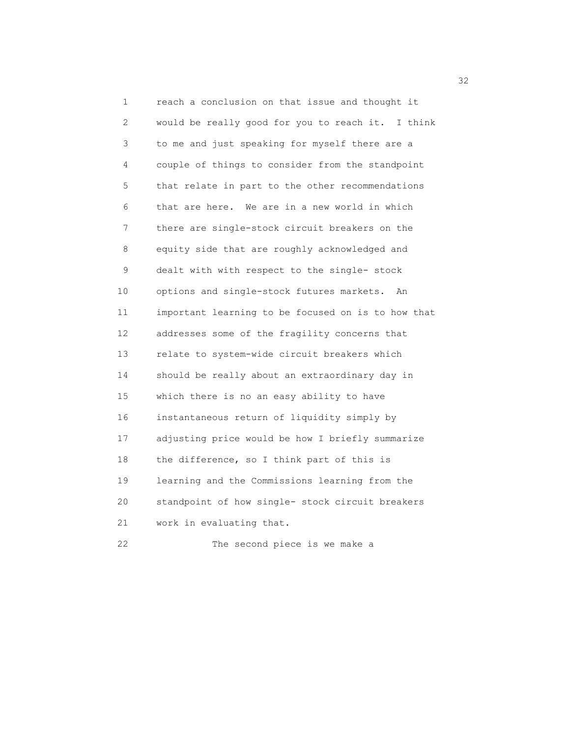1 reach a conclusion on that issue and thought it 2 would be really good for you to reach it. I think 3 to me and just speaking for myself there are a 4 couple of things to consider from the standpoint 5 that relate in part to the other recommendations 6 that are here. We are in a new world in which 7 there are single-stock circuit breakers on the 8 equity side that are roughly acknowledged and 9 dealt with with respect to the single- stock 10 options and single-stock futures markets. An 11 important learning to be focused on is to how that 12 addresses some of the fragility concerns that 13 relate to system-wide circuit breakers which 14 should be really about an extraordinary day in 15 which there is no an easy ability to have 16 instantaneous return of liquidity simply by 17 adjusting price would be how I briefly summarize 18 the difference, so I think part of this is 19 learning and the Commissions learning from the 20 standpoint of how single- stock circuit breakers 21 work in evaluating that. 22 The second piece is we make a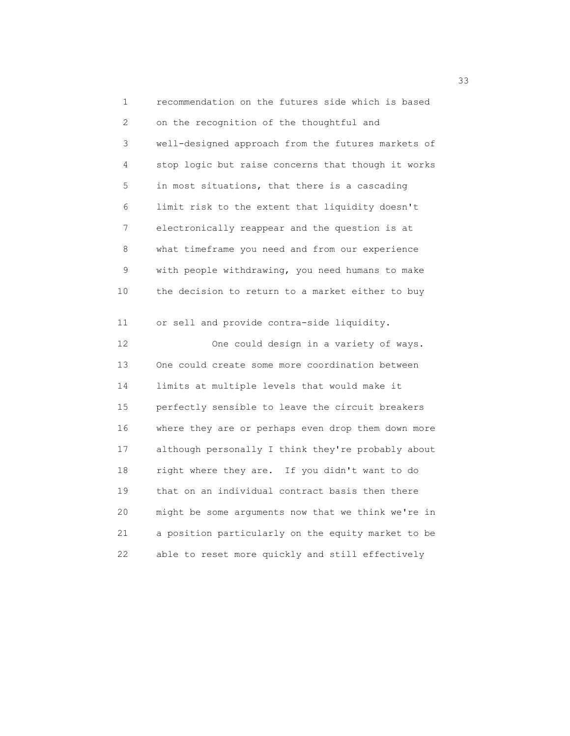1 recommendation on the futures side which is based 2 on the recognition of the thoughtful and 3 well-designed approach from the futures markets of 4 stop logic but raise concerns that though it works 5 in most situations, that there is a cascading 6 limit risk to the extent that liquidity doesn't 7 electronically reappear and the question is at 8 what timeframe you need and from our experience 9 with people withdrawing, you need humans to make 10 the decision to return to a market either to buy 11 or sell and provide contra-side liquidity. 12 One could design in a variety of ways. 13 One could create some more coordination between 14 limits at multiple levels that would make it 15 perfectly sensible to leave the circuit breakers 16 where they are or perhaps even drop them down more 17 although personally I think they're probably about 18 right where they are. If you didn't want to do 19 that on an individual contract basis then there 20 might be some arguments now that we think we're in 21 a position particularly on the equity market to be 22 able to reset more quickly and still effectively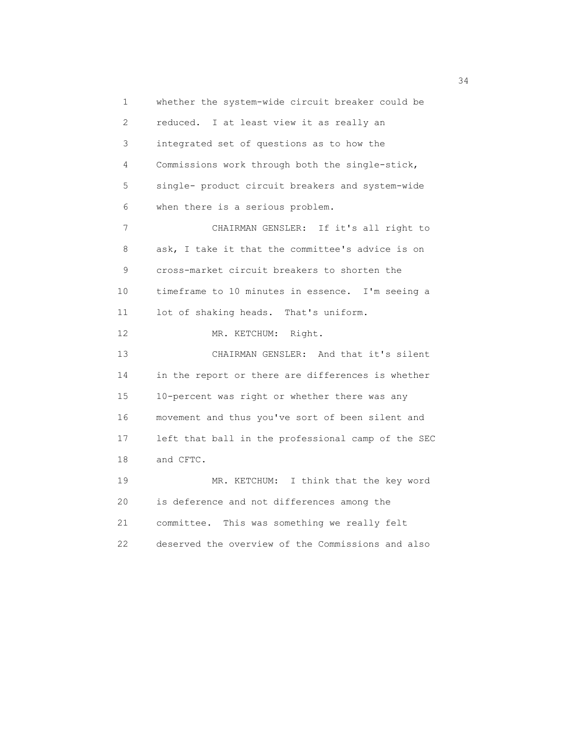1 whether the system-wide circuit breaker could be 2 reduced. I at least view it as really an 3 integrated set of questions as to how the 4 Commissions work through both the single-stick, 5 single- product circuit breakers and system-wide 6 when there is a serious problem. 7 CHAIRMAN GENSLER: If it's all right to 8 ask, I take it that the committee's advice is on 9 cross-market circuit breakers to shorten the 10 timeframe to 10 minutes in essence. I'm seeing a 11 lot of shaking heads. That's uniform. 12 MR. KETCHUM: Right. 13 CHAIRMAN GENSLER: And that it's silent 14 in the report or there are differences is whether 15 10-percent was right or whether there was any 16 movement and thus you've sort of been silent and 17 left that ball in the professional camp of the SEC 18 and CFTC. 19 MR. KETCHUM: I think that the key word 20 is deference and not differences among the 21 committee. This was something we really felt 22 deserved the overview of the Commissions and also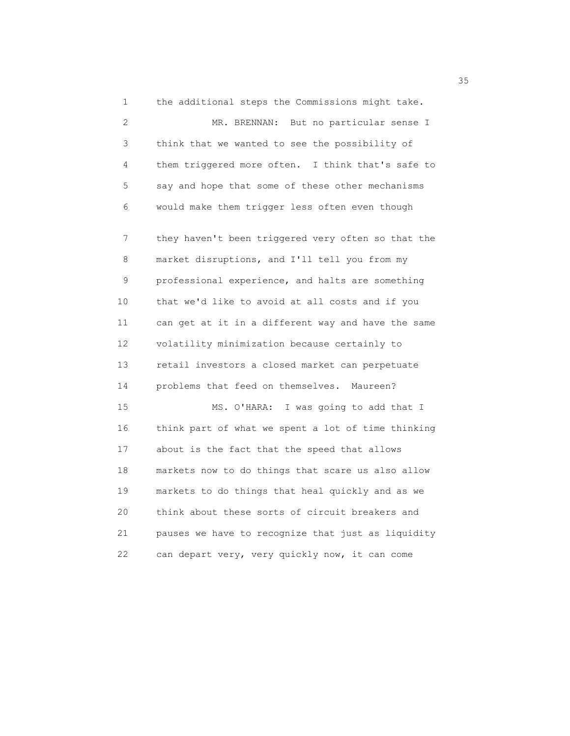1 the additional steps the Commissions might take. 2 MR. BRENNAN: But no particular sense I 3 think that we wanted to see the possibility of 4 them triggered more often. I think that's safe to 5 say and hope that some of these other mechanisms 6 would make them trigger less often even though 7 they haven't been triggered very often so that the 8 market disruptions, and I'll tell you from my 9 professional experience, and halts are something 10 that we'd like to avoid at all costs and if you 11 can get at it in a different way and have the same 12 volatility minimization because certainly to 13 retail investors a closed market can perpetuate 14 problems that feed on themselves. Maureen? 15 MS. O'HARA: I was going to add that I 16 think part of what we spent a lot of time thinking 17 about is the fact that the speed that allows 18 markets now to do things that scare us also allow 19 markets to do things that heal quickly and as we 20 think about these sorts of circuit breakers and 21 pauses we have to recognize that just as liquidity 22 can depart very, very quickly now, it can come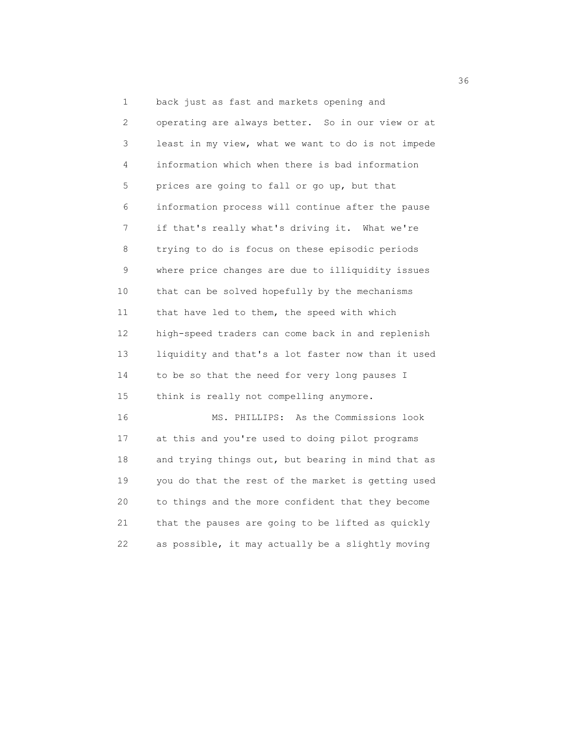2 operating are always better. So in our view or at 3 least in my view, what we want to do is not impede 4 information which when there is bad information 5 prices are going to fall or go up, but that 6 information process will continue after the pause 7 if that's really what's driving it. What we're 8 trying to do is focus on these episodic periods 9 where price changes are due to illiquidity issues 10 that can be solved hopefully by the mechanisms 11 that have led to them, the speed with which 12 high-speed traders can come back in and replenish 13 liquidity and that's a lot faster now than it used 14 to be so that the need for very long pauses I 15 think is really not compelling anymore.

 16 MS. PHILLIPS: As the Commissions look 17 at this and you're used to doing pilot programs 18 and trying things out, but bearing in mind that as 19 you do that the rest of the market is getting used 20 to things and the more confident that they become 21 that the pauses are going to be lifted as quickly 22 as possible, it may actually be a slightly moving

1 back just as fast and markets opening and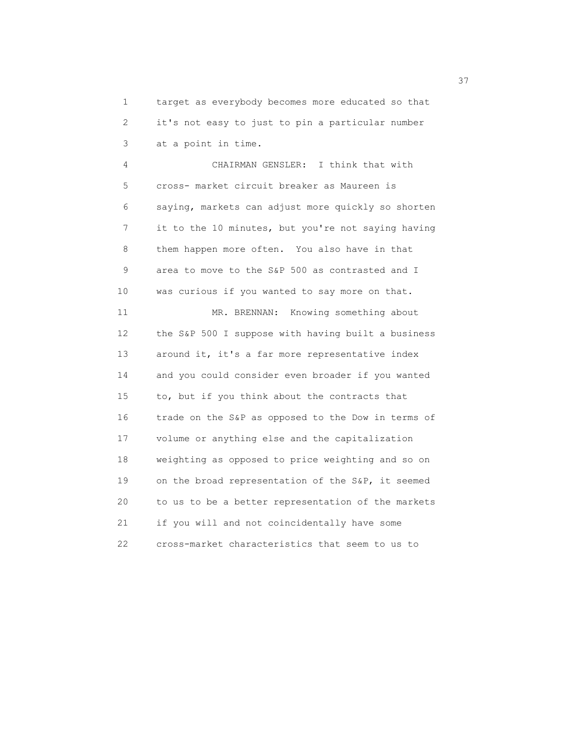1 target as everybody becomes more educated so that 2 it's not easy to just to pin a particular number 3 at a point in time.

 4 CHAIRMAN GENSLER: I think that with 5 cross- market circuit breaker as Maureen is 6 saying, markets can adjust more quickly so shorten 7 it to the 10 minutes, but you're not saying having 8 them happen more often. You also have in that 9 area to move to the S&P 500 as contrasted and I 10 was curious if you wanted to say more on that. 11 MR. BRENNAN: Knowing something about 12 the S&P 500 I suppose with having built a business 13 around it, it's a far more representative index 14 and you could consider even broader if you wanted 15 to, but if you think about the contracts that 16 trade on the S&P as opposed to the Dow in terms of 17 volume or anything else and the capitalization 18 weighting as opposed to price weighting and so on 19 on the broad representation of the S&P, it seemed 20 to us to be a better representation of the markets 21 if you will and not coincidentally have some 22 cross-market characteristics that seem to us to

<u>37</u>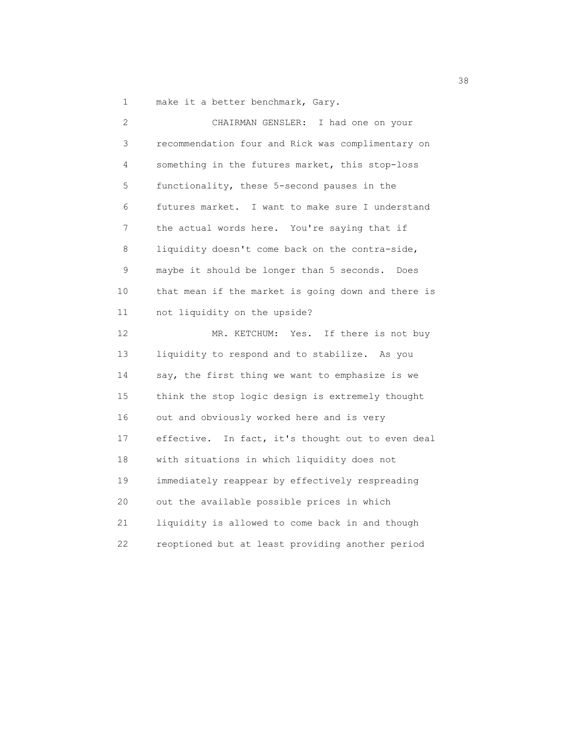1 make it a better benchmark, Gary.

| 2              | CHAIRMAN GENSLER:<br>I had one on your             |
|----------------|----------------------------------------------------|
| $\mathfrak{Z}$ | recommendation four and Rick was complimentary on  |
| 4              | something in the futures market, this stop-loss    |
| 5              | functionality, these 5-second pauses in the        |
| 6              | futures market. I want to make sure I understand   |
| 7              | the actual words here. You're saying that if       |
| 8              | liquidity doesn't come back on the contra-side,    |
| 9              | maybe it should be longer than 5 seconds. Does     |
| 10             | that mean if the market is going down and there is |
| 11             | not liquidity on the upside?                       |
| 12             | MR. KETCHUM: Yes. If there is not buy              |
| 13             | liquidity to respond and to stabilize. As you      |
| 14             | say, the first thing we want to emphasize is we    |
| 15             | think the stop logic design is extremely thought   |
| 16             | out and obviously worked here and is very          |
| 17             | effective. In fact, it's thought out to even deal  |
| 18             | with situations in which liquidity does not        |
| 19             | immediately reappear by effectively respreading    |
| 20             | out the available possible prices in which         |
| 21             | liquidity is allowed to come back in and though    |
| 22             | reoptioned but at least providing another period   |

38 and 38 and 38 and 38 and 38 and 38 and 38 and 38 and 38 and 38 and 38 and 38 and 38 and 38 and 38 and 38 an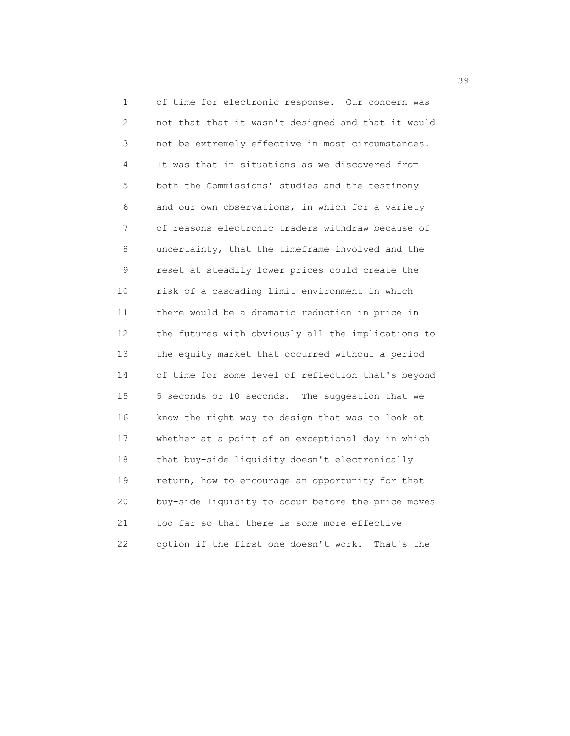1 of time for electronic response. Our concern was 2 not that that it wasn't designed and that it would 3 not be extremely effective in most circumstances. 4 It was that in situations as we discovered from 5 both the Commissions' studies and the testimony 6 and our own observations, in which for a variety 7 of reasons electronic traders withdraw because of 8 uncertainty, that the timeframe involved and the 9 reset at steadily lower prices could create the 10 risk of a cascading limit environment in which 11 there would be a dramatic reduction in price in 12 the futures with obviously all the implications to 13 the equity market that occurred without a period 14 of time for some level of reflection that's beyond 15 5 seconds or 10 seconds. The suggestion that we 16 know the right way to design that was to look at 17 whether at a point of an exceptional day in which 18 that buy-side liquidity doesn't electronically 19 return, how to encourage an opportunity for that 20 buy-side liquidity to occur before the price moves 21 too far so that there is some more effective 22 option if the first one doesn't work. That's the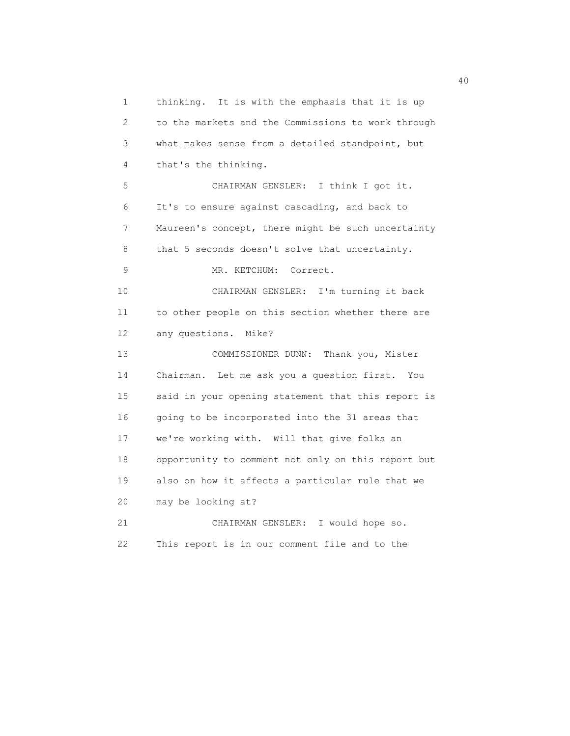1 thinking. It is with the emphasis that it is up 2 to the markets and the Commissions to work through 3 what makes sense from a detailed standpoint, but 4 that's the thinking. 5 CHAIRMAN GENSLER: I think I got it. 6 It's to ensure against cascading, and back to 7 Maureen's concept, there might be such uncertainty 8 that 5 seconds doesn't solve that uncertainty. 9 MR. KETCHUM: Correct. 10 CHAIRMAN GENSLER: I'm turning it back 11 to other people on this section whether there are 12 any questions. Mike? 13 COMMISSIONER DUNN: Thank you, Mister 14 Chairman. Let me ask you a question first. You 15 said in your opening statement that this report is 16 going to be incorporated into the 31 areas that 17 we're working with. Will that give folks an 18 opportunity to comment not only on this report but 19 also on how it affects a particular rule that we 20 may be looking at? 21 CHAIRMAN GENSLER: I would hope so. 22 This report is in our comment file and to the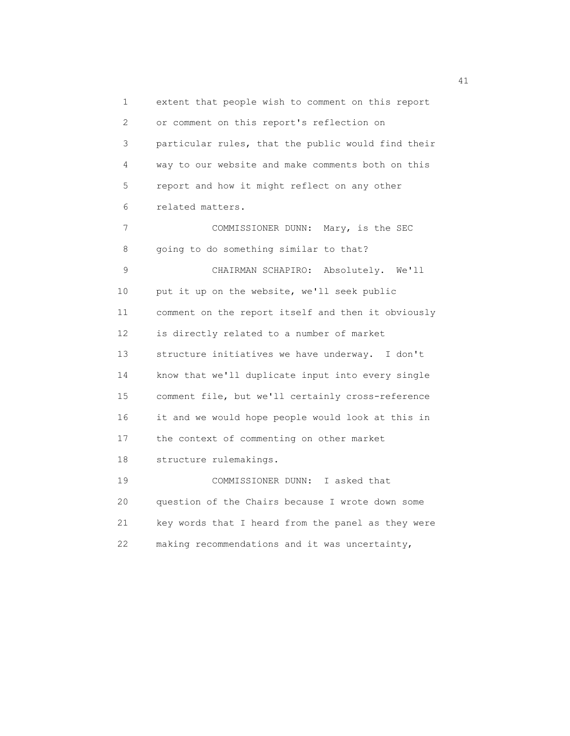1 extent that people wish to comment on this report 2 or comment on this report's reflection on 3 particular rules, that the public would find their 4 way to our website and make comments both on this 5 report and how it might reflect on any other 6 related matters. 7 COMMISSIONER DUNN: Mary, is the SEC 8 going to do something similar to that? 9 CHAIRMAN SCHAPIRO: Absolutely. We'll 10 put it up on the website, we'll seek public 11 comment on the report itself and then it obviously 12 is directly related to a number of market 13 structure initiatives we have underway. I don't 14 know that we'll duplicate input into every single 15 comment file, but we'll certainly cross-reference 16 it and we would hope people would look at this in 17 the context of commenting on other market 18 structure rulemakings. 19 COMMISSIONER DUNN: I asked that 20 question of the Chairs because I wrote down some 21 key words that I heard from the panel as they were 22 making recommendations and it was uncertainty,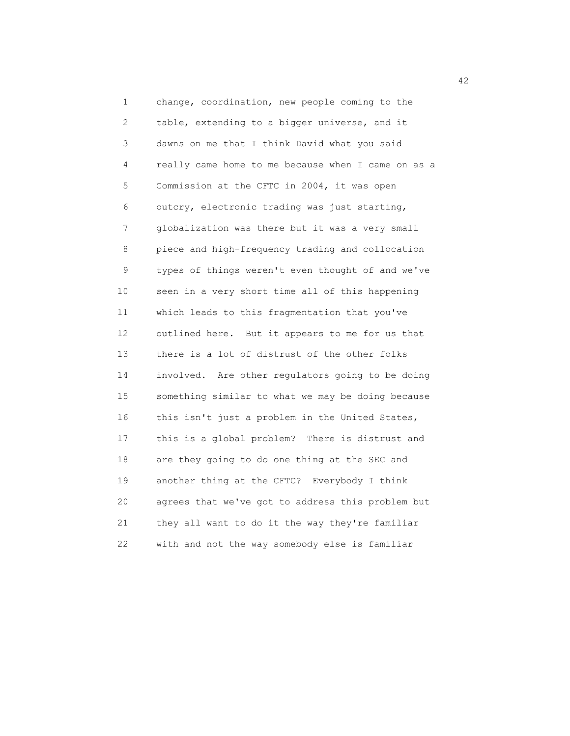1 change, coordination, new people coming to the 2 table, extending to a bigger universe, and it 3 dawns on me that I think David what you said 4 really came home to me because when I came on as a 5 Commission at the CFTC in 2004, it was open 6 outcry, electronic trading was just starting, 7 globalization was there but it was a very small 8 piece and high-frequency trading and collocation 9 types of things weren't even thought of and we've 10 seen in a very short time all of this happening 11 which leads to this fragmentation that you've 12 outlined here. But it appears to me for us that 13 there is a lot of distrust of the other folks 14 involved. Are other regulators going to be doing 15 something similar to what we may be doing because 16 this isn't just a problem in the United States, 17 this is a global problem? There is distrust and 18 are they going to do one thing at the SEC and 19 another thing at the CFTC? Everybody I think 20 agrees that we've got to address this problem but 21 they all want to do it the way they're familiar 22 with and not the way somebody else is familiar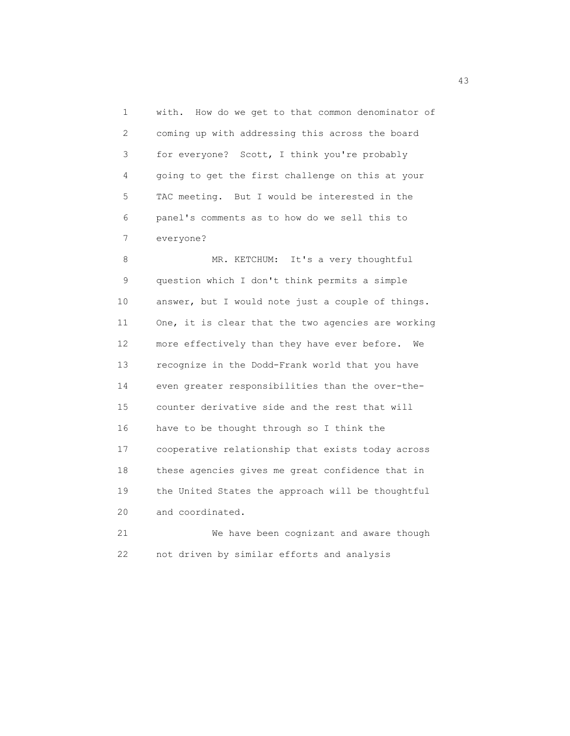1 with. How do we get to that common denominator of 2 coming up with addressing this across the board 3 for everyone? Scott, I think you're probably 4 going to get the first challenge on this at your 5 TAC meeting. But I would be interested in the 6 panel's comments as to how do we sell this to 7 everyone?

8 MR. KETCHUM: It's a very thoughtful 9 question which I don't think permits a simple 10 answer, but I would note just a couple of things. 11 One, it is clear that the two agencies are working 12 more effectively than they have ever before. We 13 recognize in the Dodd-Frank world that you have 14 even greater responsibilities than the over-the- 15 counter derivative side and the rest that will 16 have to be thought through so I think the 17 cooperative relationship that exists today across 18 these agencies gives me great confidence that in 19 the United States the approach will be thoughtful 20 and coordinated. 21 We have been cognizant and aware though

22 not driven by similar efforts and analysis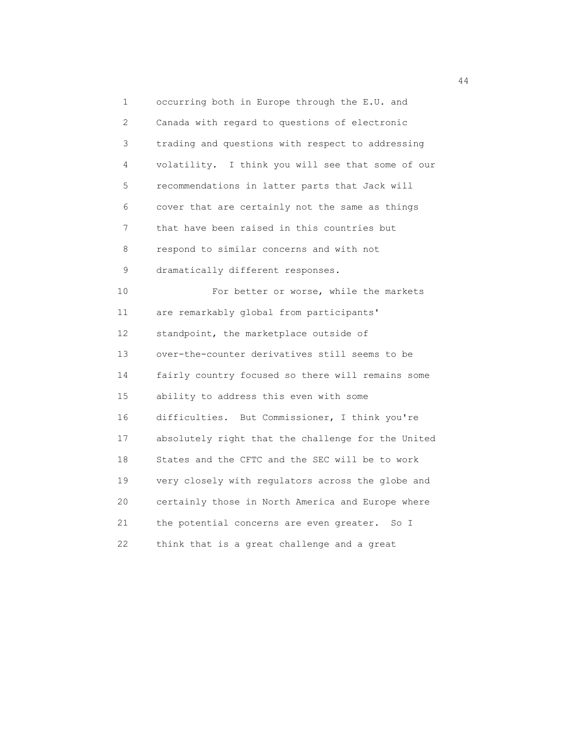1 occurring both in Europe through the E.U. and 2 Canada with regard to questions of electronic 3 trading and questions with respect to addressing 4 volatility. I think you will see that some of our 5 recommendations in latter parts that Jack will 6 cover that are certainly not the same as things 7 that have been raised in this countries but 8 respond to similar concerns and with not 9 dramatically different responses. 10 For better or worse, while the markets 11 are remarkably global from participants' 12 standpoint, the marketplace outside of 13 over-the-counter derivatives still seems to be 14 fairly country focused so there will remains some 15 ability to address this even with some 16 difficulties. But Commissioner, I think you're 17 absolutely right that the challenge for the United 18 States and the CFTC and the SEC will be to work 19 very closely with regulators across the globe and 20 certainly those in North America and Europe where 21 the potential concerns are even greater. So I 22 think that is a great challenge and a great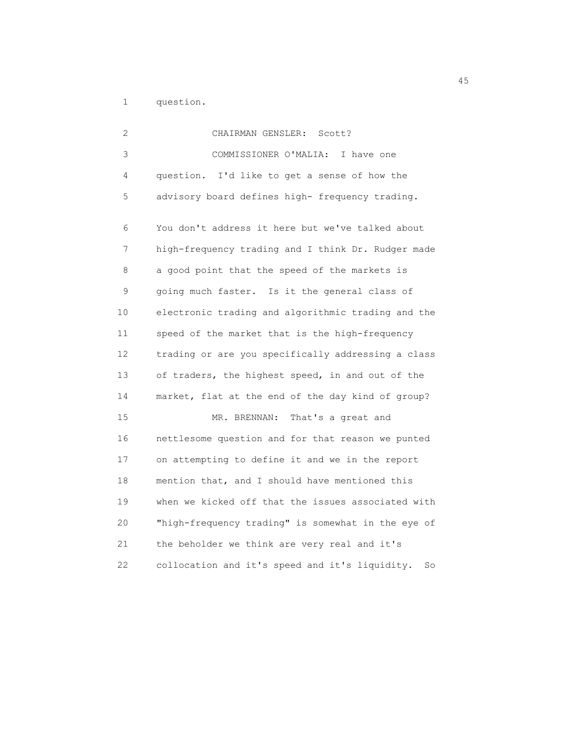1 question.

| 2  | CHAIRMAN GENSLER:<br>Scott?                          |
|----|------------------------------------------------------|
| 3  | COMMISSIONER O'MALIA:<br>I have one                  |
| 4  | question. I'd like to get a sense of how the         |
| 5  | advisory board defines high- frequency trading.      |
| 6  | You don't address it here but we've talked about     |
| 7  | high-frequency trading and I think Dr. Rudger made   |
| 8  | a good point that the speed of the markets is        |
| 9  | going much faster. Is it the general class of        |
| 10 | electronic trading and algorithmic trading and the   |
| 11 | speed of the market that is the high-frequency       |
| 12 | trading or are you specifically addressing a class   |
| 13 | of traders, the highest speed, in and out of the     |
| 14 | market, flat at the end of the day kind of group?    |
| 15 | MR. BRENNAN:<br>That's a great and                   |
| 16 | nettlesome question and for that reason we punted    |
| 17 | on attempting to define it and we in the report      |
| 18 | mention that, and I should have mentioned this       |
| 19 | when we kicked off that the issues associated with   |
| 20 | "high-frequency trading" is somewhat in the eye of   |
| 21 | the beholder we think are very real and it's         |
| 22 | collocation and it's speed and it's liquidity.<br>So |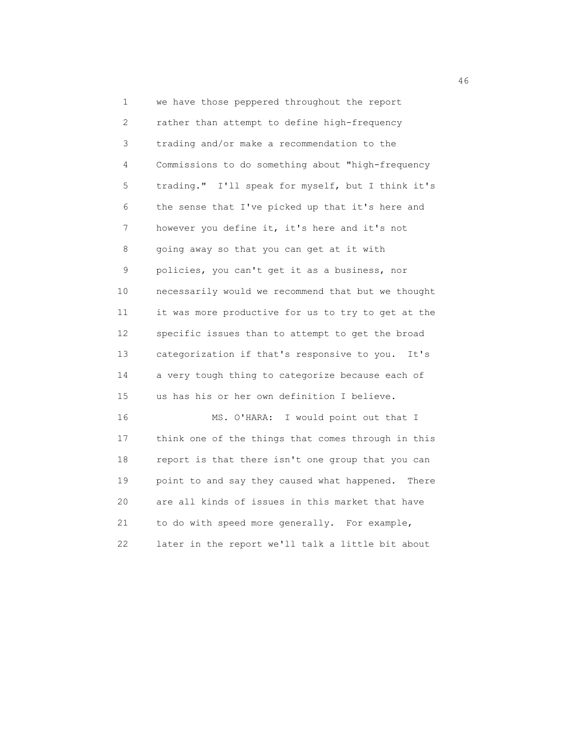1 we have those peppered throughout the report 2 rather than attempt to define high-frequency 3 trading and/or make a recommendation to the 4 Commissions to do something about "high-frequency 5 trading." I'll speak for myself, but I think it's 6 the sense that I've picked up that it's here and 7 however you define it, it's here and it's not 8 going away so that you can get at it with 9 policies, you can't get it as a business, nor 10 necessarily would we recommend that but we thought 11 it was more productive for us to try to get at the 12 specific issues than to attempt to get the broad 13 categorization if that's responsive to you. It's 14 a very tough thing to categorize because each of 15 us has his or her own definition I believe. 16 MS. O'HARA: I would point out that I 17 think one of the things that comes through in this 18 report is that there isn't one group that you can 19 point to and say they caused what happened. There

 20 are all kinds of issues in this market that have 21 to do with speed more generally. For example, 22 later in the report we'll talk a little bit about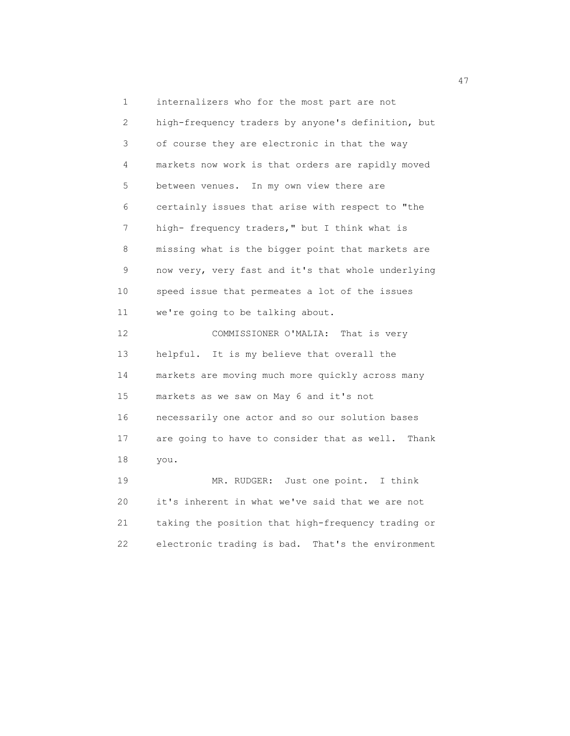1 internalizers who for the most part are not 2 high-frequency traders by anyone's definition, but 3 of course they are electronic in that the way 4 markets now work is that orders are rapidly moved 5 between venues. In my own view there are 6 certainly issues that arise with respect to "the 7 high- frequency traders," but I think what is 8 missing what is the bigger point that markets are 9 now very, very fast and it's that whole underlying 10 speed issue that permeates a lot of the issues 11 we're going to be talking about. 12 COMMISSIONER O'MALIA: That is very 13 helpful. It is my believe that overall the 14 markets are moving much more quickly across many 15 markets as we saw on May 6 and it's not 16 necessarily one actor and so our solution bases 17 are going to have to consider that as well. Thank 18 you. 19 MR. RUDGER: Just one point. I think

 20 it's inherent in what we've said that we are not 21 taking the position that high-frequency trading or 22 electronic trading is bad. That's the environment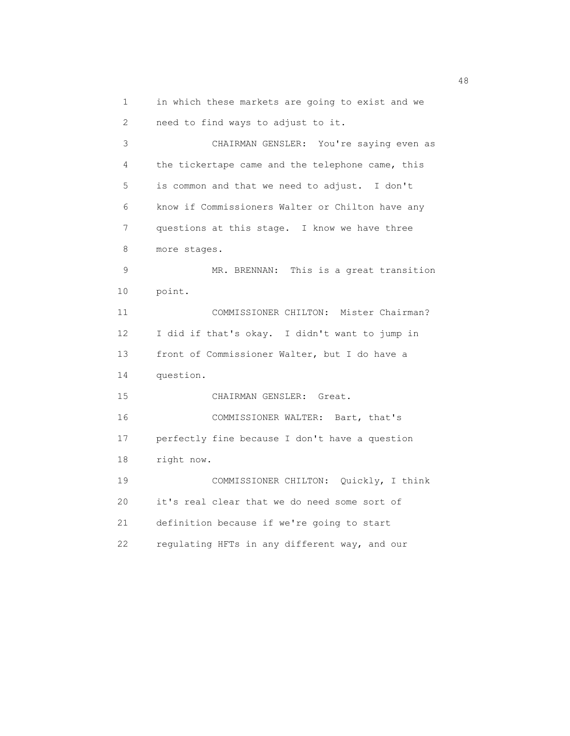1 in which these markets are going to exist and we

2 need to find ways to adjust to it.

 3 CHAIRMAN GENSLER: You're saying even as 4 the tickertape came and the telephone came, this 5 is common and that we need to adjust. I don't 6 know if Commissioners Walter or Chilton have any 7 questions at this stage. I know we have three 8 more stages. 9 MR. BRENNAN: This is a great transition 10 point. 11 COMMISSIONER CHILTON: Mister Chairman? 12 I did if that's okay. I didn't want to jump in 13 front of Commissioner Walter, but I do have a 14 question. 15 CHAIRMAN GENSLER: Great. 16 COMMISSIONER WALTER: Bart, that's 17 perfectly fine because I don't have a question 18 right now. 19 COMMISSIONER CHILTON: Quickly, I think 20 it's real clear that we do need some sort of 21 definition because if we're going to start 22 regulating HFTs in any different way, and our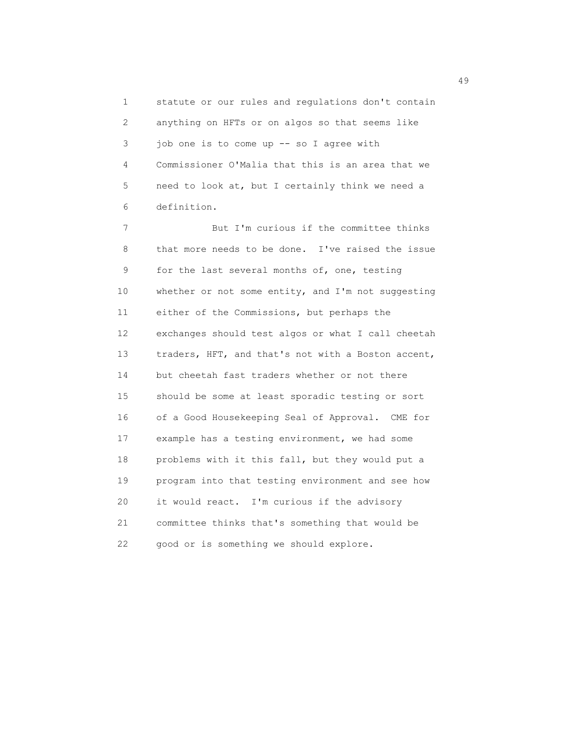1 statute or our rules and regulations don't contain 2 anything on HFTs or on algos so that seems like 3 job one is to come up -- so I agree with 4 Commissioner O'Malia that this is an area that we 5 need to look at, but I certainly think we need a 6 definition.

 7 But I'm curious if the committee thinks 8 that more needs to be done. I've raised the issue 9 for the last several months of, one, testing 10 whether or not some entity, and I'm not suggesting 11 either of the Commissions, but perhaps the 12 exchanges should test algos or what I call cheetah 13 traders, HFT, and that's not with a Boston accent, 14 but cheetah fast traders whether or not there 15 should be some at least sporadic testing or sort 16 of a Good Housekeeping Seal of Approval. CME for 17 example has a testing environment, we had some 18 problems with it this fall, but they would put a 19 program into that testing environment and see how 20 it would react. I'm curious if the advisory 21 committee thinks that's something that would be 22 good or is something we should explore.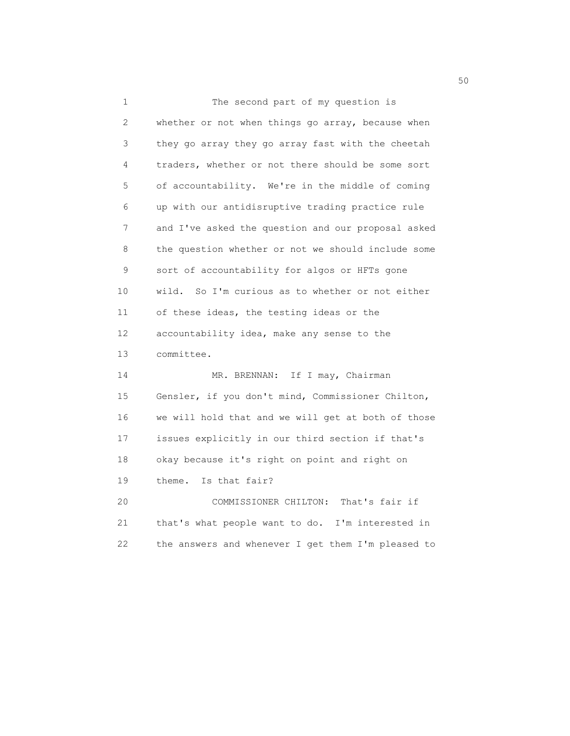| 1  | The second part of my question is                   |
|----|-----------------------------------------------------|
| 2  | whether or not when things go array, because when   |
| 3  | they go array they go array fast with the cheetah   |
| 4  | traders, whether or not there should be some sort   |
| 5  | of accountability. We're in the middle of coming    |
| 6  | up with our antidisruptive trading practice rule    |
| 7  | and I've asked the question and our proposal asked  |
| 8  | the question whether or not we should include some  |
| 9  | sort of accountability for algos or HFTs gone       |
| 10 | wild.<br>So I'm curious as to whether or not either |
| 11 | of these ideas, the testing ideas or the            |
| 12 | accountability idea, make any sense to the          |
| 13 | committee.                                          |
| 14 | If I may, Chairman<br>MR. BRENNAN:                  |
| 15 | Gensler, if you don't mind, Commissioner Chilton,   |
| 16 | we will hold that and we will get at both of those  |
| 17 | issues explicitly in our third section if that's    |
| 18 | okay because it's right on point and right on       |
| 19 | Is that fair?<br>theme.                             |
| 20 | COMMISSIONER CHILTON: That's fair if                |
| 21 | that's what people want to do. I'm interested in    |
| 22 | the answers and whenever I get them I'm pleased to  |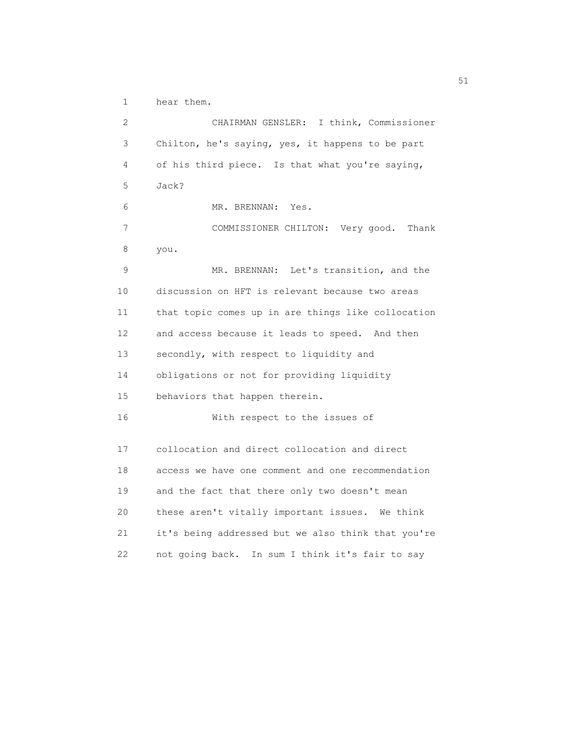1 hear them.

 2 CHAIRMAN GENSLER: I think, Commissioner 3 Chilton, he's saying, yes, it happens to be part 4 of his third piece. Is that what you're saying, 5 Jack? 6 MR. BRENNAN: Yes. 7 COMMISSIONER CHILTON: Very good. Thank 8 you. 9 MR. BRENNAN: Let's transition, and the 10 discussion on HFT is relevant because two areas 11 that topic comes up in are things like collocation 12 and access because it leads to speed. And then 13 secondly, with respect to liquidity and 14 obligations or not for providing liquidity 15 behaviors that happen therein. 16 With respect to the issues of 17 collocation and direct collocation and direct 18 access we have one comment and one recommendation 19 and the fact that there only two doesn't mean 20 these aren't vitally important issues. We think 21 it's being addressed but we also think that you're 22 not going back. In sum I think it's fair to say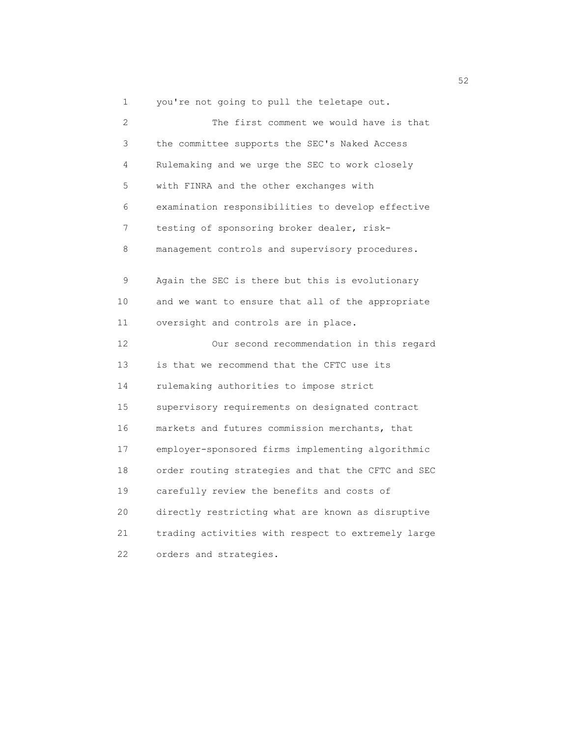1 you're not going to pull the teletape out.

| 2  | The first comment we would have is that            |
|----|----------------------------------------------------|
| 3  | the committee supports the SEC's Naked Access      |
| 4  | Rulemaking and we urge the SEC to work closely     |
| 5  | with FINRA and the other exchanges with            |
| 6  | examination responsibilities to develop effective  |
| 7  | testing of sponsoring broker dealer, risk-         |
| 8  | management controls and supervisory procedures.    |
| 9  | Again the SEC is there but this is evolutionary    |
| 10 | and we want to ensure that all of the appropriate  |
| 11 | oversight and controls are in place.               |
| 12 | Our second recommendation in this regard           |
| 13 | is that we recommend that the CFTC use its         |
| 14 | rulemaking authorities to impose strict            |
| 15 | supervisory requirements on designated contract    |
| 16 | markets and futures commission merchants, that     |
| 17 | employer-sponsored firms implementing algorithmic  |
| 18 | order routing strategies and that the CFTC and SEC |
| 19 | carefully review the benefits and costs of         |
| 20 | directly restricting what are known as disruptive  |
| 21 | trading activities with respect to extremely large |
| 22 | orders and strategies.                             |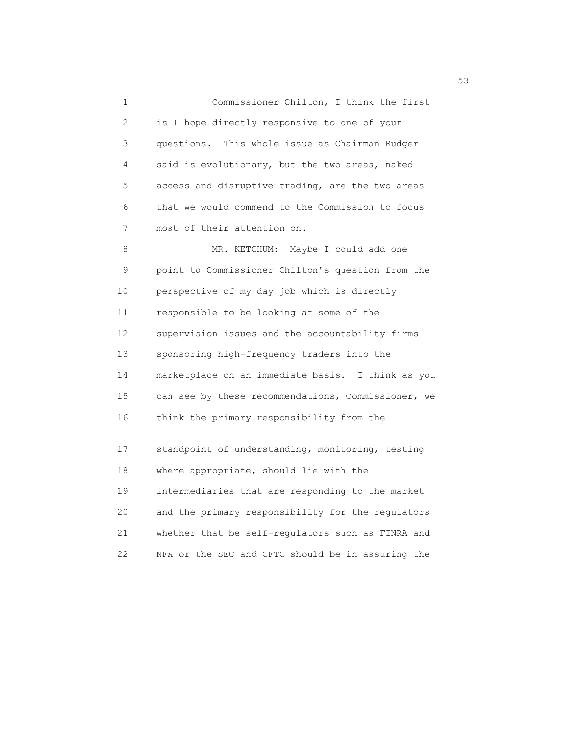1 Commissioner Chilton, I think the first 2 is I hope directly responsive to one of your 3 questions. This whole issue as Chairman Rudger 4 said is evolutionary, but the two areas, naked 5 access and disruptive trading, are the two areas 6 that we would commend to the Commission to focus 7 most of their attention on. 8 MR. KETCHUM: Maybe I could add one 9 point to Commissioner Chilton's question from the 10 perspective of my day job which is directly 11 responsible to be looking at some of the 12 supervision issues and the accountability firms 13 sponsoring high-frequency traders into the 14 marketplace on an immediate basis. I think as you 15 can see by these recommendations, Commissioner, we 16 think the primary responsibility from the 17 standpoint of understanding, monitoring, testing 18 where appropriate, should lie with the 19 intermediaries that are responding to the market 20 and the primary responsibility for the regulators 21 whether that be self-regulators such as FINRA and

22 NFA or the SEC and CFTC should be in assuring the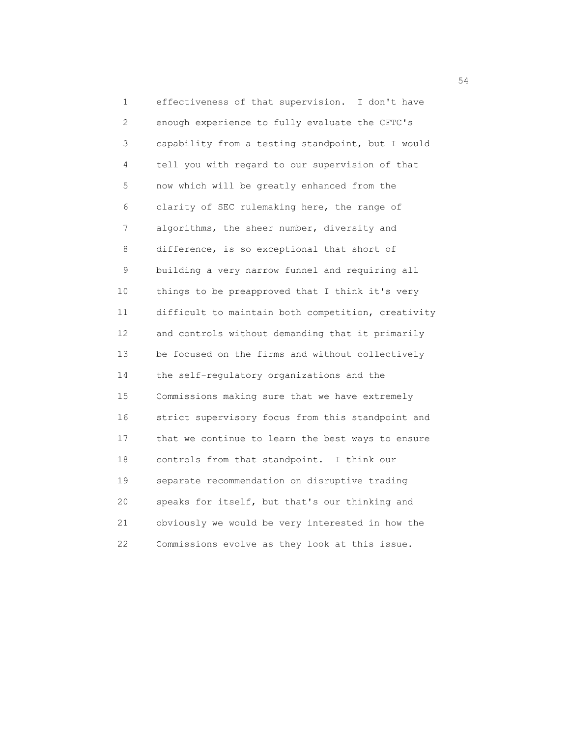1 effectiveness of that supervision. I don't have 2 enough experience to fully evaluate the CFTC's 3 capability from a testing standpoint, but I would 4 tell you with regard to our supervision of that 5 now which will be greatly enhanced from the 6 clarity of SEC rulemaking here, the range of 7 algorithms, the sheer number, diversity and 8 difference, is so exceptional that short of 9 building a very narrow funnel and requiring all 10 things to be preapproved that I think it's very 11 difficult to maintain both competition, creativity 12 and controls without demanding that it primarily 13 be focused on the firms and without collectively 14 the self-regulatory organizations and the 15 Commissions making sure that we have extremely 16 strict supervisory focus from this standpoint and 17 that we continue to learn the best ways to ensure 18 controls from that standpoint. I think our 19 separate recommendation on disruptive trading 20 speaks for itself, but that's our thinking and 21 obviously we would be very interested in how the 22 Commissions evolve as they look at this issue.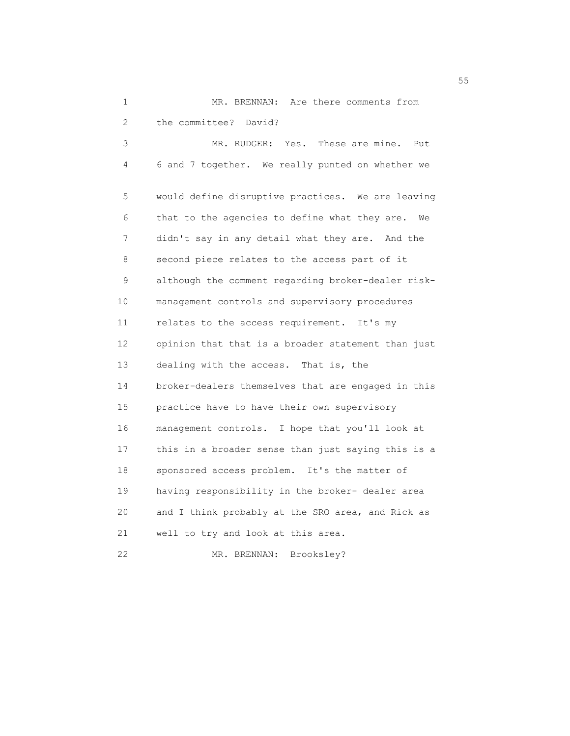1 MR. BRENNAN: Are there comments from 2 the committee? David? 3 MR. RUDGER: Yes. These are mine. Put 4 6 and 7 together. We really punted on whether we 5 would define disruptive practices. We are leaving 6 that to the agencies to define what they are. We 7 didn't say in any detail what they are. And the 8 second piece relates to the access part of it 9 although the comment regarding broker-dealer risk- 10 management controls and supervisory procedures 11 relates to the access requirement. It's my 12 opinion that that is a broader statement than just 13 dealing with the access. That is, the 14 broker-dealers themselves that are engaged in this 15 practice have to have their own supervisory 16 management controls. I hope that you'll look at 17 this in a broader sense than just saying this is a 18 sponsored access problem. It's the matter of 19 having responsibility in the broker- dealer area 20 and I think probably at the SRO area, and Rick as 21 well to try and look at this area. 22 MR. BRENNAN: Brooksley?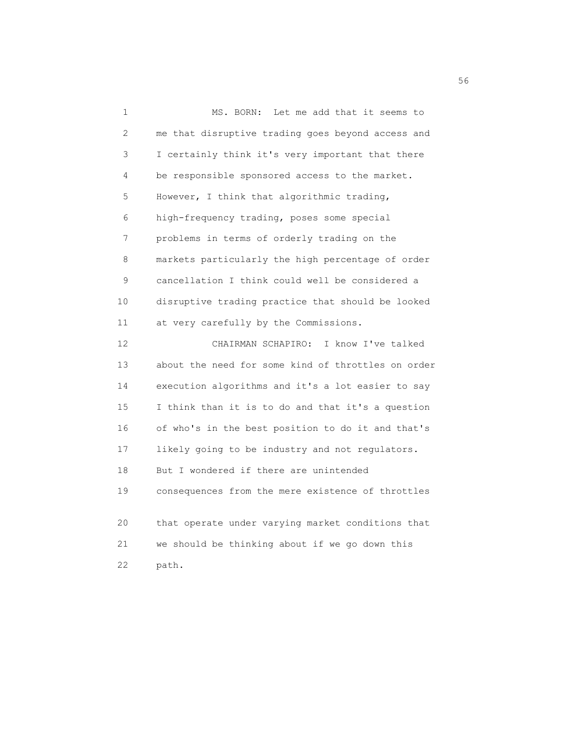1 MS. BORN: Let me add that it seems to 2 me that disruptive trading goes beyond access and 3 I certainly think it's very important that there 4 be responsible sponsored access to the market. 5 However, I think that algorithmic trading, 6 high-frequency trading, poses some special 7 problems in terms of orderly trading on the 8 markets particularly the high percentage of order 9 cancellation I think could well be considered a 10 disruptive trading practice that should be looked 11 at very carefully by the Commissions. 12 CHAIRMAN SCHAPIRO: I know I've talked 13 about the need for some kind of throttles on order 14 execution algorithms and it's a lot easier to say 15 I think than it is to do and that it's a question 16 of who's in the best position to do it and that's 17 likely going to be industry and not regulators. 18 But I wondered if there are unintended 19 consequences from the mere existence of throttles 20 that operate under varying market conditions that 21 we should be thinking about if we go down this 22 path.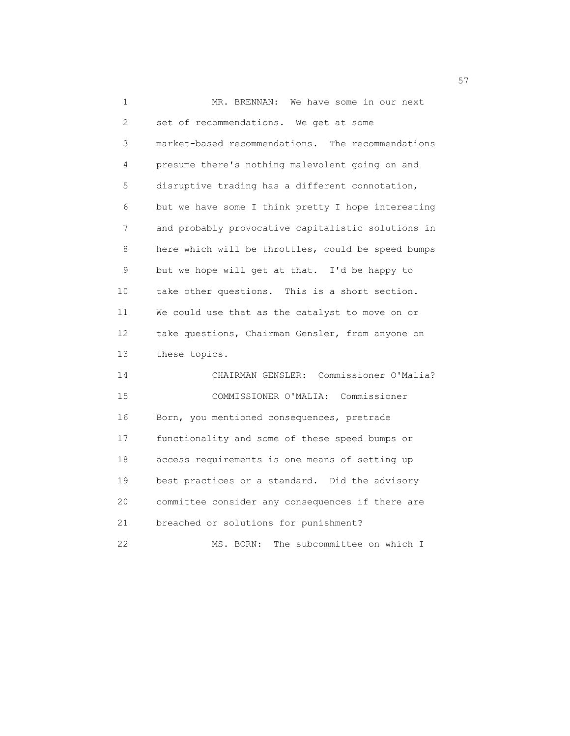1 MR. BRENNAN: We have some in our next 2 set of recommendations. We get at some 3 market-based recommendations. The recommendations 4 presume there's nothing malevolent going on and 5 disruptive trading has a different connotation, 6 but we have some I think pretty I hope interesting 7 and probably provocative capitalistic solutions in 8 here which will be throttles, could be speed bumps 9 but we hope will get at that. I'd be happy to 10 take other questions. This is a short section. 11 We could use that as the catalyst to move on or 12 take questions, Chairman Gensler, from anyone on 13 these topics. 14 CHAIRMAN GENSLER: Commissioner O'Malia? 15 COMMISSIONER O'MALIA: Commissioner 16 Born, you mentioned consequences, pretrade 17 functionality and some of these speed bumps or 18 access requirements is one means of setting up 19 best practices or a standard. Did the advisory 20 committee consider any consequences if there are 21 breached or solutions for punishment? 22 MS. BORN: The subcommittee on which I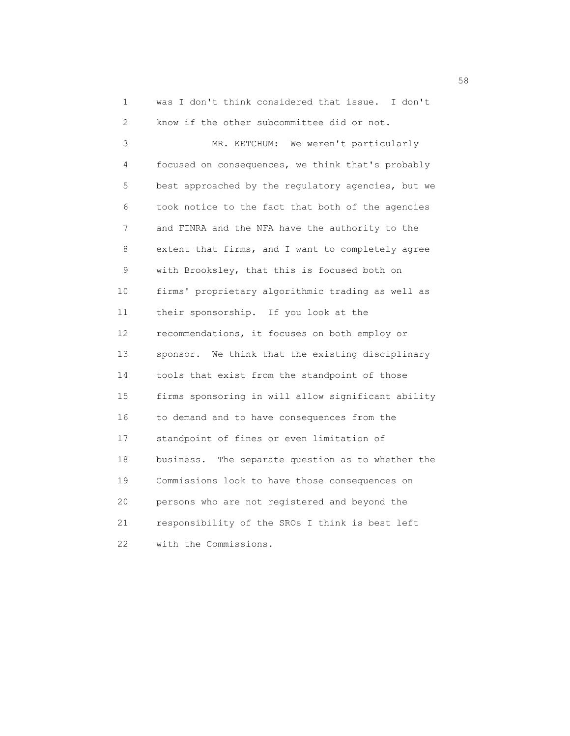1 was I don't think considered that issue. I don't 2 know if the other subcommittee did or not. 3 MR. KETCHUM: We weren't particularly 4 focused on consequences, we think that's probably 5 best approached by the regulatory agencies, but we 6 took notice to the fact that both of the agencies 7 and FINRA and the NFA have the authority to the 8 extent that firms, and I want to completely agree 9 with Brooksley, that this is focused both on 10 firms' proprietary algorithmic trading as well as 11 their sponsorship. If you look at the 12 recommendations, it focuses on both employ or 13 sponsor. We think that the existing disciplinary 14 tools that exist from the standpoint of those 15 firms sponsoring in will allow significant ability 16 to demand and to have consequences from the 17 standpoint of fines or even limitation of 18 business. The separate question as to whether the 19 Commissions look to have those consequences on 20 persons who are not registered and beyond the 21 responsibility of the SROs I think is best left 22 with the Commissions.

 $58<sup>8</sup>$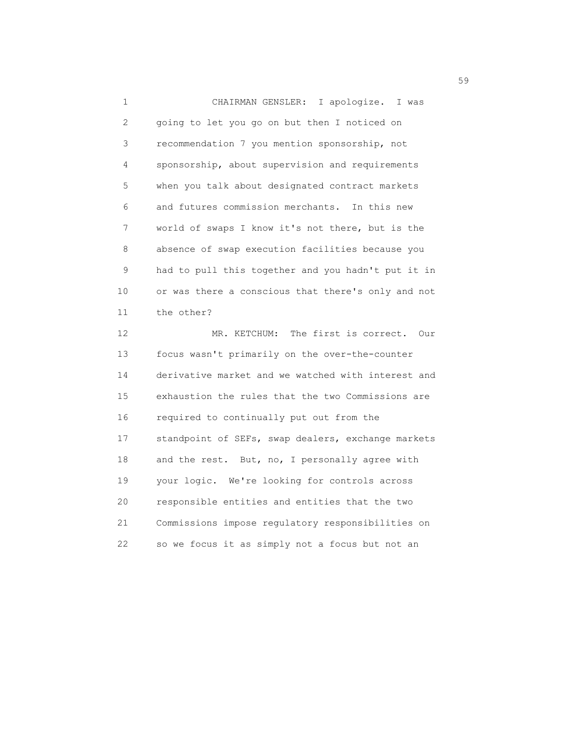1 CHAIRMAN GENSLER: I apologize. I was 2 going to let you go on but then I noticed on 3 recommendation 7 you mention sponsorship, not 4 sponsorship, about supervision and requirements 5 when you talk about designated contract markets 6 and futures commission merchants. In this new 7 world of swaps I know it's not there, but is the 8 absence of swap execution facilities because you 9 had to pull this together and you hadn't put it in 10 or was there a conscious that there's only and not 11 the other? 12 MR. KETCHUM: The first is correct. Our 13 focus wasn't primarily on the over-the-counter 14 derivative market and we watched with interest and 15 exhaustion the rules that the two Commissions are 16 required to continually put out from the 17 standpoint of SEFs, swap dealers, exchange markets 18 and the rest. But, no, I personally agree with 19 your logic. We're looking for controls across 20 responsible entities and entities that the two 21 Commissions impose regulatory responsibilities on 22 so we focus it as simply not a focus but not an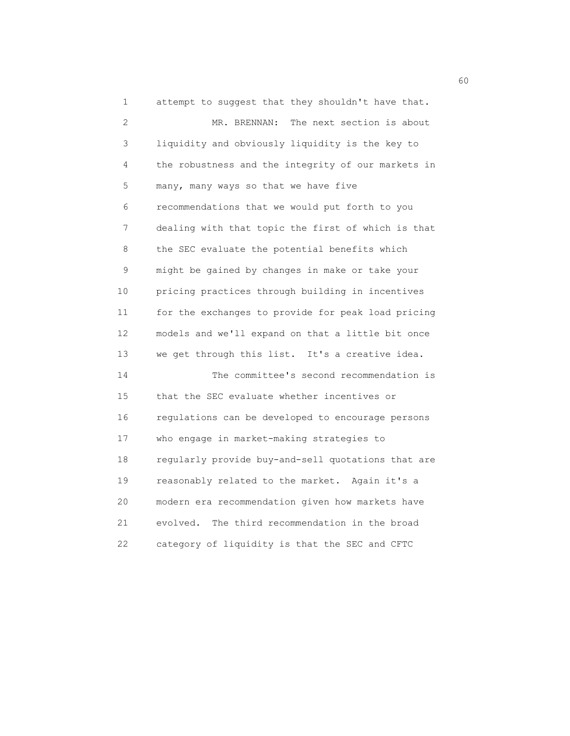1 attempt to suggest that they shouldn't have that. 2 MR. BRENNAN: The next section is about 3 liquidity and obviously liquidity is the key to 4 the robustness and the integrity of our markets in 5 many, many ways so that we have five 6 recommendations that we would put forth to you 7 dealing with that topic the first of which is that 8 the SEC evaluate the potential benefits which 9 might be gained by changes in make or take your 10 pricing practices through building in incentives 11 for the exchanges to provide for peak load pricing 12 models and we'll expand on that a little bit once 13 we get through this list. It's a creative idea. 14 The committee's second recommendation is 15 that the SEC evaluate whether incentives or 16 regulations can be developed to encourage persons 17 who engage in market-making strategies to 18 regularly provide buy-and-sell quotations that are 19 reasonably related to the market. Again it's a 20 modern era recommendation given how markets have 21 evolved. The third recommendation in the broad 22 category of liquidity is that the SEC and CFTC

 $\sim$  60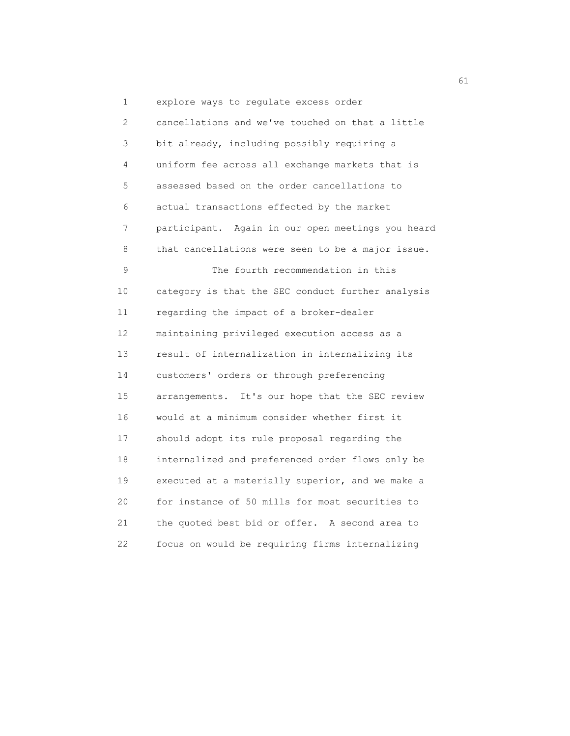1 explore ways to regulate excess order 2 cancellations and we've touched on that a little 3 bit already, including possibly requiring a 4 uniform fee across all exchange markets that is 5 assessed based on the order cancellations to 6 actual transactions effected by the market 7 participant. Again in our open meetings you heard 8 that cancellations were seen to be a major issue. 9 The fourth recommendation in this 10 category is that the SEC conduct further analysis 11 regarding the impact of a broker-dealer 12 maintaining privileged execution access as a 13 result of internalization in internalizing its 14 customers' orders or through preferencing 15 arrangements. It's our hope that the SEC review 16 would at a minimum consider whether first it 17 should adopt its rule proposal regarding the 18 internalized and preferenced order flows only be 19 executed at a materially superior, and we make a 20 for instance of 50 mills for most securities to 21 the quoted best bid or offer. A second area to 22 focus on would be requiring firms internalizing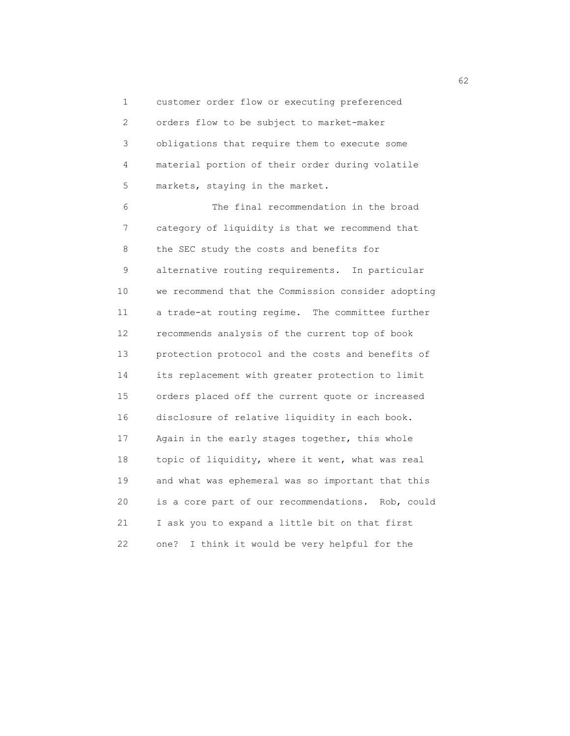1 customer order flow or executing preferenced 2 orders flow to be subject to market-maker 3 obligations that require them to execute some 4 material portion of their order during volatile 5 markets, staying in the market.

 6 The final recommendation in the broad 7 category of liquidity is that we recommend that 8 the SEC study the costs and benefits for 9 alternative routing requirements. In particular 10 we recommend that the Commission consider adopting 11 a trade-at routing regime. The committee further 12 recommends analysis of the current top of book 13 protection protocol and the costs and benefits of 14 its replacement with greater protection to limit 15 orders placed off the current quote or increased 16 disclosure of relative liquidity in each book. 17 Again in the early stages together, this whole 18 topic of liquidity, where it went, what was real 19 and what was ephemeral was so important that this 20 is a core part of our recommendations. Rob, could 21 I ask you to expand a little bit on that first 22 one? I think it would be very helpful for the

 $\sim$  62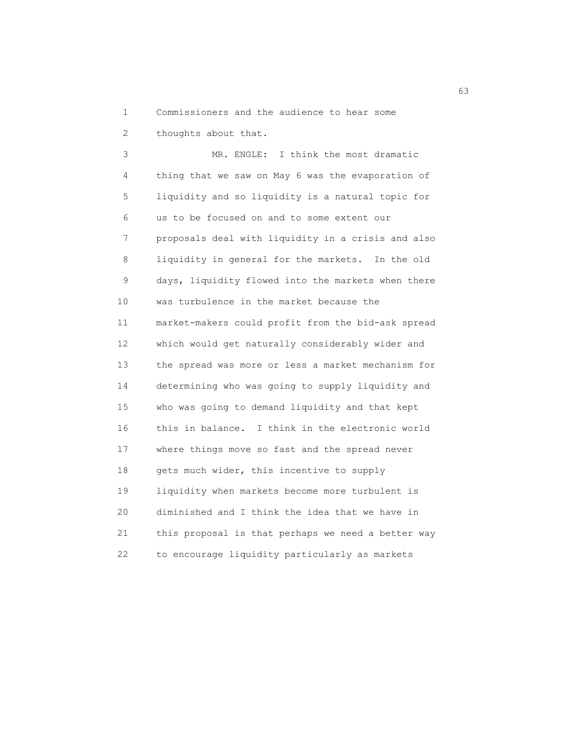1 Commissioners and the audience to hear some

2 thoughts about that.

 3 MR. ENGLE: I think the most dramatic 4 thing that we saw on May 6 was the evaporation of 5 liquidity and so liquidity is a natural topic for 6 us to be focused on and to some extent our 7 proposals deal with liquidity in a crisis and also 8 liquidity in general for the markets. In the old 9 days, liquidity flowed into the markets when there 10 was turbulence in the market because the 11 market-makers could profit from the bid-ask spread 12 which would get naturally considerably wider and 13 the spread was more or less a market mechanism for 14 determining who was going to supply liquidity and 15 who was going to demand liquidity and that kept 16 this in balance. I think in the electronic world 17 where things move so fast and the spread never 18 gets much wider, this incentive to supply 19 liquidity when markets become more turbulent is 20 diminished and I think the idea that we have in 21 this proposal is that perhaps we need a better way 22 to encourage liquidity particularly as markets

 $\sim$  63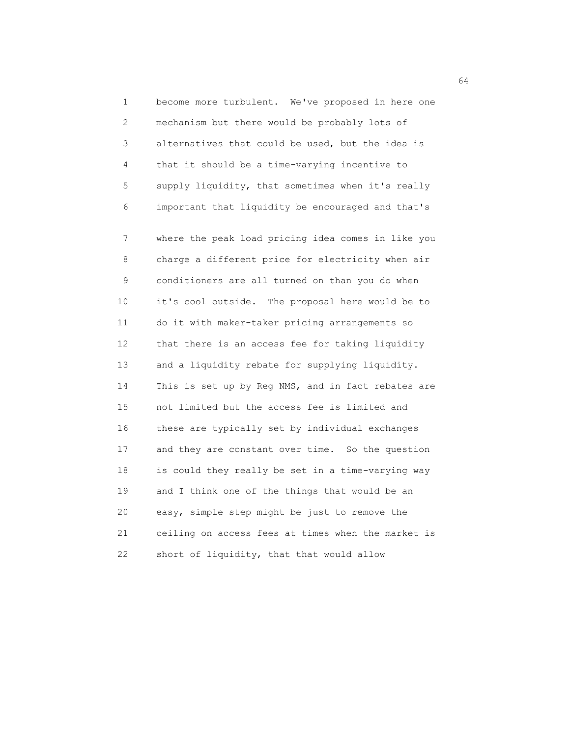1 become more turbulent. We've proposed in here one 2 mechanism but there would be probably lots of 3 alternatives that could be used, but the idea is 4 that it should be a time-varying incentive to 5 supply liquidity, that sometimes when it's really 6 important that liquidity be encouraged and that's

 7 where the peak load pricing idea comes in like you 8 charge a different price for electricity when air 9 conditioners are all turned on than you do when 10 it's cool outside. The proposal here would be to 11 do it with maker-taker pricing arrangements so 12 that there is an access fee for taking liquidity 13 and a liquidity rebate for supplying liquidity. 14 This is set up by Reg NMS, and in fact rebates are 15 not limited but the access fee is limited and 16 these are typically set by individual exchanges 17 and they are constant over time. So the question 18 is could they really be set in a time-varying way 19 and I think one of the things that would be an 20 easy, simple step might be just to remove the 21 ceiling on access fees at times when the market is 22 short of liquidity, that that would allow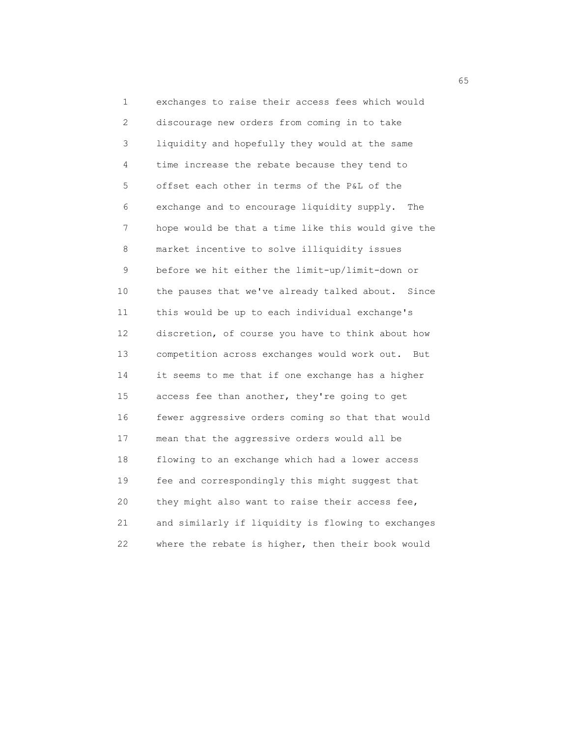1 exchanges to raise their access fees which would 2 discourage new orders from coming in to take 3 liquidity and hopefully they would at the same 4 time increase the rebate because they tend to 5 offset each other in terms of the P&L of the 6 exchange and to encourage liquidity supply. The 7 hope would be that a time like this would give the 8 market incentive to solve illiquidity issues 9 before we hit either the limit-up/limit-down or 10 the pauses that we've already talked about. Since 11 this would be up to each individual exchange's 12 discretion, of course you have to think about how 13 competition across exchanges would work out. But 14 it seems to me that if one exchange has a higher 15 access fee than another, they're going to get 16 fewer aggressive orders coming so that that would 17 mean that the aggressive orders would all be 18 flowing to an exchange which had a lower access 19 fee and correspondingly this might suggest that 20 they might also want to raise their access fee, 21 and similarly if liquidity is flowing to exchanges 22 where the rebate is higher, then their book would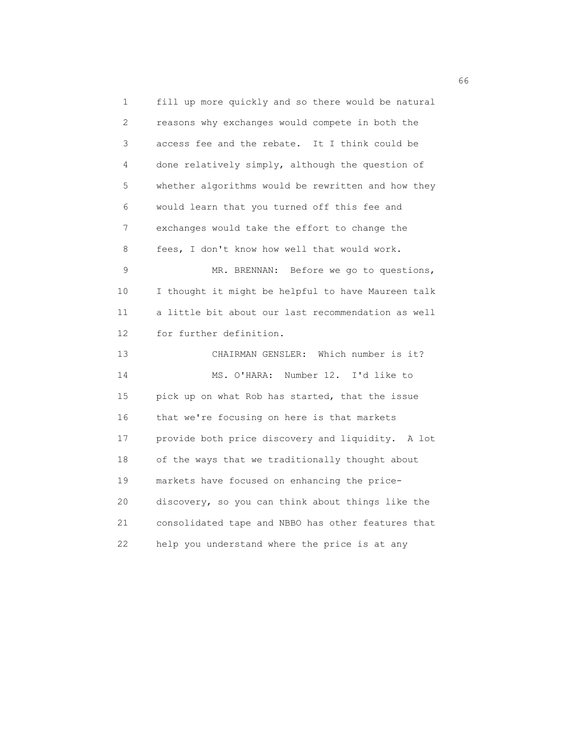1 fill up more quickly and so there would be natural 2 reasons why exchanges would compete in both the 3 access fee and the rebate. It I think could be 4 done relatively simply, although the question of 5 whether algorithms would be rewritten and how they 6 would learn that you turned off this fee and 7 exchanges would take the effort to change the 8 fees, I don't know how well that would work. 9 MR. BRENNAN: Before we go to questions, 10 I thought it might be helpful to have Maureen talk 11 a little bit about our last recommendation as well 12 for further definition. 13 CHAIRMAN GENSLER: Which number is it? 14 MS. O'HARA: Number 12. I'd like to 15 pick up on what Rob has started, that the issue 16 that we're focusing on here is that markets 17 provide both price discovery and liquidity. A lot 18 of the ways that we traditionally thought about 19 markets have focused on enhancing the price- 20 discovery, so you can think about things like the 21 consolidated tape and NBBO has other features that 22 help you understand where the price is at any

 $\sim$  66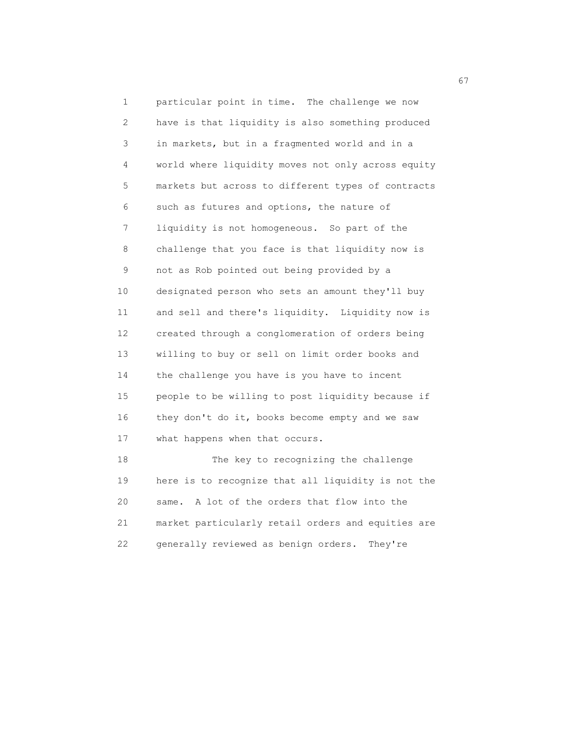1 particular point in time. The challenge we now 2 have is that liquidity is also something produced 3 in markets, but in a fragmented world and in a 4 world where liquidity moves not only across equity 5 markets but across to different types of contracts 6 such as futures and options, the nature of 7 liquidity is not homogeneous. So part of the 8 challenge that you face is that liquidity now is 9 not as Rob pointed out being provided by a 10 designated person who sets an amount they'll buy 11 and sell and there's liquidity. Liquidity now is 12 created through a conglomeration of orders being 13 willing to buy or sell on limit order books and 14 the challenge you have is you have to incent 15 people to be willing to post liquidity because if 16 they don't do it, books become empty and we saw 17 what happens when that occurs. 18 The key to recognizing the challenge

 19 here is to recognize that all liquidity is not the 20 same. A lot of the orders that flow into the 21 market particularly retail orders and equities are 22 generally reviewed as benign orders. They're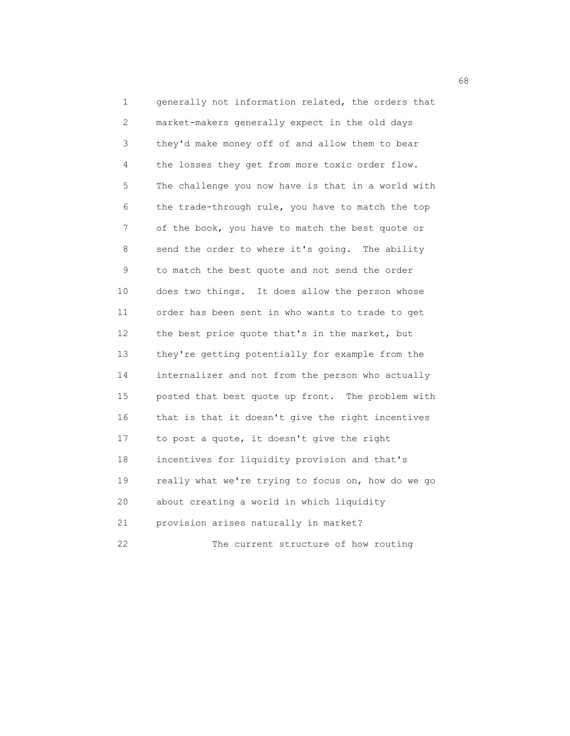1 generally not information related, the orders that 2 market-makers generally expect in the old days 3 they'd make money off of and allow them to bear 4 the losses they get from more toxic order flow. 5 The challenge you now have is that in a world with 6 the trade-through rule, you have to match the top 7 of the book, you have to match the best quote or 8 send the order to where it's going. The ability 9 to match the best quote and not send the order 10 does two things. It does allow the person whose 11 order has been sent in who wants to trade to get 12 the best price quote that's in the market, but 13 they're getting potentially for example from the 14 internalizer and not from the person who actually 15 posted that best quote up front. The problem with 16 that is that it doesn't give the right incentives 17 to post a quote, it doesn't give the right 18 incentives for liquidity provision and that's 19 really what we're trying to focus on, how do we go 20 about creating a world in which liquidity 21 provision arises naturally in market? 22 The current structure of how routing

 $\sim$  68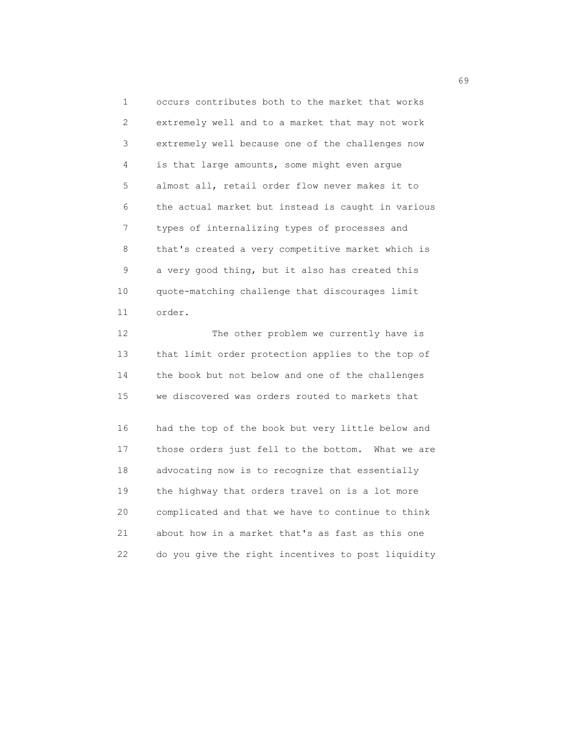1 occurs contributes both to the market that works 2 extremely well and to a market that may not work 3 extremely well because one of the challenges now 4 is that large amounts, some might even argue 5 almost all, retail order flow never makes it to 6 the actual market but instead is caught in various 7 types of internalizing types of processes and 8 that's created a very competitive market which is 9 a very good thing, but it also has created this 10 quote-matching challenge that discourages limit 11 order.

12 The other problem we currently have is 13 that limit order protection applies to the top of 14 the book but not below and one of the challenges 15 we discovered was orders routed to markets that

 16 had the top of the book but very little below and 17 those orders just fell to the bottom. What we are 18 advocating now is to recognize that essentially 19 the highway that orders travel on is a lot more 20 complicated and that we have to continue to think 21 about how in a market that's as fast as this one 22 do you give the right incentives to post liquidity

 $\sim$  69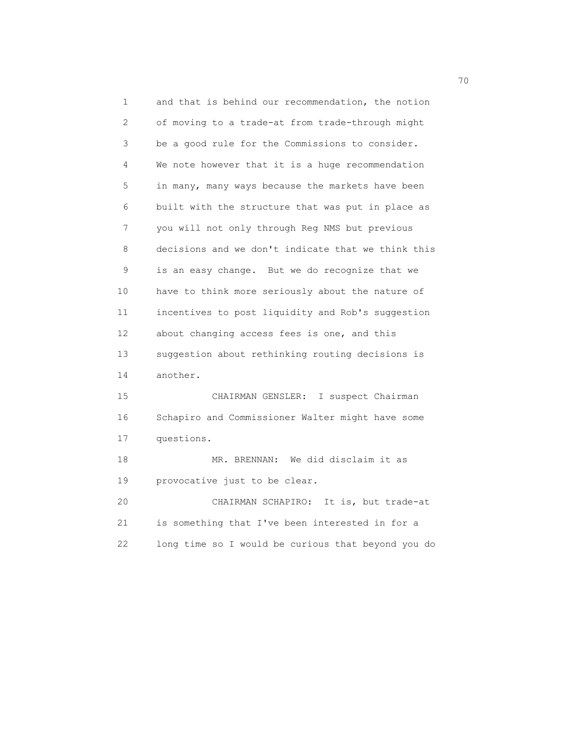1 and that is behind our recommendation, the notion 2 of moving to a trade-at from trade-through might 3 be a good rule for the Commissions to consider. 4 We note however that it is a huge recommendation 5 in many, many ways because the markets have been 6 built with the structure that was put in place as 7 you will not only through Reg NMS but previous 8 decisions and we don't indicate that we think this 9 is an easy change. But we do recognize that we 10 have to think more seriously about the nature of 11 incentives to post liquidity and Rob's suggestion 12 about changing access fees is one, and this 13 suggestion about rethinking routing decisions is 14 another. 15 CHAIRMAN GENSLER: I suspect Chairman 16 Schapiro and Commissioner Walter might have some 17 questions. 18 MR. BRENNAN: We did disclaim it as 19 provocative just to be clear. 20 CHAIRMAN SCHAPIRO: It is, but trade-at

 21 is something that I've been interested in for a 22 long time so I would be curious that beyond you do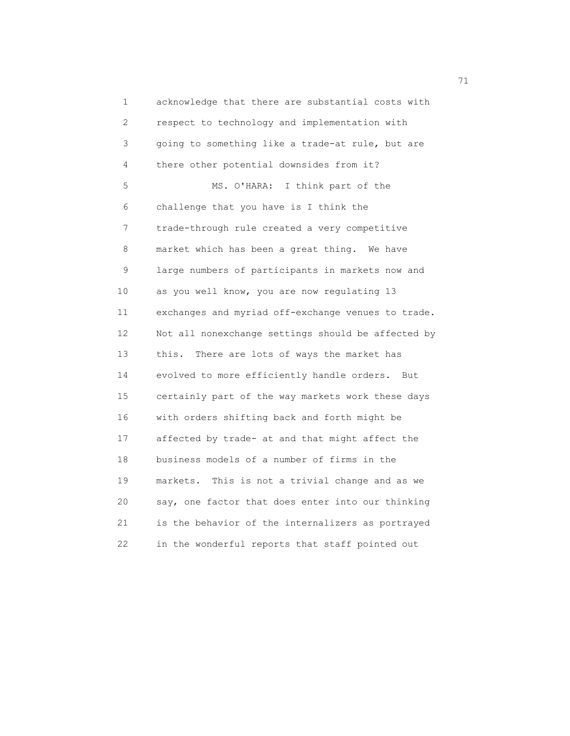1 acknowledge that there are substantial costs with 2 respect to technology and implementation with 3 going to something like a trade-at rule, but are 4 there other potential downsides from it? 5 MS. O'HARA: I think part of the 6 challenge that you have is I think the 7 trade-through rule created a very competitive 8 market which has been a great thing. We have 9 large numbers of participants in markets now and 10 as you well know, you are now regulating 13 11 exchanges and myriad off-exchange venues to trade. 12 Not all nonexchange settings should be affected by 13 this. There are lots of ways the market has 14 evolved to more efficiently handle orders. But 15 certainly part of the way markets work these days 16 with orders shifting back and forth might be 17 affected by trade- at and that might affect the 18 business models of a number of firms in the 19 markets. This is not a trivial change and as we 20 say, one factor that does enter into our thinking 21 is the behavior of the internalizers as portrayed 22 in the wonderful reports that staff pointed out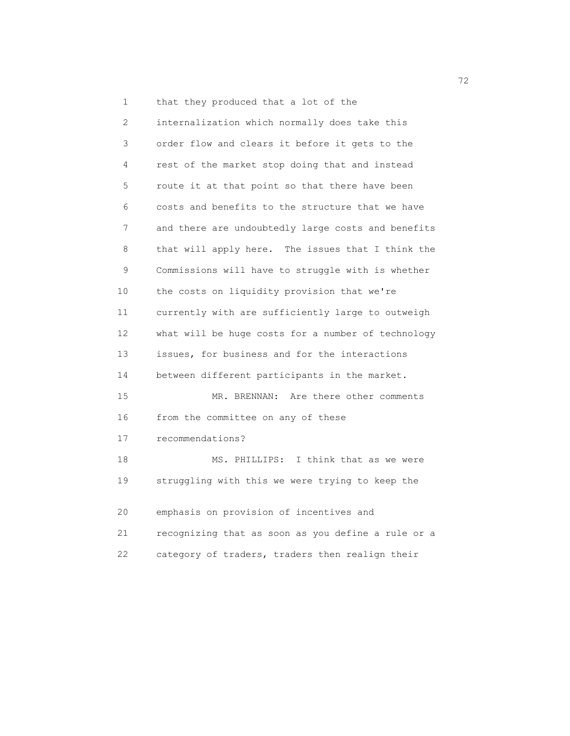1 that they produced that a lot of the

 2 internalization which normally does take this 3 order flow and clears it before it gets to the 4 rest of the market stop doing that and instead 5 route it at that point so that there have been 6 costs and benefits to the structure that we have 7 and there are undoubtedly large costs and benefits 8 that will apply here. The issues that I think the 9 Commissions will have to struggle with is whether 10 the costs on liquidity provision that we're 11 currently with are sufficiently large to outweigh 12 what will be huge costs for a number of technology 13 issues, for business and for the interactions 14 between different participants in the market. 15 MR. BRENNAN: Are there other comments 16 from the committee on any of these 17 recommendations? 18 MS. PHILLIPS: I think that as we were 19 struggling with this we were trying to keep the 20 emphasis on provision of incentives and 21 recognizing that as soon as you define a rule or a 22 category of traders, traders then realign their

<u>72</u>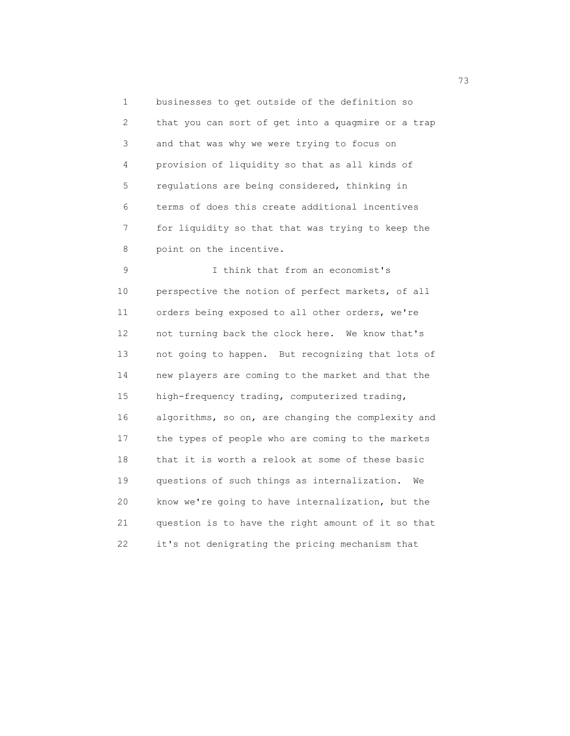1 businesses to get outside of the definition so 2 that you can sort of get into a quagmire or a trap 3 and that was why we were trying to focus on 4 provision of liquidity so that as all kinds of 5 regulations are being considered, thinking in 6 terms of does this create additional incentives 7 for liquidity so that that was trying to keep the 8 point on the incentive.

 9 I think that from an economist's 10 perspective the notion of perfect markets, of all 11 orders being exposed to all other orders, we're 12 not turning back the clock here. We know that's 13 not going to happen. But recognizing that lots of 14 new players are coming to the market and that the 15 high-frequency trading, computerized trading, 16 algorithms, so on, are changing the complexity and 17 the types of people who are coming to the markets 18 that it is worth a relook at some of these basic 19 questions of such things as internalization. We 20 know we're going to have internalization, but the 21 question is to have the right amount of it so that 22 it's not denigrating the pricing mechanism that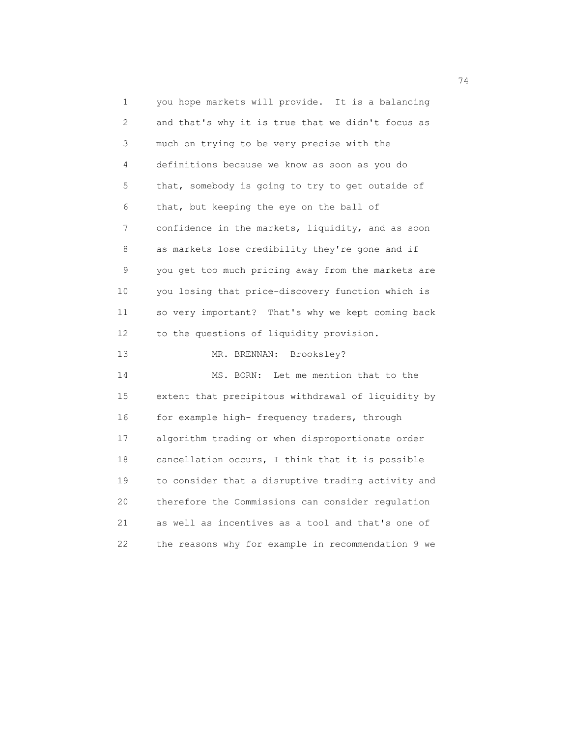1 you hope markets will provide. It is a balancing 2 and that's why it is true that we didn't focus as 3 much on trying to be very precise with the 4 definitions because we know as soon as you do 5 that, somebody is going to try to get outside of 6 that, but keeping the eye on the ball of 7 confidence in the markets, liquidity, and as soon 8 as markets lose credibility they're gone and if 9 you get too much pricing away from the markets are 10 you losing that price-discovery function which is 11 so very important? That's why we kept coming back 12 to the questions of liquidity provision. 13 MR. BRENNAN: Brooksley? 14 MS. BORN: Let me mention that to the 15 extent that precipitous withdrawal of liquidity by 16 for example high- frequency traders, through 17 algorithm trading or when disproportionate order 18 cancellation occurs, I think that it is possible 19 to consider that a disruptive trading activity and 20 therefore the Commissions can consider regulation 21 as well as incentives as a tool and that's one of 22 the reasons why for example in recommendation 9 we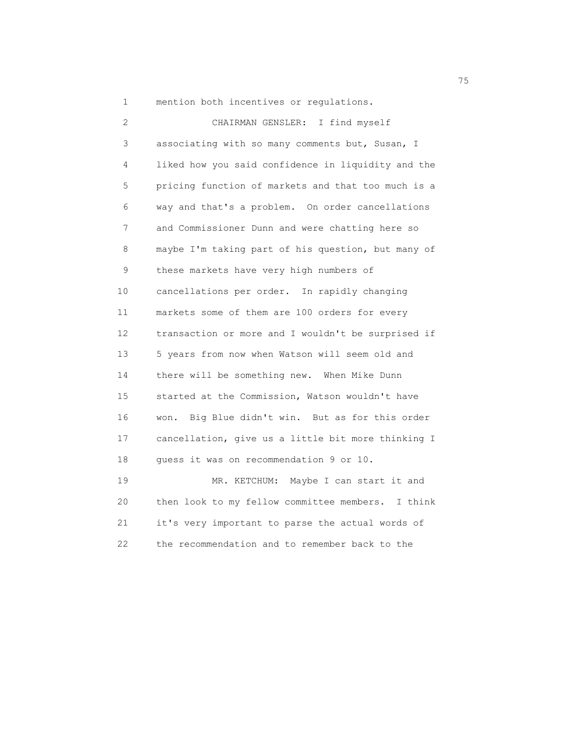1 mention both incentives or regulations.

| 2  | CHAIRMAN GENSLER: I find myself                    |
|----|----------------------------------------------------|
| 3  | associating with so many comments but, Susan, I    |
| 4  | liked how you said confidence in liquidity and the |
| 5  | pricing function of markets and that too much is a |
| 6  | way and that's a problem. On order cancellations   |
| 7  | and Commissioner Dunn and were chatting here so    |
| 8  | maybe I'm taking part of his question, but many of |
| 9  | these markets have very high numbers of            |
| 10 | cancellations per order. In rapidly changing       |
| 11 | markets some of them are 100 orders for every      |
| 12 | transaction or more and I wouldn't be surprised if |
| 13 | 5 years from now when Watson will seem old and     |
| 14 | there will be something new. When Mike Dunn        |
| 15 | started at the Commission, Watson wouldn't have    |
| 16 | Big Blue didn't win. But as for this order<br>won. |
| 17 | cancellation, give us a little bit more thinking I |
| 18 | quess it was on recommendation 9 or 10.            |
| 19 | MR. KETCHUM: Maybe I can start it and              |
| 20 | then look to my fellow committee members. I think  |
| 21 | it's very important to parse the actual words of   |

22 the recommendation and to remember back to the

na matsay na matsay na katalog as na mga 1950 na mga 1950 na mga 1960 na mga 1960 na mga 1960 na mga 1960 na m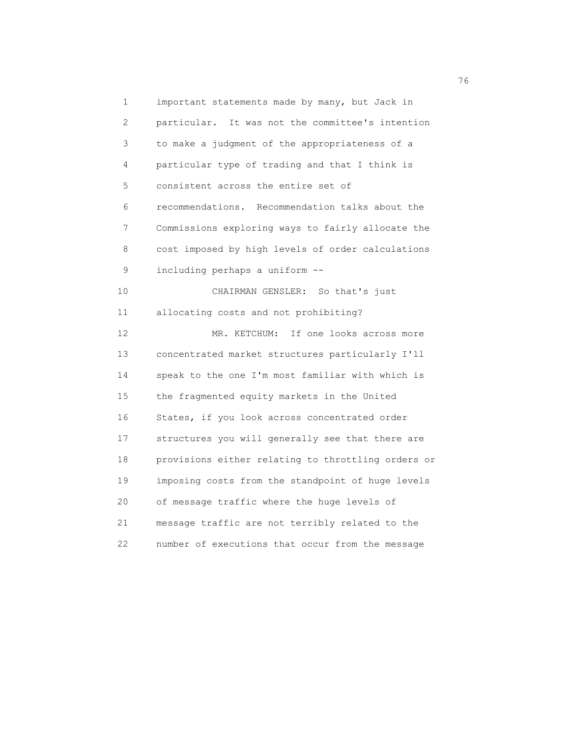1 important statements made by many, but Jack in 2 particular. It was not the committee's intention 3 to make a judgment of the appropriateness of a 4 particular type of trading and that I think is 5 consistent across the entire set of 6 recommendations. Recommendation talks about the 7 Commissions exploring ways to fairly allocate the 8 cost imposed by high levels of order calculations 9 including perhaps a uniform -- 10 CHAIRMAN GENSLER: So that's just 11 allocating costs and not prohibiting? 12 MR. KETCHUM: If one looks across more 13 concentrated market structures particularly I'll 14 speak to the one I'm most familiar with which is 15 the fragmented equity markets in the United 16 States, if you look across concentrated order 17 structures you will generally see that there are 18 provisions either relating to throttling orders or 19 imposing costs from the standpoint of huge levels 20 of message traffic where the huge levels of 21 message traffic are not terribly related to the 22 number of executions that occur from the message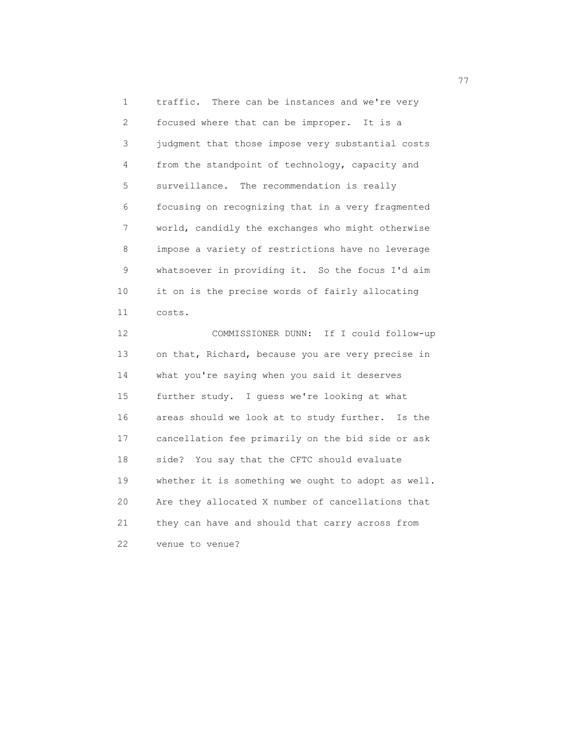1 traffic. There can be instances and we're very 2 focused where that can be improper. It is a 3 judgment that those impose very substantial costs 4 from the standpoint of technology, capacity and 5 surveillance. The recommendation is really 6 focusing on recognizing that in a very fragmented 7 world, candidly the exchanges who might otherwise 8 impose a variety of restrictions have no leverage 9 whatsoever in providing it. So the focus I'd aim 10 it on is the precise words of fairly allocating 11 costs.

 12 COMMISSIONER DUNN: If I could follow-up 13 on that, Richard, because you are very precise in 14 what you're saying when you said it deserves 15 further study. I guess we're looking at what 16 areas should we look at to study further. Is the 17 cancellation fee primarily on the bid side or ask 18 side? You say that the CFTC should evaluate 19 whether it is something we ought to adopt as well. 20 Are they allocated X number of cancellations that 21 they can have and should that carry across from 22 venue to venue?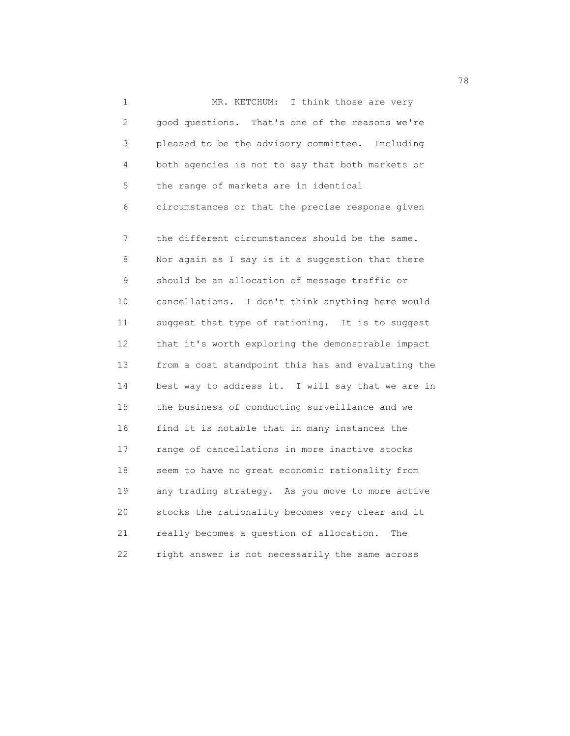1 MR. KETCHUM: I think those are very 2 good questions. That's one of the reasons we're 3 pleased to be the advisory committee. Including 4 both agencies is not to say that both markets or 5 the range of markets are in identical 6 circumstances or that the precise response given 7 the different circumstances should be the same. 8 Nor again as I say is it a suggestion that there 9 should be an allocation of message traffic or 10 cancellations. I don't think anything here would 11 suggest that type of rationing. It is to suggest 12 that it's worth exploring the demonstrable impact 13 from a cost standpoint this has and evaluating the 14 best way to address it. I will say that we are in 15 the business of conducting surveillance and we 16 find it is notable that in many instances the 17 range of cancellations in more inactive stocks 18 seem to have no great economic rationality from 19 any trading strategy. As you move to more active 20 stocks the rationality becomes very clear and it 21 really becomes a question of allocation. The 22 right answer is not necessarily the same across

ли в село в село в село в село в село в село в село в село в село в село в село в село в село в село в село в<br>278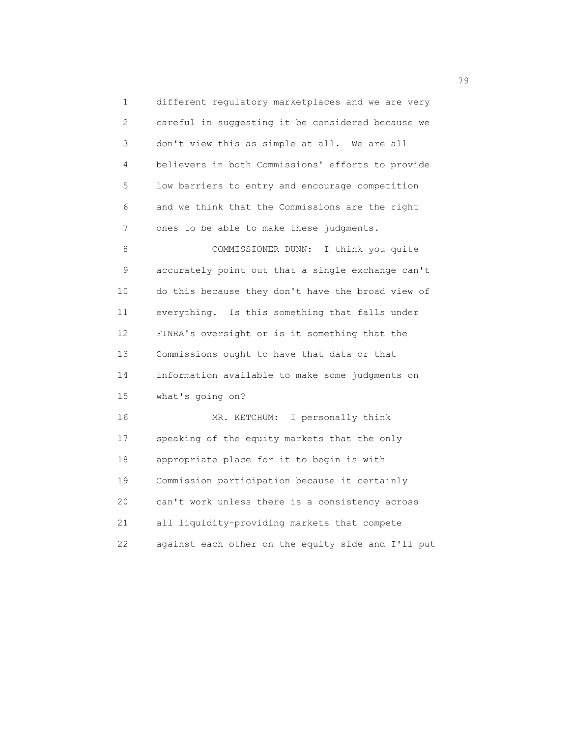1 different regulatory marketplaces and we are very 2 careful in suggesting it be considered because we 3 don't view this as simple at all. We are all 4 believers in both Commissions' efforts to provide 5 low barriers to entry and encourage competition 6 and we think that the Commissions are the right 7 ones to be able to make these judgments. 8 COMMISSIONER DUNN: I think you quite 9 accurately point out that a single exchange can't 10 do this because they don't have the broad view of 11 everything. Is this something that falls under 12 FINRA's oversight or is it something that the 13 Commissions ought to have that data or that 14 information available to make some judgments on 15 what's going on? 16 MR. KETCHUM: I personally think 17 speaking of the equity markets that the only 18 appropriate place for it to begin is with 19 Commission participation because it certainly 20 can't work unless there is a consistency across 21 all liquidity-providing markets that compete

22 against each other on the equity side and I'll put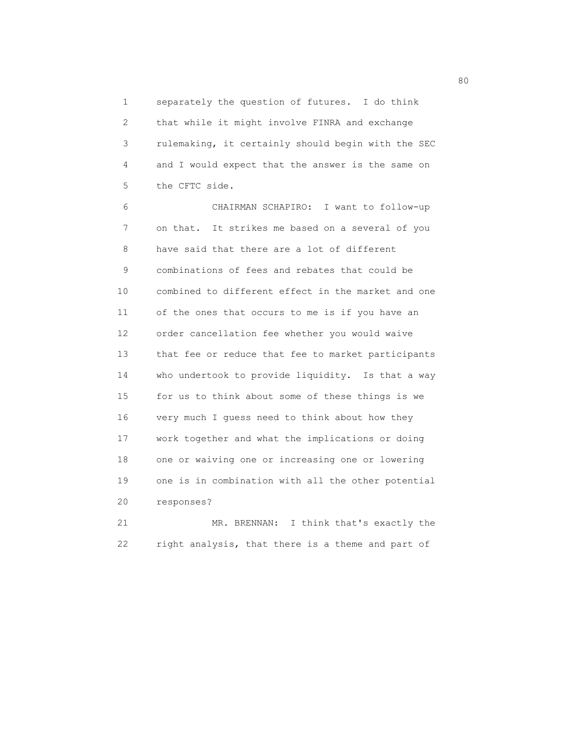1 separately the question of futures. I do think 2 that while it might involve FINRA and exchange 3 rulemaking, it certainly should begin with the SEC 4 and I would expect that the answer is the same on 5 the CFTC side.

 6 CHAIRMAN SCHAPIRO: I want to follow-up 7 on that. It strikes me based on a several of you 8 have said that there are a lot of different 9 combinations of fees and rebates that could be 10 combined to different effect in the market and one 11 of the ones that occurs to me is if you have an 12 order cancellation fee whether you would waive 13 that fee or reduce that fee to market participants 14 who undertook to provide liquidity. Is that a way 15 for us to think about some of these things is we 16 very much I guess need to think about how they 17 work together and what the implications or doing 18 one or waiving one or increasing one or lowering 19 one is in combination with all the other potential 20 responses?

 21 MR. BRENNAN: I think that's exactly the 22 right analysis, that there is a theme and part of

en de la construction de la construction de la construction de la construction de la construction de la constr<br>1980 : le construction de la construction de la construction de la construction de la construction de la const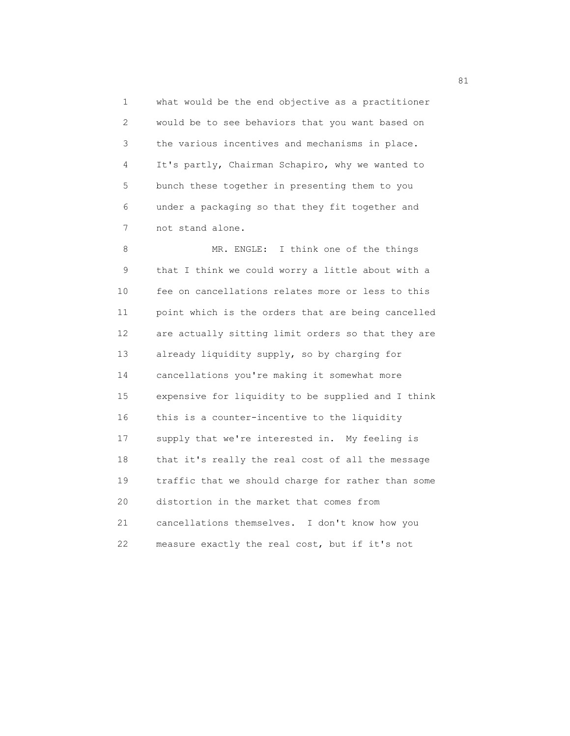1 what would be the end objective as a practitioner 2 would be to see behaviors that you want based on 3 the various incentives and mechanisms in place. 4 It's partly, Chairman Schapiro, why we wanted to 5 bunch these together in presenting them to you 6 under a packaging so that they fit together and 7 not stand alone.

8 MR. ENGLE: I think one of the things 9 that I think we could worry a little about with a 10 fee on cancellations relates more or less to this 11 point which is the orders that are being cancelled 12 are actually sitting limit orders so that they are 13 already liquidity supply, so by charging for 14 cancellations you're making it somewhat more 15 expensive for liquidity to be supplied and I think 16 this is a counter-incentive to the liquidity 17 supply that we're interested in. My feeling is 18 that it's really the real cost of all the message 19 traffic that we should charge for rather than some 20 distortion in the market that comes from 21 cancellations themselves. I don't know how you 22 measure exactly the real cost, but if it's not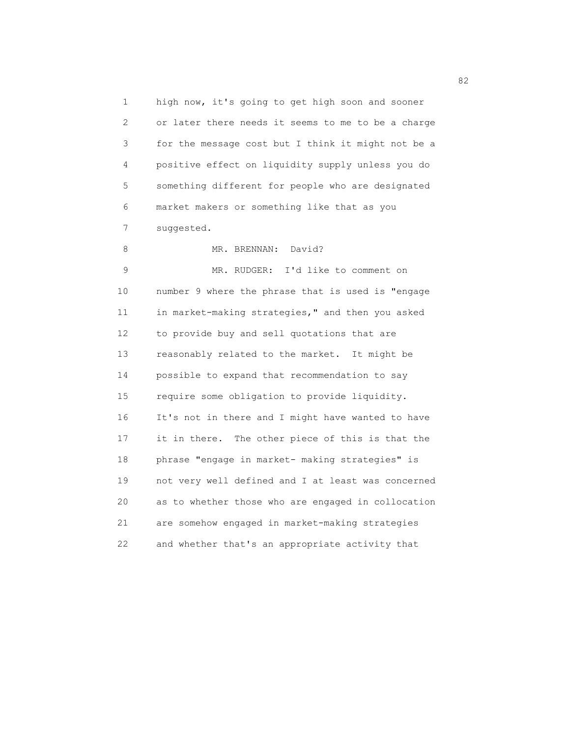1 high now, it's going to get high soon and sooner 2 or later there needs it seems to me to be a charge 3 for the message cost but I think it might not be a 4 positive effect on liquidity supply unless you do 5 something different for people who are designated 6 market makers or something like that as you 7 suggested.

8 MR. BRENNAN: David? 9 MR. RUDGER: I'd like to comment on 10 number 9 where the phrase that is used is "engage 11 in market-making strategies," and then you asked 12 to provide buy and sell quotations that are 13 reasonably related to the market. It might be 14 possible to expand that recommendation to say 15 require some obligation to provide liquidity. 16 It's not in there and I might have wanted to have 17 it in there. The other piece of this is that the 18 phrase "engage in market- making strategies" is 19 not very well defined and I at least was concerned 20 as to whether those who are engaged in collocation 21 are somehow engaged in market-making strategies 22 and whether that's an appropriate activity that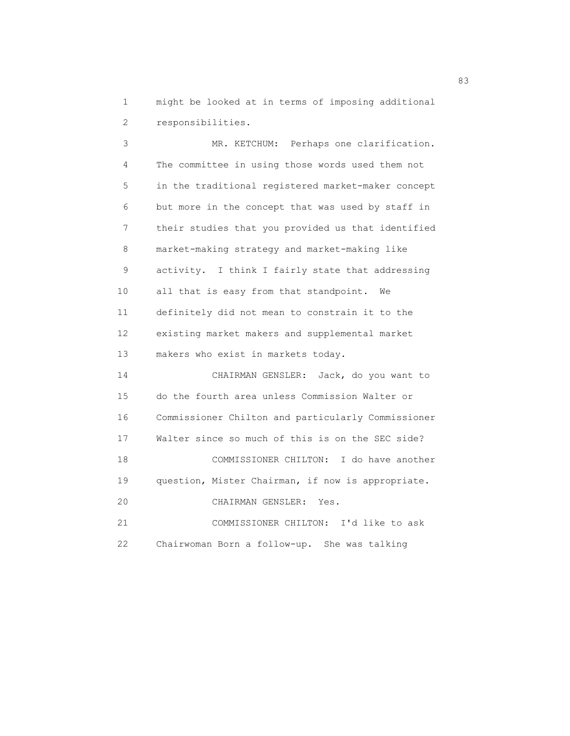1 might be looked at in terms of imposing additional

2 responsibilities.

 3 MR. KETCHUM: Perhaps one clarification. 4 The committee in using those words used them not 5 in the traditional registered market-maker concept 6 but more in the concept that was used by staff in 7 their studies that you provided us that identified 8 market-making strategy and market-making like 9 activity. I think I fairly state that addressing 10 all that is easy from that standpoint. We 11 definitely did not mean to constrain it to the 12 existing market makers and supplemental market 13 makers who exist in markets today. 14 CHAIRMAN GENSLER: Jack, do you want to 15 do the fourth area unless Commission Walter or 16 Commissioner Chilton and particularly Commissioner

 17 Walter since so much of this is on the SEC side? 18 COMMISSIONER CHILTON: I do have another 19 question, Mister Chairman, if now is appropriate. 20 CHAIRMAN GENSLER: Yes. 21 COMMISSIONER CHILTON: I'd like to ask

22 Chairwoman Born a follow-up. She was talking

83 and 2012 and 2012 and 2012 and 2012 and 2012 and 2012 and 2012 and 2012 and 2012 and 2013 and 2013 and 2013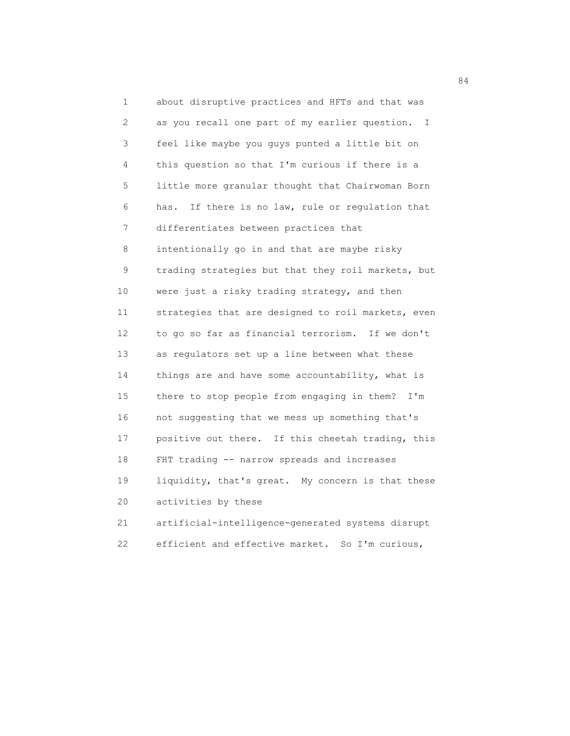1 about disruptive practices and HFTs and that was 2 as you recall one part of my earlier question. I 3 feel like maybe you guys punted a little bit on 4 this question so that I'm curious if there is a 5 little more granular thought that Chairwoman Born 6 has. If there is no law, rule or regulation that 7 differentiates between practices that 8 intentionally go in and that are maybe risky 9 trading strategies but that they roil markets, but 10 were just a risky trading strategy, and then 11 strategies that are designed to roil markets, even 12 to go so far as financial terrorism. If we don't 13 as regulators set up a line between what these 14 things are and have some accountability, what is 15 there to stop people from engaging in them? I'm 16 not suggesting that we mess up something that's 17 positive out there. If this cheetah trading, this 18 FHT trading -- narrow spreads and increases 19 liquidity, that's great. My concern is that these 20 activities by these 21 artificial-intelligence-generated systems disrupt

22 efficient and effective market. So I'm curious,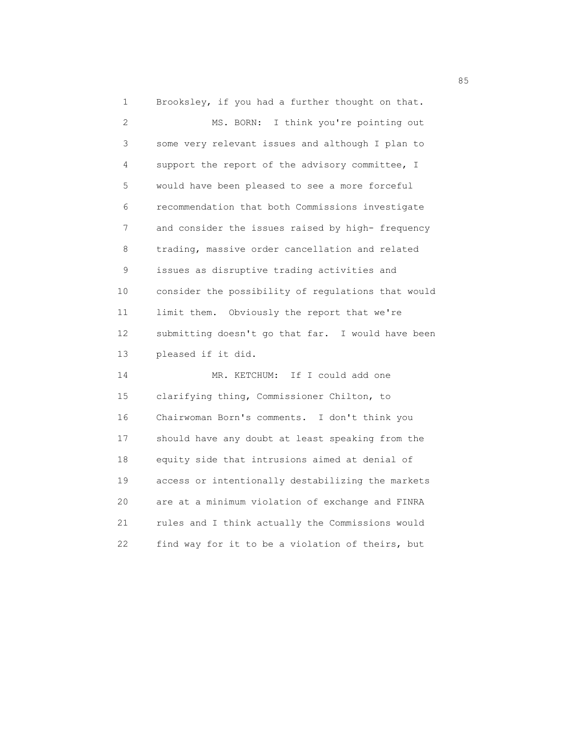1 Brooksley, if you had a further thought on that. 2 MS. BORN: I think you're pointing out 3 some very relevant issues and although I plan to 4 support the report of the advisory committee, I 5 would have been pleased to see a more forceful 6 recommendation that both Commissions investigate 7 and consider the issues raised by high- frequency 8 trading, massive order cancellation and related 9 issues as disruptive trading activities and 10 consider the possibility of regulations that would 11 limit them. Obviously the report that we're 12 submitting doesn't go that far. I would have been 13 pleased if it did. 14 MR. KETCHUM: If I could add one 15 clarifying thing, Commissioner Chilton, to 16 Chairwoman Born's comments. I don't think you 17 should have any doubt at least speaking from the 18 equity side that intrusions aimed at denial of 19 access or intentionally destabilizing the markets 20 are at a minimum violation of exchange and FINRA

 21 rules and I think actually the Commissions would 22 find way for it to be a violation of theirs, but

<u>85 September 2005 September 2005 September 2005 September 2005 September 2005 September 2005 September 2005 S</u>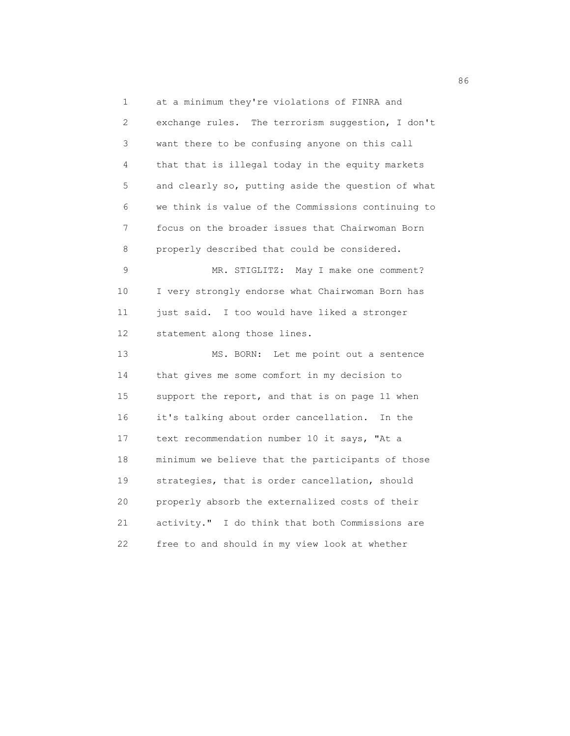1 at a minimum they're violations of FINRA and 2 exchange rules. The terrorism suggestion, I don't 3 want there to be confusing anyone on this call 4 that that is illegal today in the equity markets 5 and clearly so, putting aside the question of what 6 we think is value of the Commissions continuing to 7 focus on the broader issues that Chairwoman Born 8 properly described that could be considered. 9 MR. STIGLITZ: May I make one comment? 10 I very strongly endorse what Chairwoman Born has 11 just said. I too would have liked a stronger 12 statement along those lines. 13 MS. BORN: Let me point out a sentence 14 that gives me some comfort in my decision to 15 support the report, and that is on page 11 when 16 it's talking about order cancellation. In the 17 text recommendation number 10 it says, "At a 18 minimum we believe that the participants of those 19 strategies, that is order cancellation, should 20 properly absorb the externalized costs of their 21 activity." I do think that both Commissions are 22 free to and should in my view look at whether

en de la construction de la construction de la construction de la construction de la construction de la constr<br>1960 : la construction de la construction de la construction de la construction de la construction de la const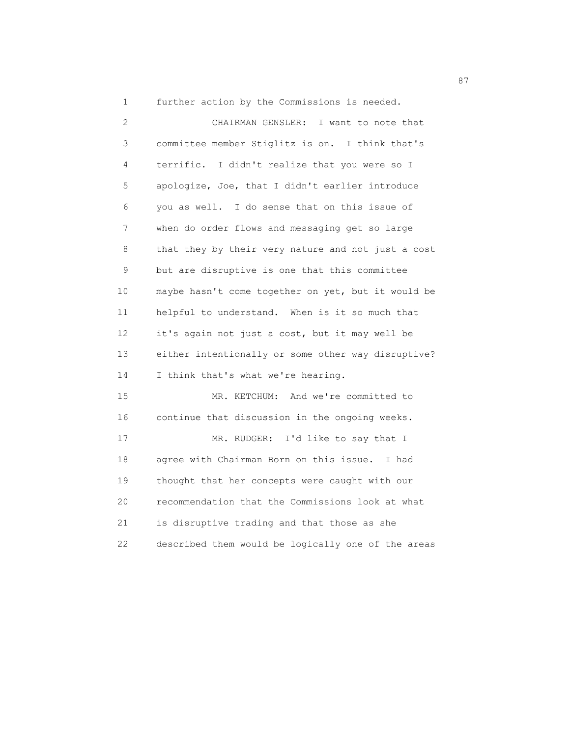1 further action by the Commissions is needed.

| $\mathbf{2}$ | CHAIRMAN GENSLER:<br>I want to note that           |
|--------------|----------------------------------------------------|
| 3            | committee member Stiglitz is on. I think that's    |
| 4            | terrific. I didn't realize that you were so I      |
| 5            | apologize, Joe, that I didn't earlier introduce    |
| 6            | you as well. I do sense that on this issue of      |
| 7            | when do order flows and messaging get so large     |
| 8            | that they by their very nature and not just a cost |
| 9            | but are disruptive is one that this committee      |
| 10           | maybe hasn't come together on yet, but it would be |
| 11           | helpful to understand. When is it so much that     |
| 12           | it's again not just a cost, but it may well be     |
| 13           | either intentionally or some other way disruptive? |
| 14           | I think that's what we're hearing.                 |
| 15           | MR. KETCHUM: And we're committed to                |
| 16           | continue that discussion in the ongoing weeks.     |
| 17           | MR. RUDGER: I'd like to say that I                 |
| 18           | agree with Chairman Born on this issue. I had      |
| 19           | thought that her concepts were caught with our     |
| 20           | recommendation that the Commissions look at what   |
| 21           | is disruptive trading and that those as she        |
| 22           | described them would be logically one of the areas |

87 and 2012 and 2012 and 2012 and 2012 and 2012 and 2012 and 2012 and 2012 and 2012 and 2012 and 201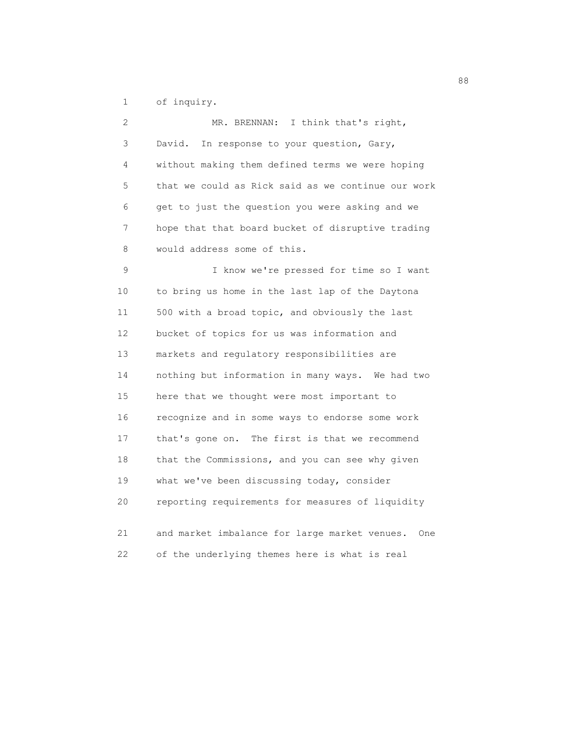1 of inquiry.

| $\mathbf{2}$ | I think that's right,<br>MR. BRENNAN:              |
|--------------|----------------------------------------------------|
| 3            | In response to your question, Gary,<br>David.      |
| 4            | without making them defined terms we were hoping   |
| 5            | that we could as Rick said as we continue our work |
| 6            | get to just the question you were asking and we    |
| 7            | hope that that board bucket of disruptive trading  |
| 8            | would address some of this.                        |
| 9            | I know we're pressed for time so I want            |
| 10           | to bring us home in the last lap of the Daytona    |
| 11           | 500 with a broad topic, and obviously the last     |
| 12           | bucket of topics for us was information and        |
| 13           | markets and regulatory responsibilities are        |
| 14           | nothing but information in many ways. We had two   |
| 15           | here that we thought were most important to        |
| 16           | recognize and in some ways to endorse some work    |
| 17           | that's gone on. The first is that we recommend     |
| 18           | that the Commissions, and you can see why given    |
| 19           | what we've been discussing today, consider         |
| 20           | reporting requirements for measures of liquidity   |
| 21           | and market imbalance for large market venues. One  |
| 22           |                                                    |
|              | of the underlying themes here is what is real      |

experience and the contract of the contract of the contract of the contract of the contract of the contract of<br>Seconds and the contract of the contract of the contract of the contract of the contract of the contract of th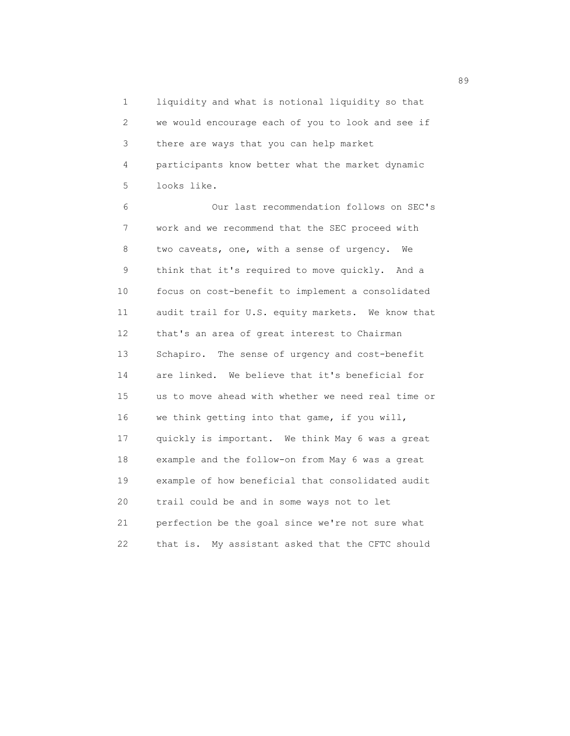1 liquidity and what is notional liquidity so that 2 we would encourage each of you to look and see if 3 there are ways that you can help market 4 participants know better what the market dynamic 5 looks like.

 6 Our last recommendation follows on SEC's 7 work and we recommend that the SEC proceed with 8 two caveats, one, with a sense of urgency. We 9 think that it's required to move quickly. And a 10 focus on cost-benefit to implement a consolidated 11 audit trail for U.S. equity markets. We know that 12 that's an area of great interest to Chairman 13 Schapiro. The sense of urgency and cost-benefit 14 are linked. We believe that it's beneficial for 15 us to move ahead with whether we need real time or 16 we think getting into that game, if you will, 17 quickly is important. We think May 6 was a great 18 example and the follow-on from May 6 was a great 19 example of how beneficial that consolidated audit 20 trail could be and in some ways not to let 21 perfection be the goal since we're not sure what 22 that is. My assistant asked that the CFTC should

89 and 2012 and 2012 and 2012 and 2012 and 2012 and 2012 and 2012 and 2012 and 2012 and 2012 and 201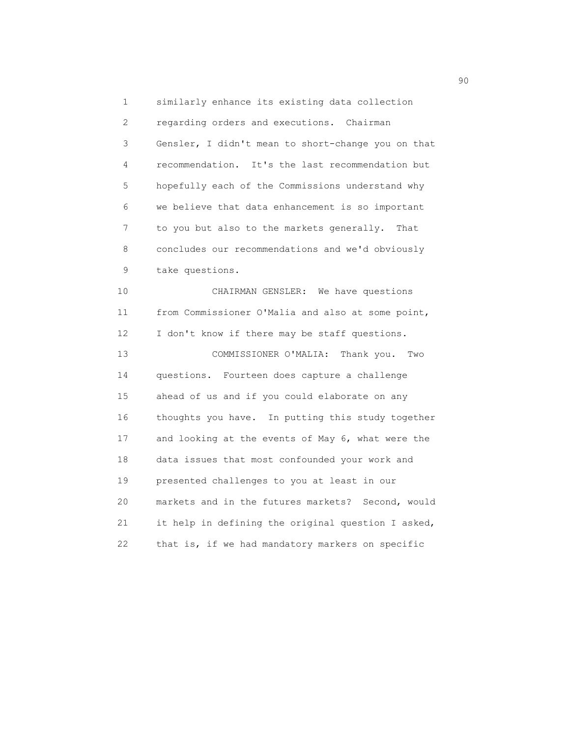1 similarly enhance its existing data collection 2 regarding orders and executions. Chairman 3 Gensler, I didn't mean to short-change you on that 4 recommendation. It's the last recommendation but 5 hopefully each of the Commissions understand why 6 we believe that data enhancement is so important 7 to you but also to the markets generally. That 8 concludes our recommendations and we'd obviously 9 take questions. 10 CHAIRMAN GENSLER: We have questions 11 from Commissioner O'Malia and also at some point, 12 I don't know if there may be staff questions. 13 COMMISSIONER O'MALIA: Thank you. Two 14 questions. Fourteen does capture a challenge 15 ahead of us and if you could elaborate on any 16 thoughts you have. In putting this study together 17 and looking at the events of May 6, what were the 18 data issues that most confounded your work and 19 presented challenges to you at least in our

 20 markets and in the futures markets? Second, would 21 it help in defining the original question I asked, 22 that is, if we had mandatory markers on specific

en 1990 en 1990 en 1990 en 1990 en 1990 en 1990 en 1990 en 1990 en 1990 en 1990 en 1990 en 1990 en 1990 en 19<br>De grote en 1990 en 1990 en 1990 en 1990 en 1990 en 1990 en 1990 en 1990 en 1990 en 1990 en 1990 en 1990 en 19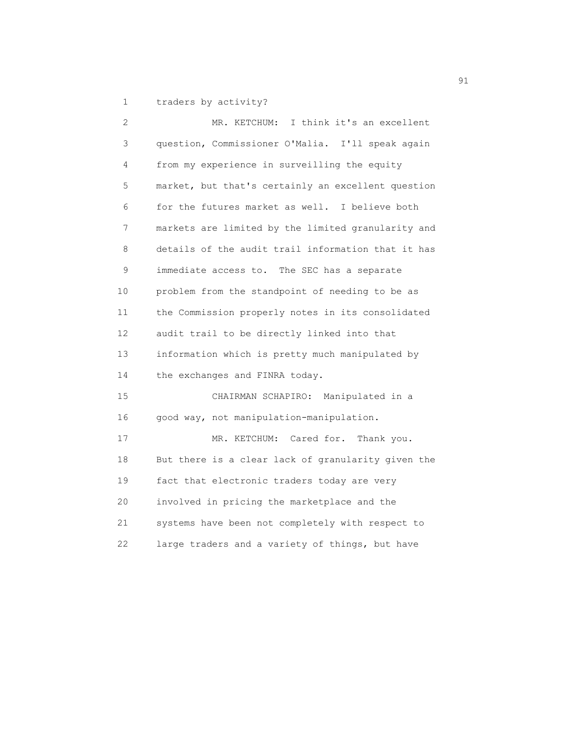1 traders by activity?

 2 MR. KETCHUM: I think it's an excellent 3 question, Commissioner O'Malia. I'll speak again 4 from my experience in surveilling the equity 5 market, but that's certainly an excellent question 6 for the futures market as well. I believe both 7 markets are limited by the limited granularity and 8 details of the audit trail information that it has 9 immediate access to. The SEC has a separate 10 problem from the standpoint of needing to be as 11 the Commission properly notes in its consolidated 12 audit trail to be directly linked into that 13 information which is pretty much manipulated by 14 the exchanges and FINRA today. 15 CHAIRMAN SCHAPIRO: Manipulated in a 16 good way, not manipulation-manipulation. 17 MR. KETCHUM: Cared for. Thank you. 18 But there is a clear lack of granularity given the 19 fact that electronic traders today are very 20 involved in pricing the marketplace and the 21 systems have been not completely with respect to 22 large traders and a variety of things, but have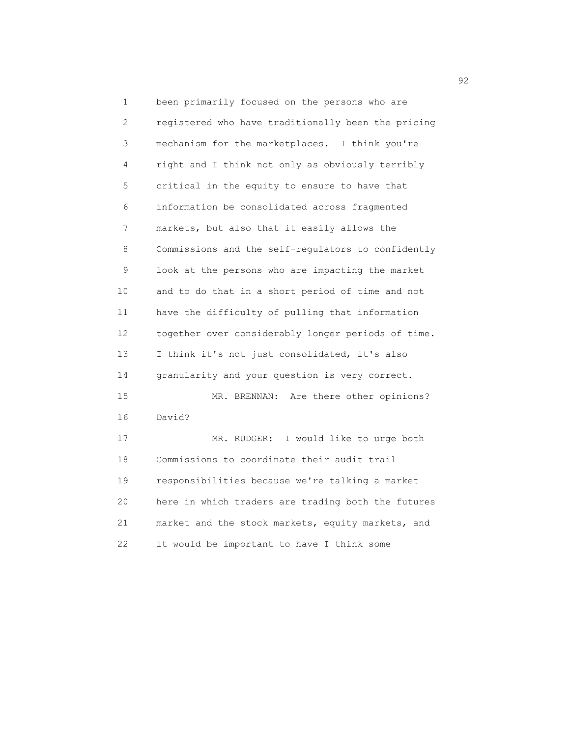1 been primarily focused on the persons who are 2 registered who have traditionally been the pricing 3 mechanism for the marketplaces. I think you're 4 right and I think not only as obviously terribly 5 critical in the equity to ensure to have that 6 information be consolidated across fragmented 7 markets, but also that it easily allows the 8 Commissions and the self-regulators to confidently 9 look at the persons who are impacting the market 10 and to do that in a short period of time and not 11 have the difficulty of pulling that information 12 together over considerably longer periods of time. 13 I think it's not just consolidated, it's also 14 granularity and your question is very correct. 15 MR. BRENNAN: Are there other opinions? 16 David? 17 MR. RUDGER: I would like to urge both 18 Commissions to coordinate their audit trail 19 responsibilities because we're talking a market 20 here in which traders are trading both the futures 21 market and the stock markets, equity markets, and 22 it would be important to have I think some

 $\sim$  92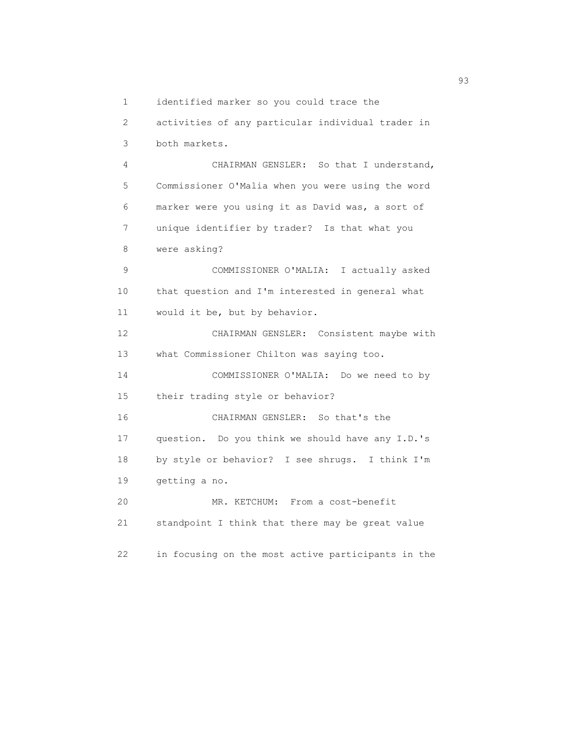1 identified marker so you could trace the

 2 activities of any particular individual trader in 3 both markets. 4 CHAIRMAN GENSLER: So that I understand, 5 Commissioner O'Malia when you were using the word 6 marker were you using it as David was, a sort of 7 unique identifier by trader? Is that what you 8 were asking? 9 COMMISSIONER O'MALIA: I actually asked 10 that question and I'm interested in general what 11 would it be, but by behavior. 12 CHAIRMAN GENSLER: Consistent maybe with 13 what Commissioner Chilton was saying too. 14 COMMISSIONER O'MALIA: Do we need to by 15 their trading style or behavior? 16 CHAIRMAN GENSLER: So that's the 17 question. Do you think we should have any I.D.'s 18 by style or behavior? I see shrugs. I think I'm 19 getting a no. 20 MR. KETCHUM: From a cost-benefit 21 standpoint I think that there may be great value 22 in focusing on the most active participants in the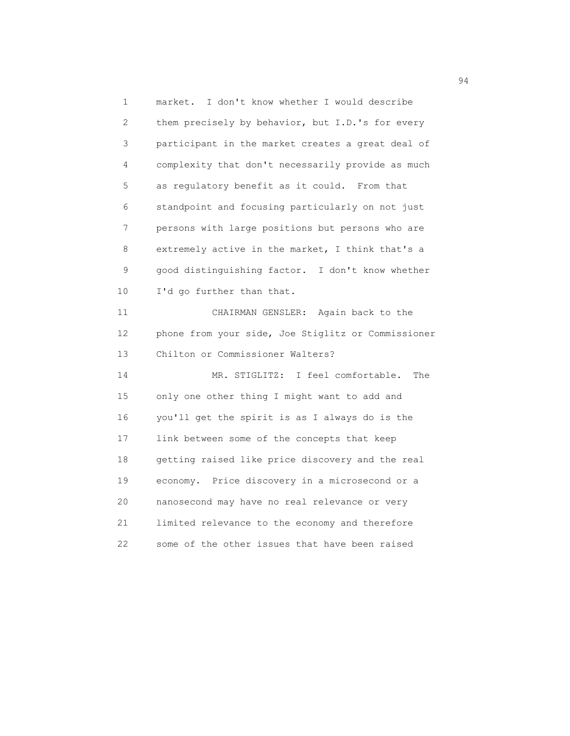1 market. I don't know whether I would describe 2 them precisely by behavior, but I.D.'s for every 3 participant in the market creates a great deal of 4 complexity that don't necessarily provide as much 5 as regulatory benefit as it could. From that 6 standpoint and focusing particularly on not just 7 persons with large positions but persons who are 8 extremely active in the market, I think that's a 9 good distinguishing factor. I don't know whether 10 I'd go further than that. 11 CHAIRMAN GENSLER: Again back to the 12 phone from your side, Joe Stiglitz or Commissioner 13 Chilton or Commissioner Walters? 14 MR. STIGLITZ: I feel comfortable. The 15 only one other thing I might want to add and 16 you'll get the spirit is as I always do is the 17 link between some of the concepts that keep 18 getting raised like price discovery and the real 19 economy. Price discovery in a microsecond or a 20 nanosecond may have no real relevance or very 21 limited relevance to the economy and therefore 22 some of the other issues that have been raised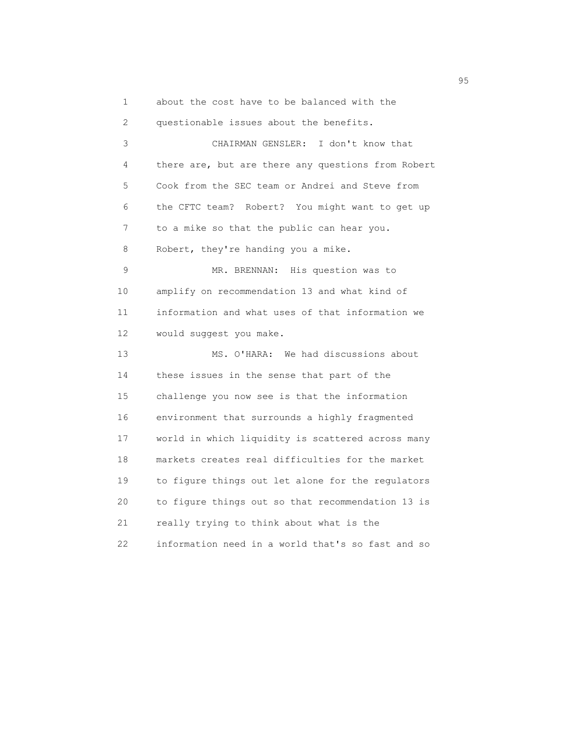1 about the cost have to be balanced with the

 2 questionable issues about the benefits. 3 CHAIRMAN GENSLER: I don't know that 4 there are, but are there any questions from Robert 5 Cook from the SEC team or Andrei and Steve from 6 the CFTC team? Robert? You might want to get up 7 to a mike so that the public can hear you. 8 Robert, they're handing you a mike. 9 MR. BRENNAN: His question was to 10 amplify on recommendation 13 and what kind of 11 information and what uses of that information we 12 would suggest you make. 13 MS. O'HARA: We had discussions about 14 these issues in the sense that part of the 15 challenge you now see is that the information 16 environment that surrounds a highly fragmented 17 world in which liquidity is scattered across many 18 markets creates real difficulties for the market 19 to figure things out let alone for the regulators 20 to figure things out so that recommendation 13 is 21 really trying to think about what is the 22 information need in a world that's so fast and so

experience of the contract of the contract of the contract of the contract of the contract of the contract of the contract of the contract of the contract of the contract of the contract of the contract of the contract of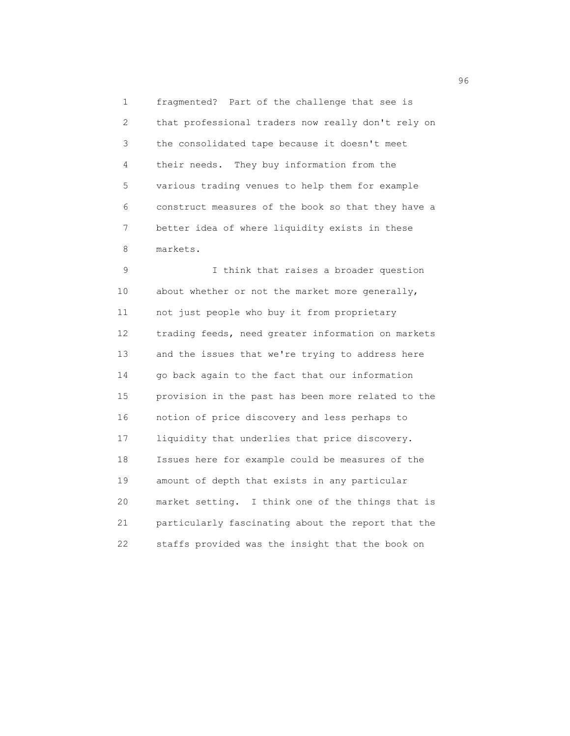1 fragmented? Part of the challenge that see is 2 that professional traders now really don't rely on 3 the consolidated tape because it doesn't meet 4 their needs. They buy information from the 5 various trading venues to help them for example 6 construct measures of the book so that they have a 7 better idea of where liquidity exists in these 8 markets.

 9 I think that raises a broader question 10 about whether or not the market more generally, 11 not just people who buy it from proprietary 12 trading feeds, need greater information on markets 13 and the issues that we're trying to address here 14 go back again to the fact that our information 15 provision in the past has been more related to the 16 notion of price discovery and less perhaps to 17 liquidity that underlies that price discovery. 18 Issues here for example could be measures of the 19 amount of depth that exists in any particular 20 market setting. I think one of the things that is 21 particularly fascinating about the report that the 22 staffs provided was the insight that the book on

 $\sim$  96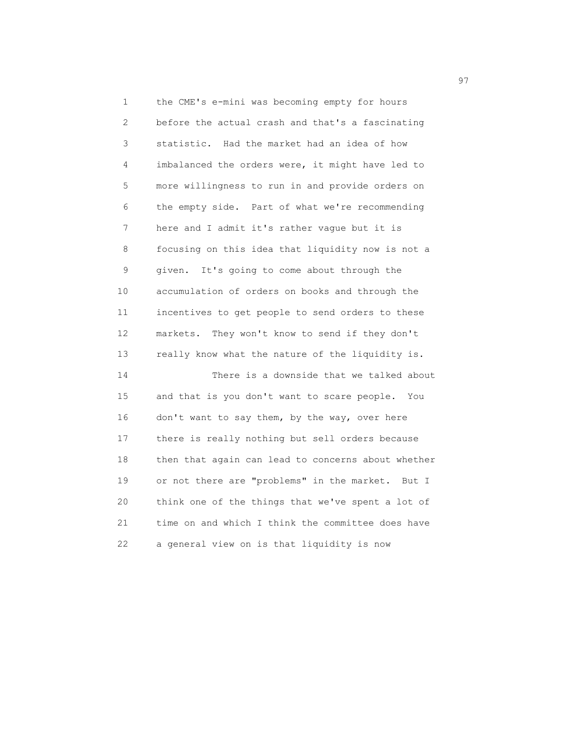1 the CME's e-mini was becoming empty for hours 2 before the actual crash and that's a fascinating 3 statistic. Had the market had an idea of how 4 imbalanced the orders were, it might have led to 5 more willingness to run in and provide orders on 6 the empty side. Part of what we're recommending 7 here and I admit it's rather vague but it is 8 focusing on this idea that liquidity now is not a 9 given. It's going to come about through the 10 accumulation of orders on books and through the 11 incentives to get people to send orders to these 12 markets. They won't know to send if they don't 13 really know what the nature of the liquidity is. 14 There is a downside that we talked about

 15 and that is you don't want to scare people. You 16 don't want to say them, by the way, over here 17 there is really nothing but sell orders because 18 then that again can lead to concerns about whether 19 or not there are "problems" in the market. But I 20 think one of the things that we've spent a lot of 21 time on and which I think the committee does have 22 a general view on is that liquidity is now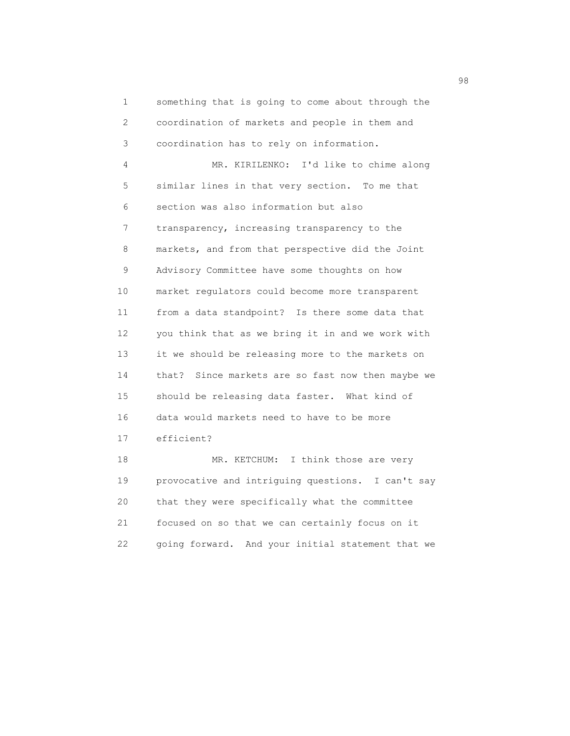1 something that is going to come about through the 2 coordination of markets and people in them and 3 coordination has to rely on information. 4 MR. KIRILENKO: I'd like to chime along 5 similar lines in that very section. To me that 6 section was also information but also 7 transparency, increasing transparency to the 8 markets, and from that perspective did the Joint 9 Advisory Committee have some thoughts on how 10 market regulators could become more transparent 11 from a data standpoint? Is there some data that 12 you think that as we bring it in and we work with 13 it we should be releasing more to the markets on 14 that? Since markets are so fast now then maybe we 15 should be releasing data faster. What kind of 16 data would markets need to have to be more 17 efficient? 18 MR. KETCHUM: I think those are very

 19 provocative and intriguing questions. I can't say 20 that they were specifically what the committee 21 focused on so that we can certainly focus on it 22 going forward. And your initial statement that we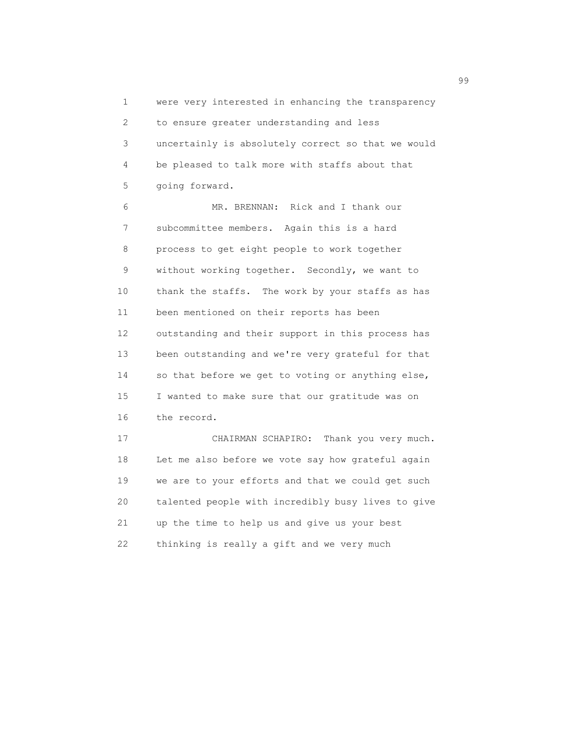1 were very interested in enhancing the transparency 2 to ensure greater understanding and less 3 uncertainly is absolutely correct so that we would 4 be pleased to talk more with staffs about that 5 going forward.

 6 MR. BRENNAN: Rick and I thank our 7 subcommittee members. Again this is a hard 8 process to get eight people to work together 9 without working together. Secondly, we want to 10 thank the staffs. The work by your staffs as has 11 been mentioned on their reports has been 12 outstanding and their support in this process has 13 been outstanding and we're very grateful for that 14 so that before we get to voting or anything else, 15 I wanted to make sure that our gratitude was on 16 the record.

 17 CHAIRMAN SCHAPIRO: Thank you very much. 18 Let me also before we vote say how grateful again 19 we are to your efforts and that we could get such 20 talented people with incredibly busy lives to give 21 up the time to help us and give us your best 22 thinking is really a gift and we very much

en 1999 en 1999 en 1999 en 1999 en 1999 en 1999 en 1999 en 1999 en 1999 en 1999 en 1999 en 1999 en 1999 en 19<br>De grote en 1999 en 1999 en 1999 en 1999 en 1999 en 1999 en 1999 en 1999 en 1999 en 1999 en 1999 en 1999 en 19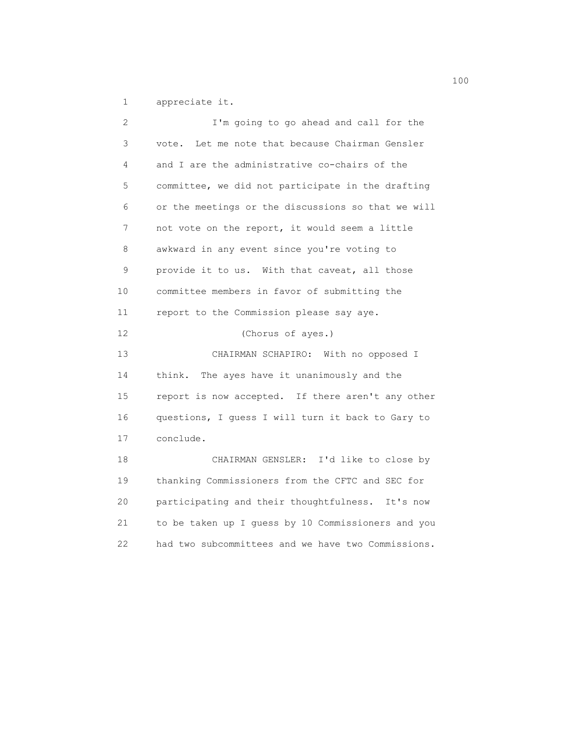1 appreciate it.

| 2                 | I'm going to go ahead and call for the             |
|-------------------|----------------------------------------------------|
| 3                 | Let me note that because Chairman Gensler<br>vote. |
| 4                 | and I are the administrative co-chairs of the      |
| 5                 | committee, we did not participate in the drafting  |
| 6                 | or the meetings or the discussions so that we will |
| 7                 | not vote on the report, it would seem a little     |
| 8                 | awkward in any event since you're voting to        |
| 9                 | provide it to us. With that caveat, all those      |
| 10                | committee members in favor of submitting the       |
| 11                | report to the Commission please say aye.           |
| $12 \overline{ }$ | (Chorus of ayes.)                                  |
| 13                | CHAIRMAN SCHAPIRO: With no opposed I               |
| 14                | The ayes have it unanimously and the<br>think.     |
| 15                | report is now accepted. If there aren't any other  |
| 16                | questions, I guess I will turn it back to Gary to  |
| 17                | conclude.                                          |
| 18                | CHAIRMAN GENSLER: I'd like to close by             |
| 19                | thanking Commissioners from the CFTC and SEC for   |
| 20                | participating and their thoughtfulness. It's now   |
| 21                | to be taken up I guess by 10 Commissioners and you |
| 22                | had two subcommittees and we have two Commissions. |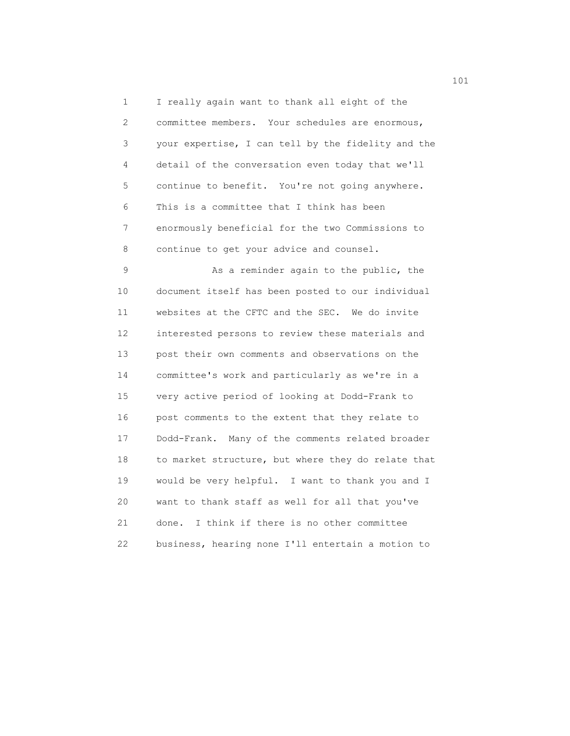1 I really again want to thank all eight of the 2 committee members. Your schedules are enormous, 3 your expertise, I can tell by the fidelity and the 4 detail of the conversation even today that we'll 5 continue to benefit. You're not going anywhere. 6 This is a committee that I think has been 7 enormously beneficial for the two Commissions to 8 continue to get your advice and counsel.

9 As a reminder again to the public, the 10 document itself has been posted to our individual 11 websites at the CFTC and the SEC. We do invite 12 interested persons to review these materials and 13 post their own comments and observations on the 14 committee's work and particularly as we're in a 15 very active period of looking at Dodd-Frank to 16 post comments to the extent that they relate to 17 Dodd-Frank. Many of the comments related broader 18 to market structure, but where they do relate that 19 would be very helpful. I want to thank you and I 20 want to thank staff as well for all that you've 21 done. I think if there is no other committee 22 business, hearing none I'll entertain a motion to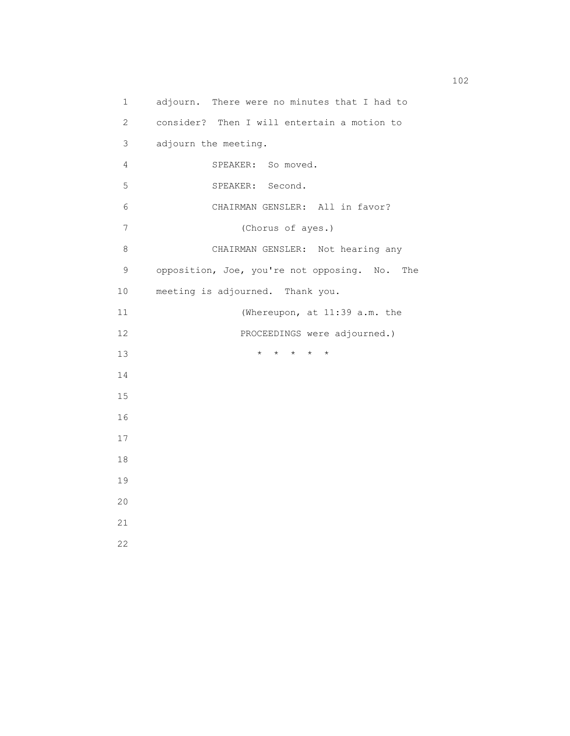1 adjourn. There were no minutes that I had to 2 consider? Then I will entertain a motion to 3 adjourn the meeting. 4 SPEAKER: So moved. 5 SPEAKER: Second. 6 CHAIRMAN GENSLER: All in favor? 7 (Chorus of ayes.) 8 CHAIRMAN GENSLER: Not hearing any 9 opposition, Joe, you're not opposing. No. The 10 meeting is adjourned. Thank you. 11 (Whereupon, at 11:39 a.m. the 12 PROCEEDINGS were adjourned.) 13 \* \* \* \* \* 14 15 16 17 18 19 20 21 22